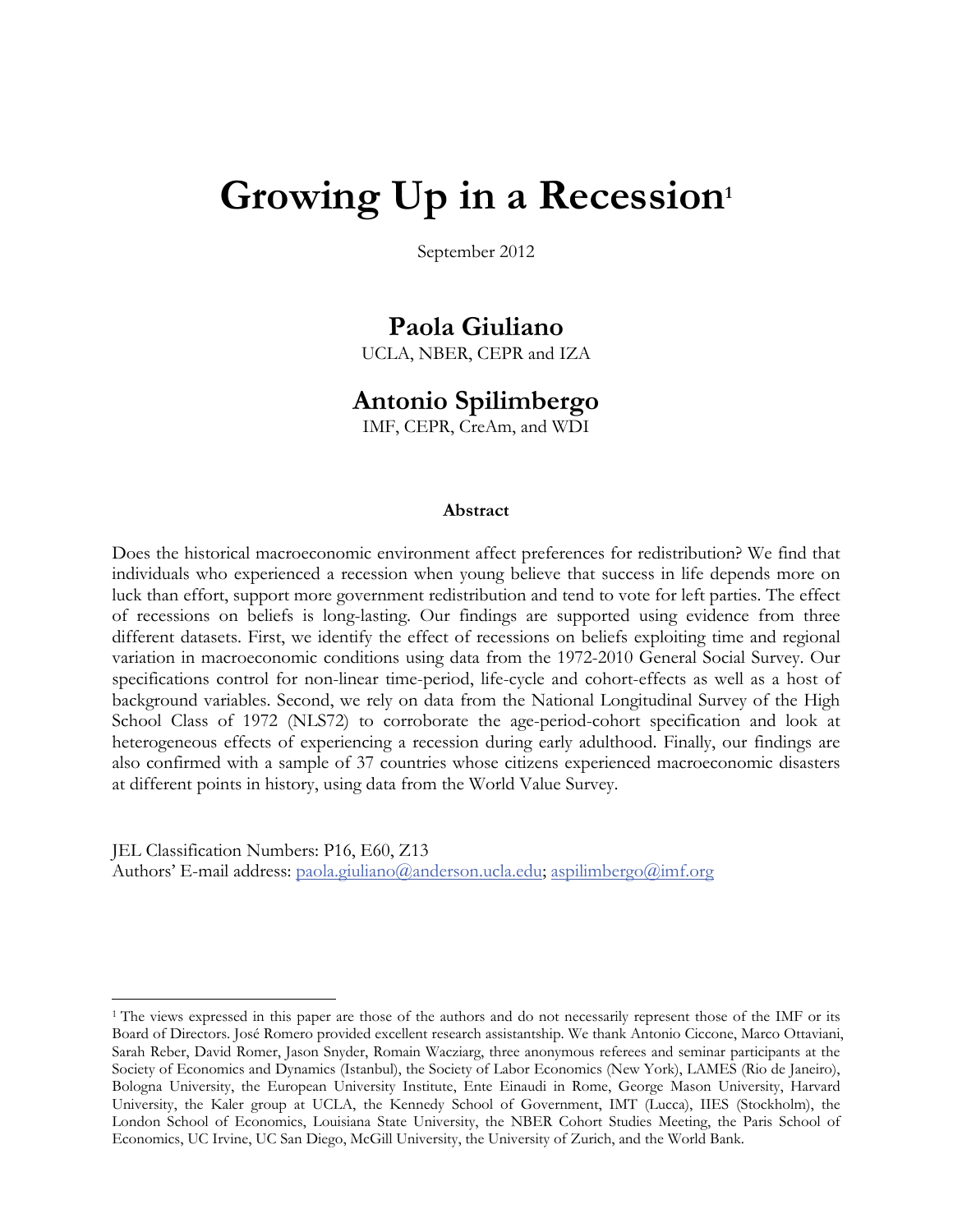# Growing Up in a Recession<sup>1</sup>

September 2012

# **Paola Giuliano**

UCLA, NBER, CEPR and IZA

# **Antonio Spilimbergo**

IMF, CEPR, CreAm, and WDI

#### **Abstract**

Does the historical macroeconomic environment affect preferences for redistribution? We find that individuals who experienced a recession when young believe that success in life depends more on luck than effort, support more government redistribution and tend to vote for left parties. The effect of recessions on beliefs is long-lasting. Our findings are supported using evidence from three different datasets. First, we identify the effect of recessions on beliefs exploiting time and regional variation in macroeconomic conditions using data from the 1972-2010 General Social Survey. Our specifications control for non-linear time-period, life-cycle and cohort-effects as well as a host of background variables. Second, we rely on data from the National Longitudinal Survey of the High School Class of 1972 (NLS72) to corroborate the age-period-cohort specification and look at heterogeneous effects of experiencing a recession during early adulthood. Finally, our findings are also confirmed with a sample of 37 countries whose citizens experienced macroeconomic disasters at different points in history, using data from the World Value Survey.

JEL Classification Numbers: P16, E60, Z13 Authors' E-mail address: paola.giuliano@anderson.ucla.edu; aspilimbergo@imf.org

<sup>&</sup>lt;sup>1</sup> The views expressed in this paper are those of the authors and do not necessarily represent those of the IMF or its Board of Directors. José Romero provided excellent research assistantship. We thank Antonio Ciccone, Marco Ottaviani, Sarah Reber, David Romer, Jason Snyder, Romain Wacziarg, three anonymous referees and seminar participants at the Society of Economics and Dynamics (Istanbul), the Society of Labor Economics (New York), LAMES (Rio de Janeiro), Bologna University, the European University Institute, Ente Einaudi in Rome, George Mason University, Harvard University, the Kaler group at UCLA, the Kennedy School of Government, IMT (Lucca), IIES (Stockholm), the London School of Economics, Louisiana State University, the NBER Cohort Studies Meeting, the Paris School of Economics, UC Irvine, UC San Diego, McGill University, the University of Zurich, and the World Bank.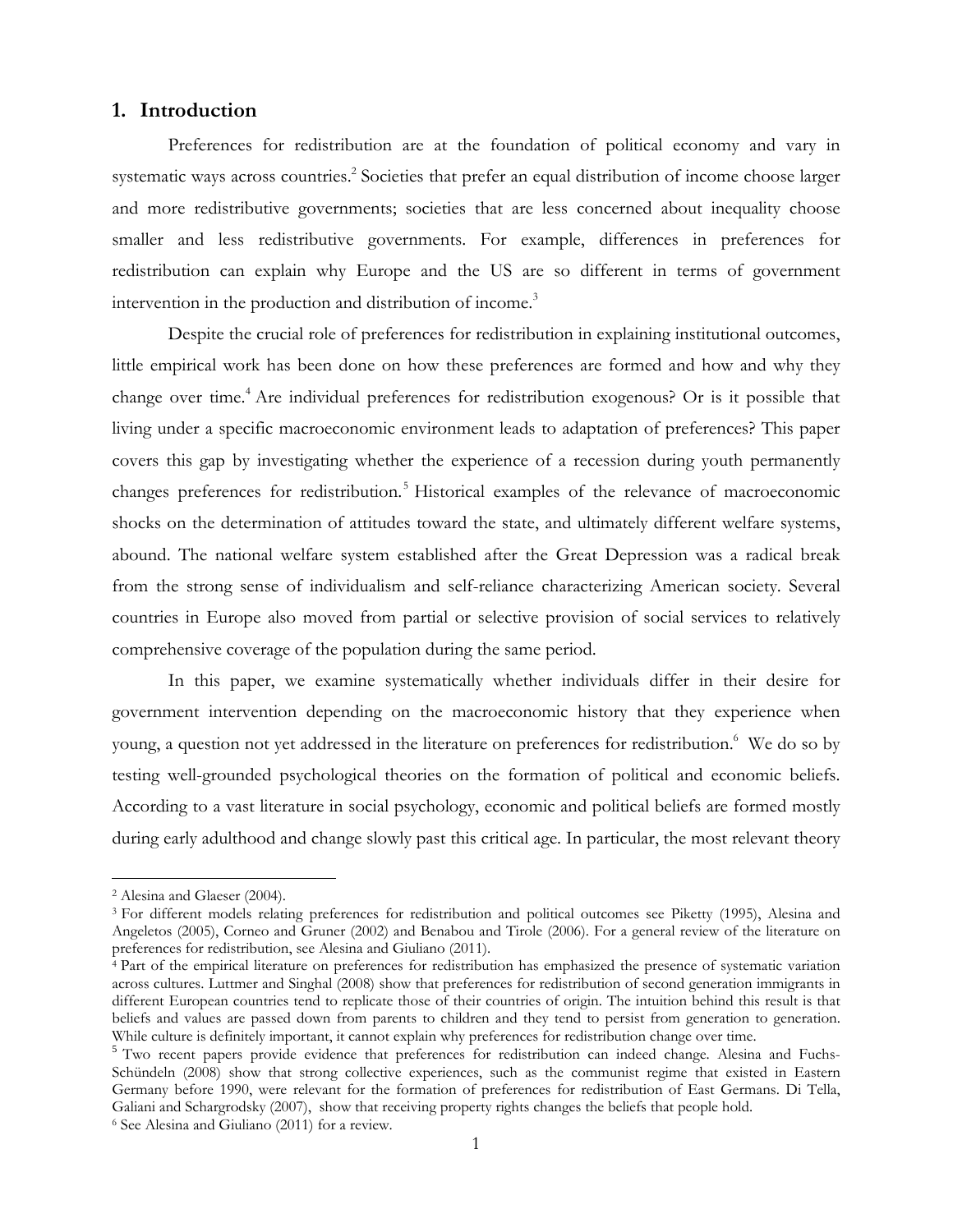# **1. Introduction**

Preferences for redistribution are at the foundation of political economy and vary in systematic ways across countries.<sup>2</sup> Societies that prefer an equal distribution of income choose larger and more redistributive governments; societies that are less concerned about inequality choose smaller and less redistributive governments. For example, differences in preferences for redistribution can explain why Europe and the US are so different in terms of government intervention in the production and distribution of income.<sup>3</sup>

Despite the crucial role of preferences for redistribution in explaining institutional outcomes, little empirical work has been done on how these preferences are formed and how and why they change over time.<sup>4</sup> Are individual preferences for redistribution exogenous? Or is it possible that living under a specific macroeconomic environment leads to adaptation of preferences? This paper covers this gap by investigating whether the experience of a recession during youth permanently changes preferences for redistribution.<sup>5</sup> Historical examples of the relevance of macroeconomic shocks on the determination of attitudes toward the state, and ultimately different welfare systems, abound. The national welfare system established after the Great Depression was a radical break from the strong sense of individualism and self-reliance characterizing American society. Several countries in Europe also moved from partial or selective provision of social services to relatively comprehensive coverage of the population during the same period.

In this paper, we examine systematically whether individuals differ in their desire for government intervention depending on the macroeconomic history that they experience when young, a question not yet addressed in the literature on preferences for redistribution.<sup>6</sup> We do so by testing well-grounded psychological theories on the formation of political and economic beliefs. According to a vast literature in social psychology, economic and political beliefs are formed mostly during early adulthood and change slowly past this critical age. In particular, the most relevant theory

<sup>2</sup> Alesina and Glaeser (2004).

<sup>3</sup> For different models relating preferences for redistribution and political outcomes see Piketty (1995), Alesina and Angeletos (2005), Corneo and Gruner (2002) and Benabou and Tirole (2006). For a general review of the literature on

 $\frac{4}{3}$  Part of the empirical literature on preferences for redistribution has emphasized the presence of systematic variation across cultures. Luttmer and Singhal (2008) show that preferences for redistribution of second generation immigrants in different European countries tend to replicate those of their countries of origin. The intuition behind this result is that beliefs and values are passed down from parents to children and they tend to persist from generation to generation.<br>While culture is definitely important, it cannot explain why preferences for redistribution change over ti

 $5$  Two recent papers provide evidence that preferences for redistribution can indeed change. Alesina and Fuchs-Schündeln (2008) show that strong collective experiences, such as the communist regime that existed in Eastern Germany before 1990, were relevant for the formation of preferences for redistribution of East Germans. Di Tella, Galiani and Schargrodsky (2007), show that receiving property rights changes the beliefs that people hold. <sup>6</sup> See Alesina and Giuliano (2011) for a review.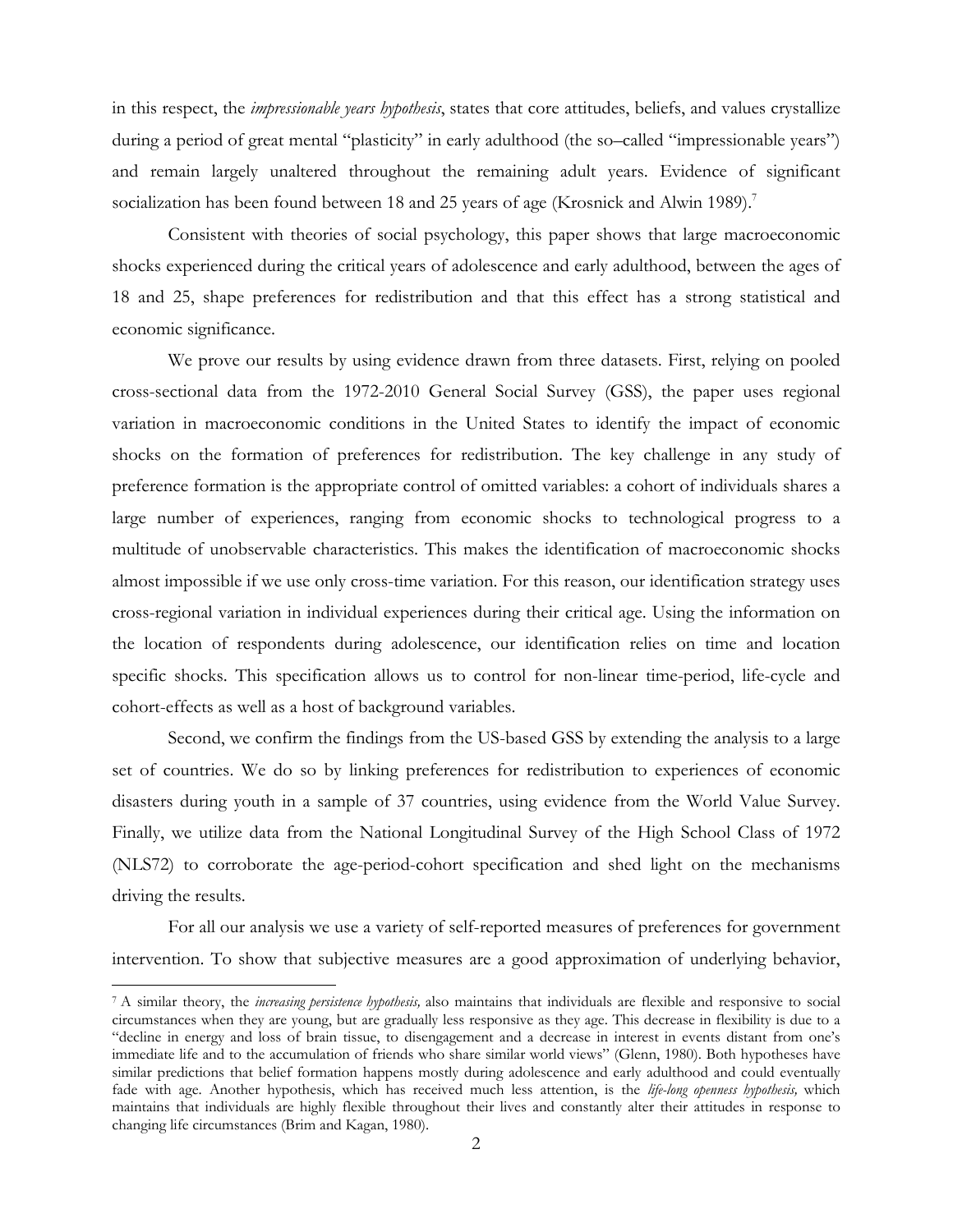in this respect, the *impressionable years hypothesis*, states that core attitudes, beliefs, and values crystallize during a period of great mental "plasticity" in early adulthood (the so-called "impressionable years") and remain largely unaltered throughout the remaining adult years. Evidence of significant socialization has been found between 18 and 25 years of age (Krosnick and Alwin 1989).<sup>7</sup>

Consistent with theories of social psychology, this paper shows that large macroeconomic shocks experienced during the critical years of adolescence and early adulthood, between the ages of 18 and 25, shape preferences for redistribution and that this effect has a strong statistical and economic significance.

We prove our results by using evidence drawn from three datasets. First, relying on pooled cross-sectional data from the 1972-2010 General Social Survey (GSS), the paper uses regional variation in macroeconomic conditions in the United States to identify the impact of economic shocks on the formation of preferences for redistribution. The key challenge in any study of preference formation is the appropriate control of omitted variables: a cohort of individuals shares a large number of experiences, ranging from economic shocks to technological progress to a multitude of unobservable characteristics. This makes the identification of macroeconomic shocks almost impossible if we use only cross-time variation. For this reason, our identification strategy uses cross-regional variation in individual experiences during their critical age. Using the information on the location of respondents during adolescence, our identification relies on time and location specific shocks. This specification allows us to control for non-linear time-period, life-cycle and cohort-effects as well as a host of background variables.

Second, we confirm the findings from the US-based GSS by extending the analysis to a large set of countries. We do so by linking preferences for redistribution to experiences of economic disasters during youth in a sample of 37 countries, using evidence from the World Value Survey. Finally, we utilize data from the National Longitudinal Survey of the High School Class of 1972 (NLS72) to corroborate the age-period-cohort specification and shed light on the mechanisms driving the results.

For all our analysis we use a variety of self-reported measures of preferences for government intervention. To show that subjective measures are a good approximation of underlying behavior,

<u>.</u>

<sup>7</sup> A similar theory, the *increasing persistence hypothesis,* also maintains that individuals are flexible and responsive to social circumstances when they are young, but are gradually less responsive as they age. This decrease in flexibility is due to a "decline in energy and loss of brain tissue, to disengagement and a decrease in interest in events distant from one's immediate life and to the accumulation of friends who share similar world views" (Glenn, 1980). Both hypotheses have similar predictions that belief formation happens mostly during adolescence and early adulthood and could eventually fade with age. Another hypothesis, which has received much less attention, is the *life-long openness hypothesis,* which maintains that individuals are highly flexible throughout their lives and constantly alter their attitudes in response to changing life circumstances (Brim and Kagan, 1980).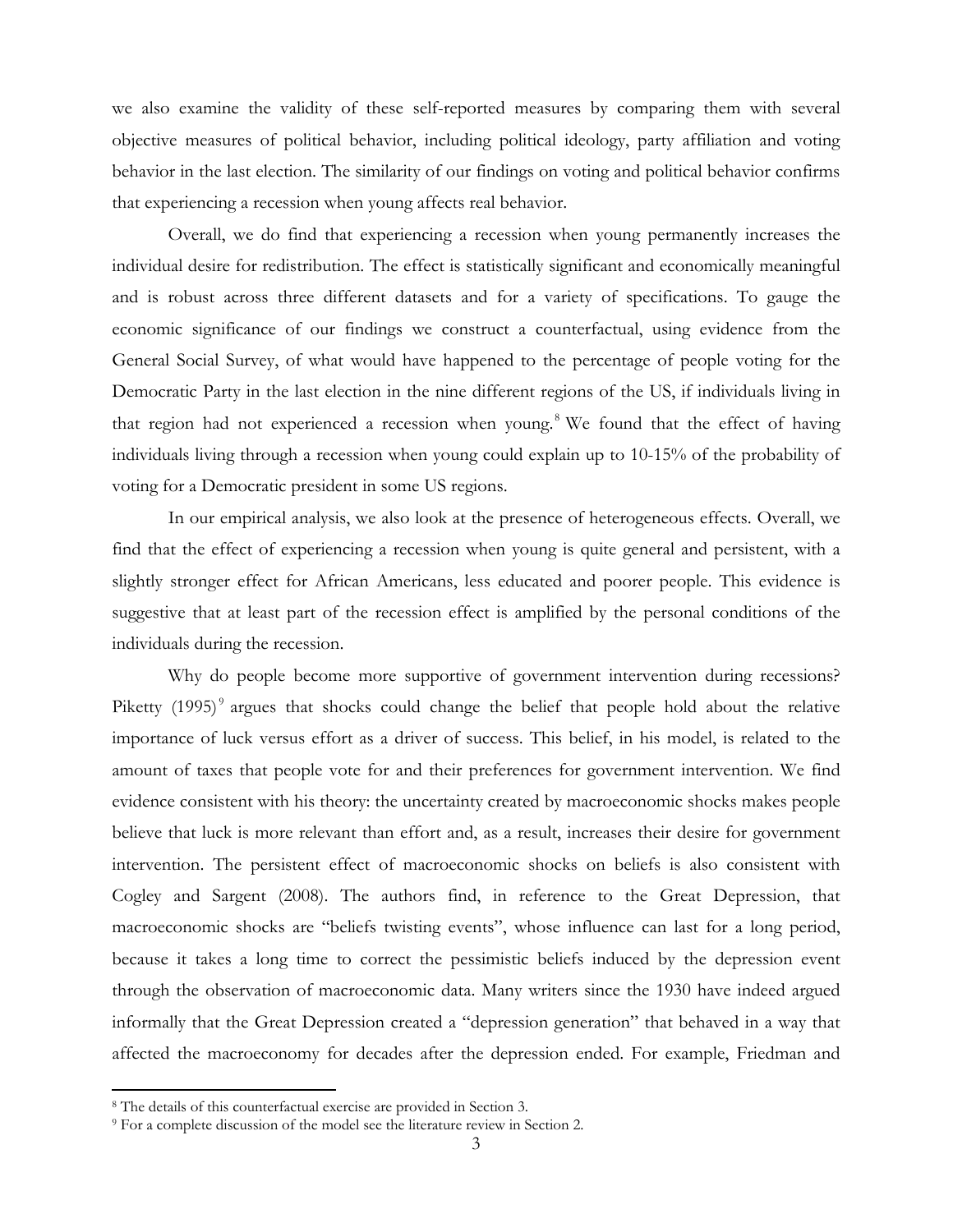we also examine the validity of these self-reported measures by comparing them with several objective measures of political behavior, including political ideology, party affiliation and voting behavior in the last election. The similarity of our findings on voting and political behavior confirms that experiencing a recession when young affects real behavior.

Overall, we do find that experiencing a recession when young permanently increases the individual desire for redistribution. The effect is statistically significant and economically meaningful and is robust across three different datasets and for a variety of specifications. To gauge the economic significance of our findings we construct a counterfactual, using evidence from the General Social Survey, of what would have happened to the percentage of people voting for the Democratic Party in the last election in the nine different regions of the US, if individuals living in that region had not experienced a recession when young.<sup>8</sup> We found that the effect of having individuals living through a recession when young could explain up to 10-15% of the probability of voting for a Democratic president in some US regions.

In our empirical analysis, we also look at the presence of heterogeneous effects. Overall, we find that the effect of experiencing a recession when young is quite general and persistent, with a slightly stronger effect for African Americans, less educated and poorer people. This evidence is suggestive that at least part of the recession effect is amplified by the personal conditions of the individuals during the recession.

Why do people become more supportive of government intervention during recessions? Piketty  $(1995)^9$  argues that shocks could change the belief that people hold about the relative importance of luck versus effort as a driver of success. This belief, in his model, is related to the amount of taxes that people vote for and their preferences for government intervention. We find evidence consistent with his theory: the uncertainty created by macroeconomic shocks makes people believe that luck is more relevant than effort and, as a result, increases their desire for government intervention. The persistent effect of macroeconomic shocks on beliefs is also consistent with Cogley and Sargent (2008). The authors find, in reference to the Great Depression, that macroeconomic shocks are "beliefs twisting events", whose influence can last for a long period, because it takes a long time to correct the pessimistic beliefs induced by the depression event through the observation of macroeconomic data. Many writers since the 1930 have indeed argued informally that the Great Depression created a "depression generation" that behaved in a way that affected the macroeconomy for decades after the depression ended. For example, Friedman and

<u>.</u>

<sup>8</sup> The details of this counterfactual exercise are provided in Section 3. 9 For a complete discussion of the model see the literature review in Section 2.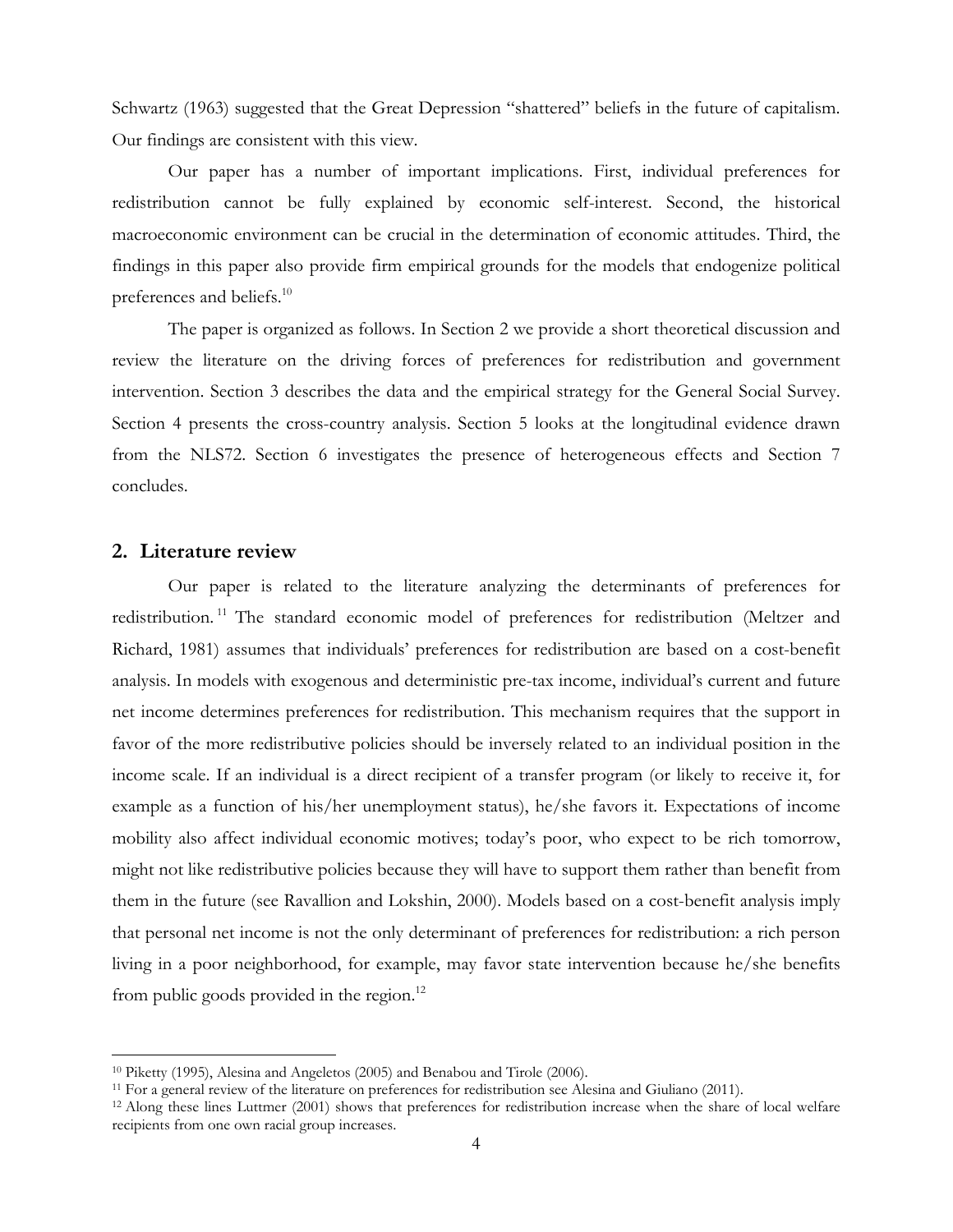Schwartz (1963) suggested that the Great Depression "shattered" beliefs in the future of capitalism. Our findings are consistent with this view.

Our paper has a number of important implications. First, individual preferences for redistribution cannot be fully explained by economic self-interest. Second, the historical macroeconomic environment can be crucial in the determination of economic attitudes. Third, the findings in this paper also provide firm empirical grounds for the models that endogenize political preferences and beliefs.<sup>10</sup>

The paper is organized as follows. In Section 2 we provide a short theoretical discussion and review the literature on the driving forces of preferences for redistribution and government intervention. Section 3 describes the data and the empirical strategy for the General Social Survey. Section 4 presents the cross-country analysis. Section 5 looks at the longitudinal evidence drawn from the NLS72. Section 6 investigates the presence of heterogeneous effects and Section 7 concludes.

# **2. Literature review**

 $\overline{a}$ 

Our paper is related to the literature analyzing the determinants of preferences for redistribution.<sup>11</sup> The standard economic model of preferences for redistribution (Meltzer and Richard, 1981) assumes that individuals' preferences for redistribution are based on a cost-benefit analysis. In models with exogenous and deterministic pre-tax income, individual's current and future net income determines preferences for redistribution. This mechanism requires that the support in favor of the more redistributive policies should be inversely related to an individual position in the income scale. If an individual is a direct recipient of a transfer program (or likely to receive it, for example as a function of his/her unemployment status), he/she favors it. Expectations of income mobility also affect individual economic motives; today's poor, who expect to be rich tomorrow, might not like redistributive policies because they will have to support them rather than benefit from them in the future (see Ravallion and Lokshin, 2000). Models based on a cost-benefit analysis imply that personal net income is not the only determinant of preferences for redistribution: a rich person living in a poor neighborhood, for example, may favor state intervention because he/she benefits from public goods provided in the region. $^{12}$ 

<sup>&</sup>lt;sup>10</sup> Piketty (1995), Alesina and Angeletos (2005) and Benabou and Tirole (2006).<br><sup>11</sup> For a general review of the literature on preferences for redistribution see Alesina and Giuliano (2011).<br><sup>12</sup> Along these lines Luttme recipients from one own racial group increases.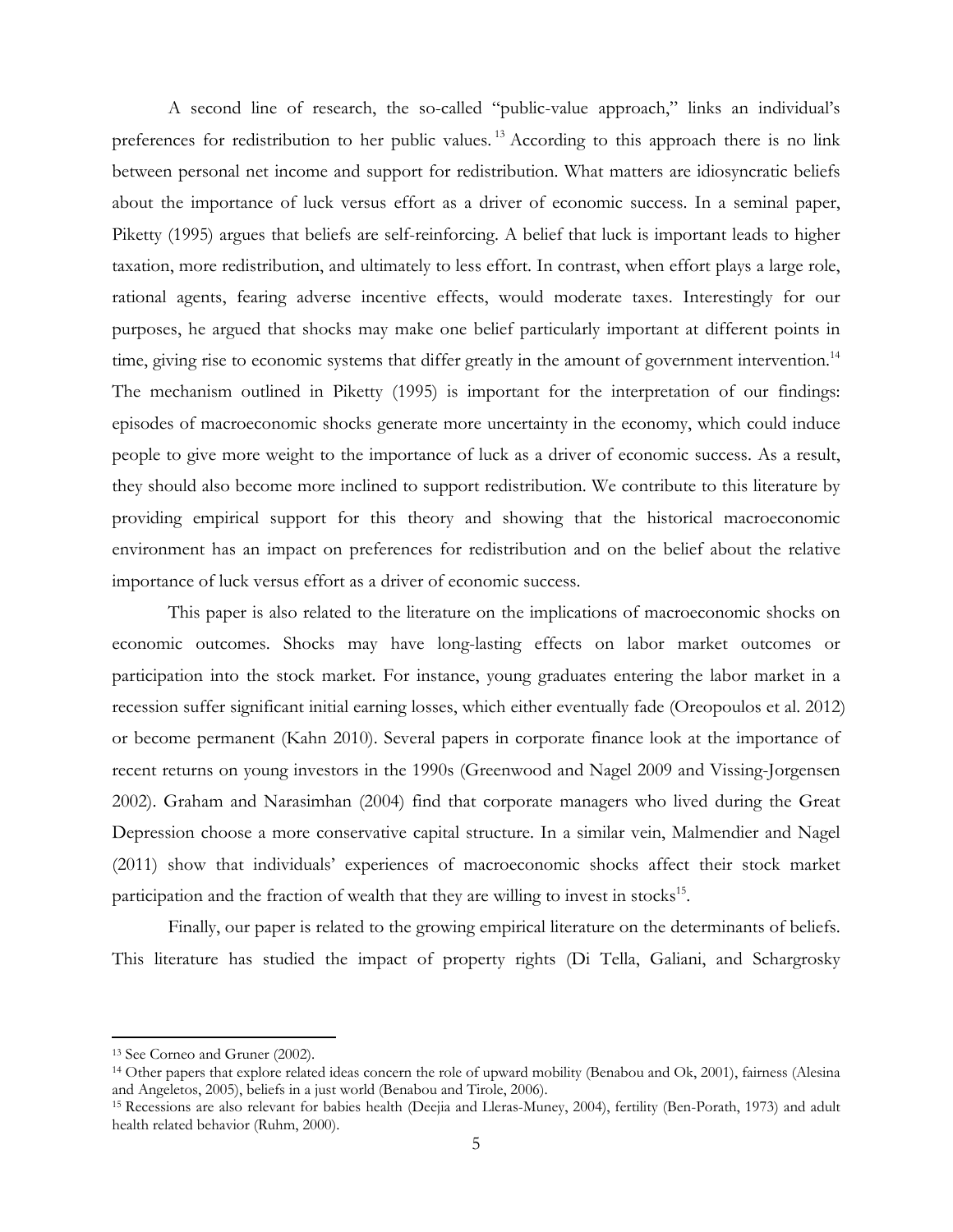A second line of research, the so-called "public-value approach," links an individual's preferences for redistribution to her public values.<sup>13</sup> According to this approach there is no link between personal net income and support for redistribution. What matters are idiosyncratic beliefs about the importance of luck versus effort as a driver of economic success. In a seminal paper, Piketty (1995) argues that beliefs are self-reinforcing. A belief that luck is important leads to higher taxation, more redistribution, and ultimately to less effort. In contrast, when effort plays a large role, rational agents, fearing adverse incentive effects, would moderate taxes. Interestingly for our purposes, he argued that shocks may make one belief particularly important at different points in time, giving rise to economic systems that differ greatly in the amount of government intervention.<sup>14</sup> The mechanism outlined in Piketty (1995) is important for the interpretation of our findings: episodes of macroeconomic shocks generate more uncertainty in the economy, which could induce people to give more weight to the importance of luck as a driver of economic success. As a result, they should also become more inclined to support redistribution. We contribute to this literature by providing empirical support for this theory and showing that the historical macroeconomic environment has an impact on preferences for redistribution and on the belief about the relative importance of luck versus effort as a driver of economic success.

This paper is also related to the literature on the implications of macroeconomic shocks on economic outcomes. Shocks may have long-lasting effects on labor market outcomes or participation into the stock market. For instance, young graduates entering the labor market in a recession suffer significant initial earning losses, which either eventually fade (Oreopoulos et al. 2012) or become permanent (Kahn 2010). Several papers in corporate finance look at the importance of recent returns on young investors in the 1990s (Greenwood and Nagel 2009 and Vissing-Jorgensen 2002). Graham and Narasimhan (2004) find that corporate managers who lived during the Great Depression choose a more conservative capital structure. In a similar vein, Malmendier and Nagel (2011) show that individuals' experiences of macroeconomic shocks affect their stock market participation and the fraction of wealth that they are willing to invest in stocks $^{15}$ .

Finally, our paper is related to the growing empirical literature on the determinants of beliefs. This literature has studied the impact of property rights (Di Tella, Galiani, and Schargrosky

<sup>13</sup> See Corneo and Gruner (2002).

<sup>&</sup>lt;sup>14</sup> Other papers that explore related ideas concern the role of upward mobility (Benabou and Ok, 2001), fairness (Alesina and Angeletos, 2005), beliefs in a just world (Benabou and Tirole, 2006).

<sup>15</sup> Recessions are also relevant for babies health (Deejia and Lleras-Muney, 2004), fertility (Ben-Porath, 1973) and adult health related behavior (Ruhm, 2000).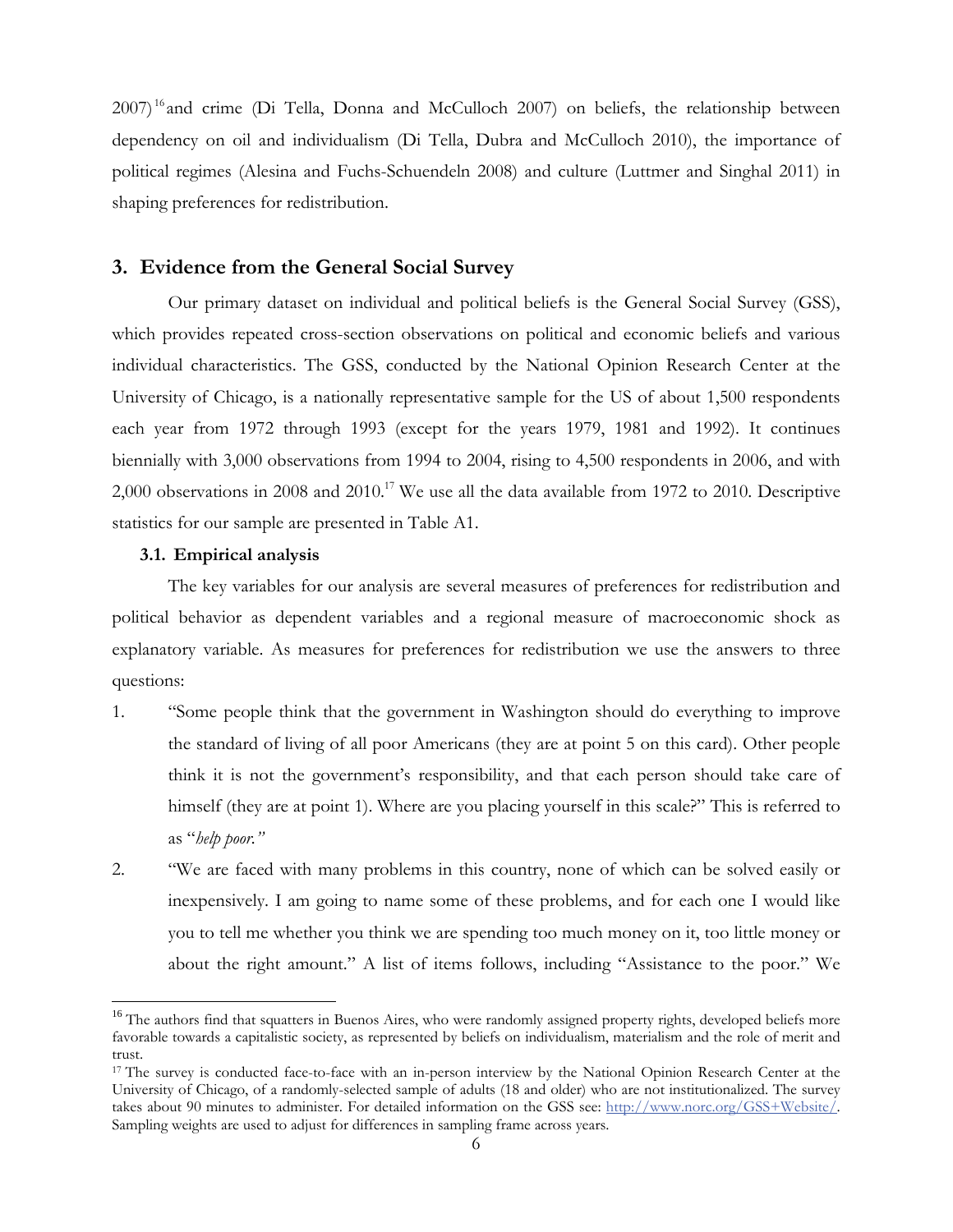2007)<sup>16</sup> and crime (Di Tella, Donna and McCulloch 2007) on beliefs, the relationship between dependency on oil and individualism (Di Tella, Dubra and McCulloch 2010), the importance of political regimes (Alesina and Fuchs-Schuendeln 2008) and culture (Luttmer and Singhal 2011) in shaping preferences for redistribution.

# **3. Evidence from the General Social Survey**

Our primary dataset on individual and political beliefs is the General Social Survey (GSS), which provides repeated cross-section observations on political and economic beliefs and various individual characteristics. The GSS, conducted by the National Opinion Research Center at the University of Chicago, is a nationally representative sample for the US of about 1,500 respondents each year from 1972 through 1993 (except for the years 1979, 1981 and 1992). It continues biennially with 3,000 observations from 1994 to 2004, rising to 4,500 respondents in 2006, and with 2,000 observations in 2008 and 2010.<sup>17</sup> We use all the data available from 1972 to 2010. Descriptive statistics for our sample are presented in Table A1.

#### **3.1. Empirical analysis**

<u>.</u>

The key variables for our analysis are several measures of preferences for redistribution and political behavior as dependent variables and a regional measure of macroeconomic shock as explanatory variable. As measures for preferences for redistribution we use the answers to three questions:

- 1. "Some people think that the government in Washington should do everything to improve the standard of living of all poor Americans (they are at point 5 on this card). Other people think it is not the government's responsibility, and that each person should take care of himself (they are at point 1). Where are you placing yourself in this scale?" This is referred to as "*help poor."*
- 2. "We are faced with many problems in this country, none of which can be solved easily or inexpensively. I am going to name some of these problems, and for each one I would like you to tell me whether you think we are spending too much money on it, too little money or about the right amount." A list of items follows, including "Assistance to the poor." We

<sup>&</sup>lt;sup>16</sup> The authors find that squatters in Buenos Aires, who were randomly assigned property rights, developed beliefs more favorable towards a capitalistic society, as represented by beliefs on individualism, materialism and the role of merit and trust.

<sup>17</sup> The survey is conducted face-to-face with an in-person interview by the National Opinion Research Center at the University of Chicago, of a randomly-selected sample of adults (18 and older) who are not institutionalized. The survey takes about 90 minutes to administer. For detailed information on the GSS see: http://www.norc.org/GSS+Website/. Sampling weights are used to adjust for differences in sampling frame across years.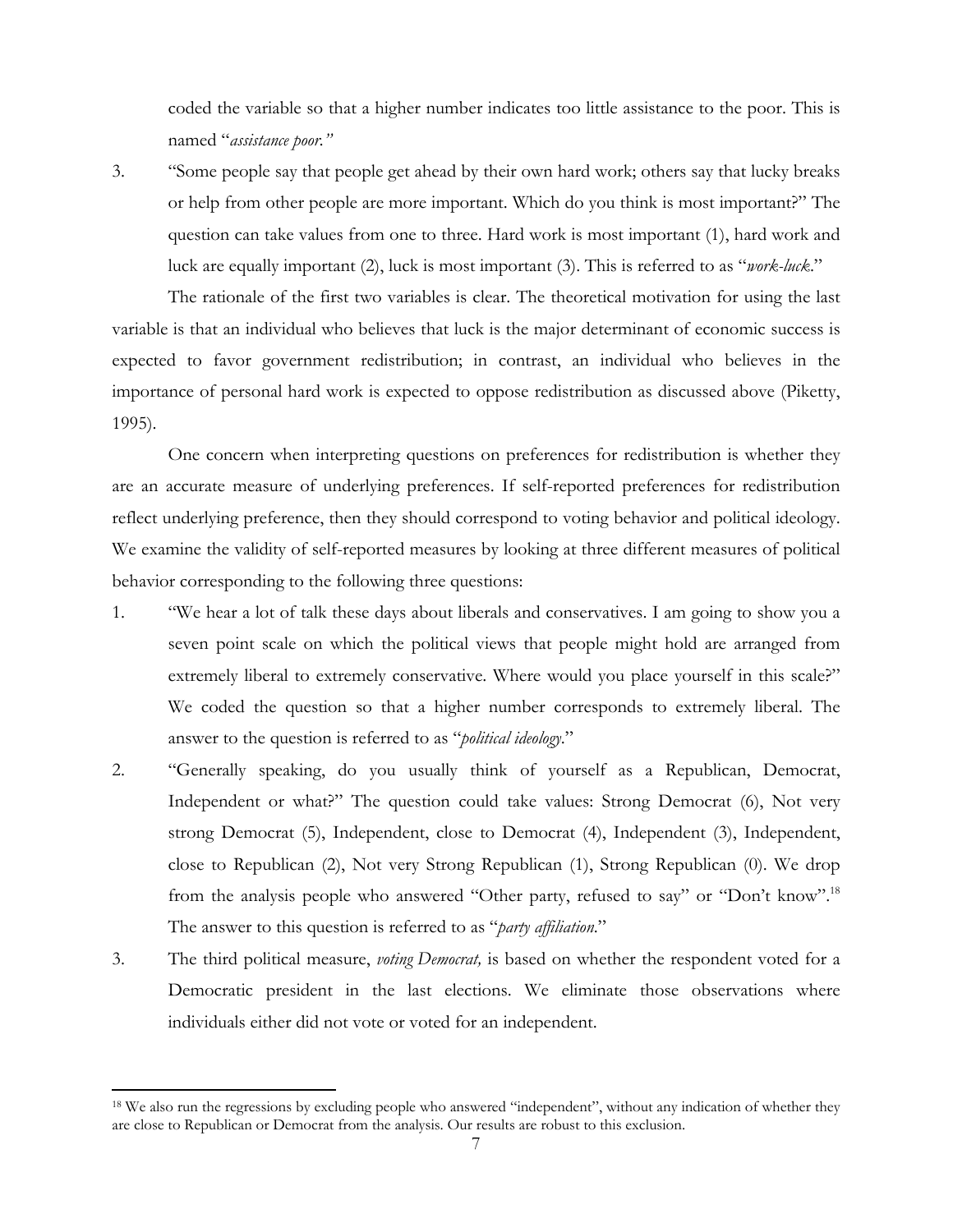coded the variable so that a higher number indicates too little assistance to the poor. This is named "*assistance poor."* 

<u>.</u>

3. "Some people say that people get ahead by their own hard work; others say that lucky breaks or help from other people are more important. Which do you think is most important?" The question can take values from one to three. Hard work is most important (1), hard work and luck are equally important (2), luck is most important (3). This is referred to as "*work-luck*."

The rationale of the first two variables is clear. The theoretical motivation for using the last variable is that an individual who believes that luck is the major determinant of economic success is expected to favor government redistribution; in contrast, an individual who believes in the importance of personal hard work is expected to oppose redistribution as discussed above (Piketty, 1995).

One concern when interpreting questions on preferences for redistribution is whether they are an accurate measure of underlying preferences. If self-reported preferences for redistribution reflect underlying preference, then they should correspond to voting behavior and political ideology. We examine the validity of self-reported measures by looking at three different measures of political behavior corresponding to the following three questions:

- 1. "We hear a lot of talk these days about liberals and conservatives. I am going to show you a seven point scale on which the political views that people might hold are arranged from extremely liberal to extremely conservative. Where would you place yourself in this scale?" We coded the question so that a higher number corresponds to extremely liberal. The answer to the question is referred to as "*political ideology*."
- 2. "Generally speaking, do you usually think of yourself as a Republican, Democrat, Independent or what?" The question could take values: Strong Democrat (6), Not very strong Democrat (5), Independent, close to Democrat (4), Independent (3), Independent, close to Republican (2), Not very Strong Republican (1), Strong Republican (0). We drop from the analysis people who answered "Other party, refused to say" or "Don't know".<sup>18</sup> The answer to this question is referred to as "*party affiliation*."
- 3. The third political measure, *voting Democrat,* is based on whether the respondent voted for a Democratic president in the last elections. We eliminate those observations where individuals either did not vote or voted for an independent.

<sup>&</sup>lt;sup>18</sup> We also run the regressions by excluding people who answered "independent", without any indication of whether they are close to Republican or Democrat from the analysis. Our results are robust to this exclusion.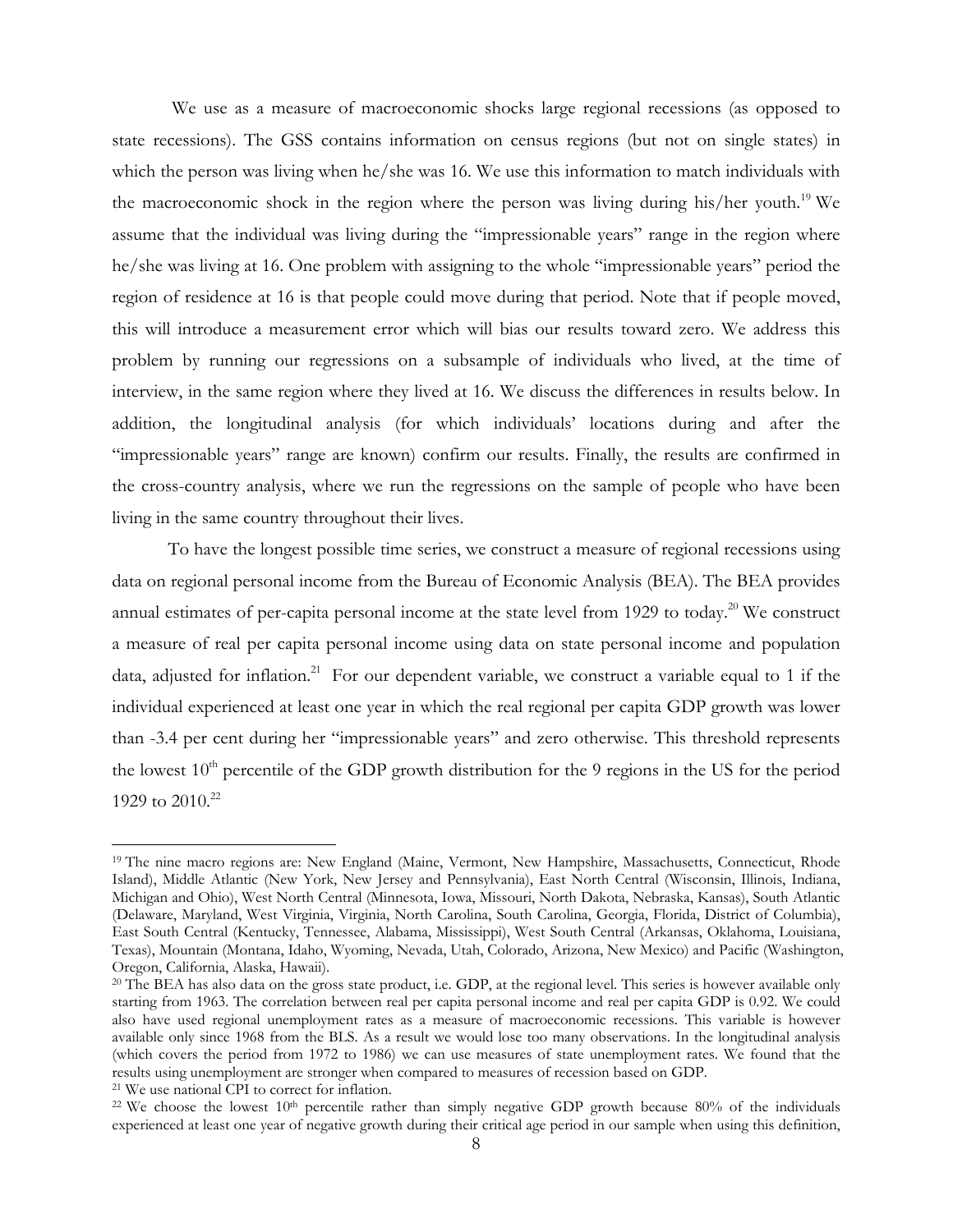We use as a measure of macroeconomic shocks large regional recessions (as opposed to state recessions). The GSS contains information on census regions (but not on single states) in which the person was living when he/she was 16. We use this information to match individuals with the macroeconomic shock in the region where the person was living during his/her youth.<sup>19</sup> We assume that the individual was living during the "impressionable years" range in the region where he/she was living at 16. One problem with assigning to the whole "impressionable years" period the region of residence at 16 is that people could move during that period. Note that if people moved, this will introduce a measurement error which will bias our results toward zero. We address this problem by running our regressions on a subsample of individuals who lived, at the time of interview, in the same region where they lived at 16. We discuss the differences in results below. In addition, the longitudinal analysis (for which individuals' locations during and after the "impressionable years" range are known) confirm our results. Finally, the results are confirmed in the cross-country analysis, where we run the regressions on the sample of people who have been living in the same country throughout their lives.

To have the longest possible time series, we construct a measure of regional recessions using data on regional personal income from the Bureau of Economic Analysis (BEA). The BEA provides annual estimates of per-capita personal income at the state level from 1929 to today.<sup>20</sup> We construct a measure of real per capita personal income using data on state personal income and population data, adjusted for inflation.<sup>21</sup> For our dependent variable, we construct a variable equal to 1 if the individual experienced at least one year in which the real regional per capita GDP growth was lower than -3.4 per cent during her "impressionable years" and zero otherwise. This threshold represents the lowest  $10<sup>th</sup>$  percentile of the GDP growth distribution for the 9 regions in the US for the period 1929 to  $2010^{22}$ 

<u>.</u>

<sup>19</sup> The nine macro regions are: New England (Maine, Vermont, New Hampshire, Massachusetts, Connecticut, Rhode Island), Middle Atlantic (New York, New Jersey and Pennsylvania), East North Central (Wisconsin, Illinois, Indiana, Michigan and Ohio), West North Central (Minnesota, Iowa, Missouri, North Dakota, Nebraska, Kansas), South Atlantic (Delaware, Maryland, West Virginia, Virginia, North Carolina, South Carolina, Georgia, Florida, District of Columbia), East South Central (Kentucky, Tennessee, Alabama, Mississippi), West South Central (Arkansas, Oklahoma, Louisiana, Texas), Mountain (Montana, Idaho, Wyoming, Nevada, Utah, Colorado, Arizona, New Mexico) and Pacific (Washington, Oregon, California, Alaska, Hawaii).

<sup>&</sup>lt;sup>20</sup> The BEA has also data on the gross state product, i.e. GDP, at the regional level. This series is however available only starting from 1963. The correlation between real per capita personal income and real per capita GDP is 0.92. We could also have used regional unemployment rates as a measure of macroeconomic recessions. This variable is however available only since 1968 from the BLS. As a result we would lose too many observations. In the longitudinal analysis (which covers the period from 1972 to 1986) we can use measures of state unemployment rates. We found that the results using unemployment are stronger when compared to measures of recession based on GDP.<br><sup>21</sup> We use national CPI to correct for inflation.

<sup>&</sup>lt;sup>22</sup> We choose the lowest  $10<sup>th</sup>$  percentile rather than simply negative GDP growth because 80% of the individuals experienced at least one year of negative growth during their critical age period in our sample when using this definition,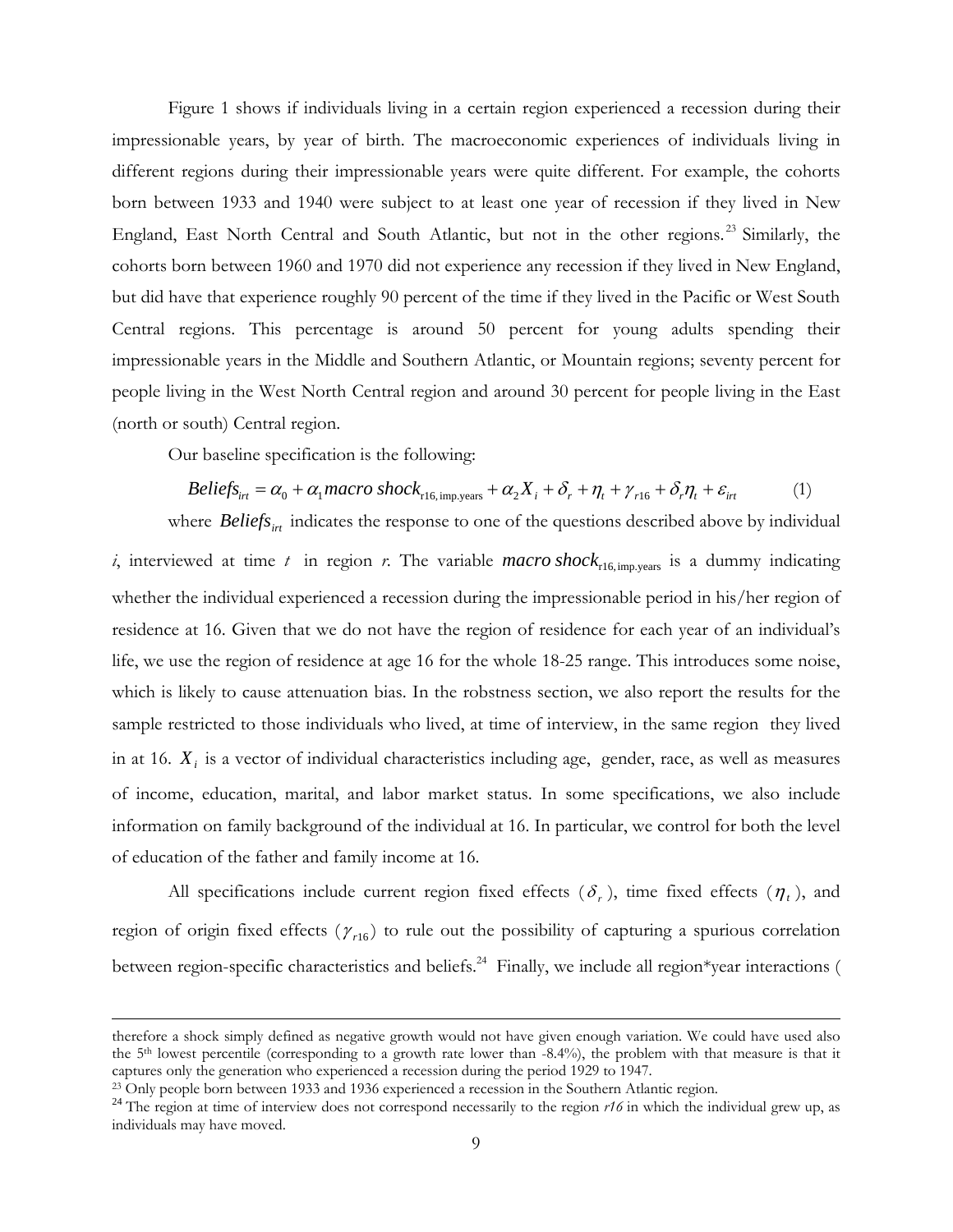Figure 1 shows if individuals living in a certain region experienced a recession during their impressionable years, by year of birth. The macroeconomic experiences of individuals living in different regions during their impressionable years were quite different. For example, the cohorts born between 1933 and 1940 were subject to at least one year of recession if they lived in New England, East North Central and South Atlantic, but not in the other regions.<sup>23</sup> Similarly, the cohorts born between 1960 and 1970 did not experience any recession if they lived in New England, but did have that experience roughly 90 percent of the time if they lived in the Pacific or West South Central regions. This percentage is around 50 percent for young adults spending their impressionable years in the Middle and Southern Atlantic, or Mountain regions; seventy percent for people living in the West North Central region and around 30 percent for people living in the East (north or south) Central region.

Our baseline specification is the following:

$$
Beliefsirt = \alpha_0 + \alpha_1 macro\ shock_{r16,imp, years} + \alpha_2 X_i + \delta_r + \eta_t + \gamma_{r16} + \delta_r \eta_t + \varepsilon_{irt}
$$
 (1)

where *Beliefs<sub>irt</sub>* indicates the response to one of the questions described above by individual *i*, interviewed at time *t* in region *r*. The variable *macro* shock<sub>r16,imp</sub>, vears is a dummy indicating whether the individual experienced a recession during the impressionable period in his/her region of residence at 16. Given that we do not have the region of residence for each year of an individual's life, we use the region of residence at age 16 for the whole 18-25 range. This introduces some noise, which is likely to cause attenuation bias. In the robstness section, we also report the results for the sample restricted to those individuals who lived, at time of interview, in the same region they lived in at 16. *Xi* is a vector of individual characteristics including age, gender, race, as well as measures of income, education, marital, and labor market status. In some specifications, we also include information on family background of the individual at 16. In particular, we control for both the level of education of the father and family income at 16.

All specifications include current region fixed effects  $(\delta_r)$ , time fixed effects  $(\eta_t)$ , and region of origin fixed effects  $(\gamma_{r16})$  to rule out the possibility of capturing a spurious correlation between region-specific characteristics and beliefs.<sup>24</sup> Finally, we include all region\*year interactions (

therefore a shock simply defined as negative growth would not have given enough variation. We could have used also the 5<sup>th</sup> lowest percentile (corresponding to a growth rate lower than -8.4%), the problem with that measure is that it captures only the generation who experienced a recession during the period 1929 to 1947.

<sup>&</sup>lt;sup>23</sup> Only people born between 1933 and 1936 experienced a recession in the Southern Atlantic region.<br><sup>24</sup> The region at time of interview does not correspond necessarily to the region  $r16$  in which the individual grew up individuals may have moved.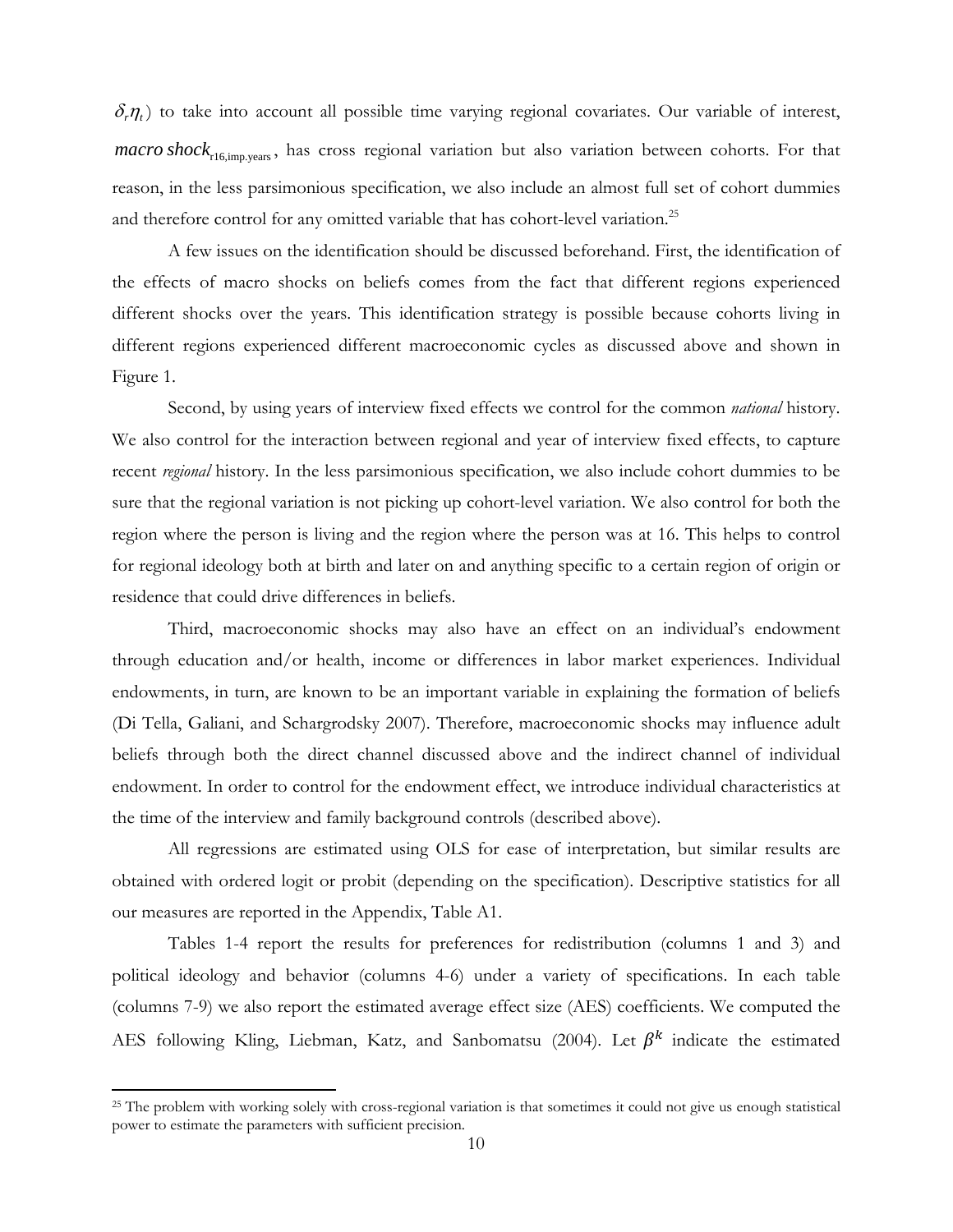$\delta_r \eta_t$ ) to take into account all possible time varying regional covariates. Our variable of interest, *macro shock*<sub>r16,imp.years</sub>, has cross regional variation but also variation between cohorts. For that reason, in the less parsimonious specification, we also include an almost full set of cohort dummies and therefore control for any omitted variable that has cohort-level variation.<sup>25</sup>

A few issues on the identification should be discussed beforehand. First, the identification of the effects of macro shocks on beliefs comes from the fact that different regions experienced different shocks over the years. This identification strategy is possible because cohorts living in different regions experienced different macroeconomic cycles as discussed above and shown in Figure 1.

Second, by using years of interview fixed effects we control for the common *national* history. We also control for the interaction between regional and year of interview fixed effects, to capture recent *regional* history. In the less parsimonious specification, we also include cohort dummies to be sure that the regional variation is not picking up cohort-level variation. We also control for both the region where the person is living and the region where the person was at 16. This helps to control for regional ideology both at birth and later on and anything specific to a certain region of origin or residence that could drive differences in beliefs.

Third, macroeconomic shocks may also have an effect on an individual's endowment through education and/or health, income or differences in labor market experiences. Individual endowments, in turn, are known to be an important variable in explaining the formation of beliefs (Di Tella, Galiani, and Schargrodsky 2007). Therefore, macroeconomic shocks may influence adult beliefs through both the direct channel discussed above and the indirect channel of individual endowment. In order to control for the endowment effect, we introduce individual characteristics at the time of the interview and family background controls (described above).

All regressions are estimated using OLS for ease of interpretation, but similar results are obtained with ordered logit or probit (depending on the specification). Descriptive statistics for all our measures are reported in the Appendix, Table A1.

Tables 1-4 report the results for preferences for redistribution (columns 1 and 3) and political ideology and behavior (columns 4-6) under a variety of specifications. In each table (columns 7-9) we also report the estimated average effect size (AES) coefficients. We computed the AES following Kling, Liebman, Katz, and Sanbomatsu (2004). Let  $\beta^k$  indicate the estimated

<sup>&</sup>lt;sup>25</sup> The problem with working solely with cross-regional variation is that sometimes it could not give us enough statistical power to estimate the parameters with sufficient precision.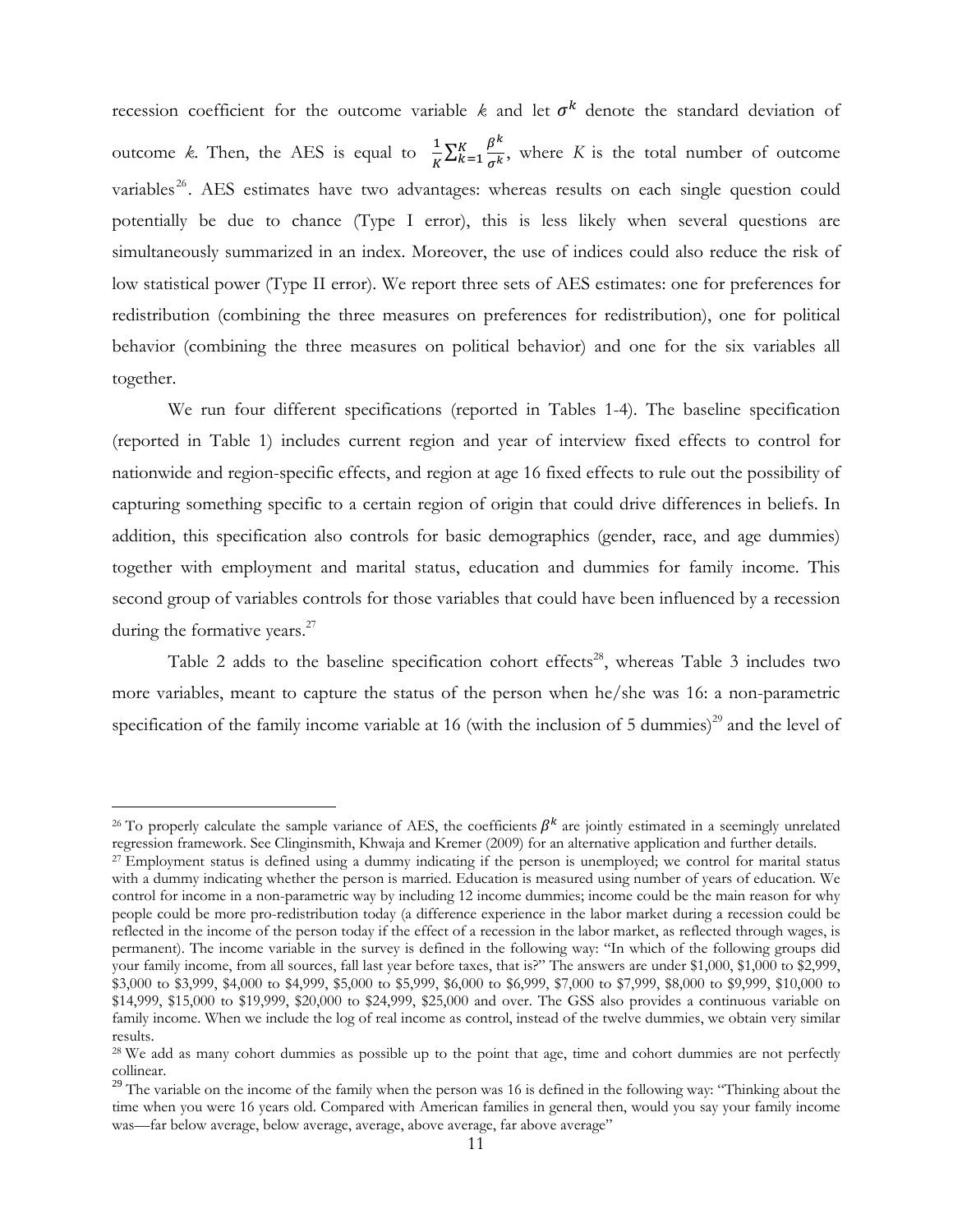recession coefficient for the outcome variable  $k$  and let  $\sigma^k$  denote the standard deviation of outcome *k*. Then, the AES is equal to  $\frac{1}{K} \sum_{k=1}^{K} \frac{\beta^k}{\sigma^k}$  $\frac{K}{k+1} \frac{\beta^{n}}{\sigma^{k}}$ , where *K* is the total number of outcome variables<sup>26</sup>. AES estimates have two advantages: whereas results on each single question could potentially be due to chance (Type I error), this is less likely when several questions are simultaneously summarized in an index. Moreover, the use of indices could also reduce the risk of low statistical power (Type II error). We report three sets of AES estimates: one for preferences for redistribution (combining the three measures on preferences for redistribution), one for political behavior (combining the three measures on political behavior) and one for the six variables all together.

We run four different specifications (reported in Tables 1-4). The baseline specification (reported in Table 1) includes current region and year of interview fixed effects to control for nationwide and region-specific effects, and region at age 16 fixed effects to rule out the possibility of capturing something specific to a certain region of origin that could drive differences in beliefs. In addition, this specification also controls for basic demographics (gender, race, and age dummies) together with employment and marital status, education and dummies for family income. This second group of variables controls for those variables that could have been influenced by a recession during the formative years.<sup>27</sup>

Table 2 adds to the baseline specification cohort effects<sup>28</sup>, whereas Table 3 includes two more variables, meant to capture the status of the person when he/she was 16: a non-parametric specification of the family income variable at 16 (with the inclusion of 5 dummies)<sup>29</sup> and the level of

<u>.</u>

<sup>&</sup>lt;sup>26</sup> To properly calculate the sample variance of AES, the coefficients  $\beta^k$  are jointly estimated in a seemingly unrelated regression framework. See Clinginsmith, Khwaja and Kremer (2009) for an alternative application

<sup>&</sup>lt;sup>27</sup> Employment status is defined using a dummy indicating if the person is unemployed; we control for marital status with a dummy indicating whether the person is married. Education is measured using number of years of education. We control for income in a non-parametric way by including 12 income dummies; income could be the main reason for why people could be more pro-redistribution today (a difference experience in the labor market during a recession could be reflected in the income of the person today if the effect of a recession in the labor market, as reflected through wages, is permanent). The income variable in the survey is defined in the following way: "In which of the following groups did your family income, from all sources, fall last year before taxes, that is?" The answers are under \$1,000, \$1,000 to \$2,999, \$3,000 to \$3,999, \$4,000 to \$4,999, \$5,000 to \$5,999, \$6,000 to \$6,999, \$7,000 to \$7,999, \$8,000 to \$9,999, \$10,000 to \$14,999, \$15,000 to \$19,999, \$20,000 to \$24,999, \$25,000 and over. The GSS also provides a continuous variable on family income. When we include the log of real income as control, instead of the twelve dummies, we obtain very similar results.

<sup>&</sup>lt;sup>28</sup> We add as many cohort dummies as possible up to the point that age, time and cohort dummies are not perfectly collinear.

<sup>&</sup>lt;sup>29</sup> The variable on the income of the family when the person was 16 is defined in the following way: "Thinking about the time when you were 16 years old. Compared with American families in general then, would you say your family income was—far below average, below average, average, above average, far above average"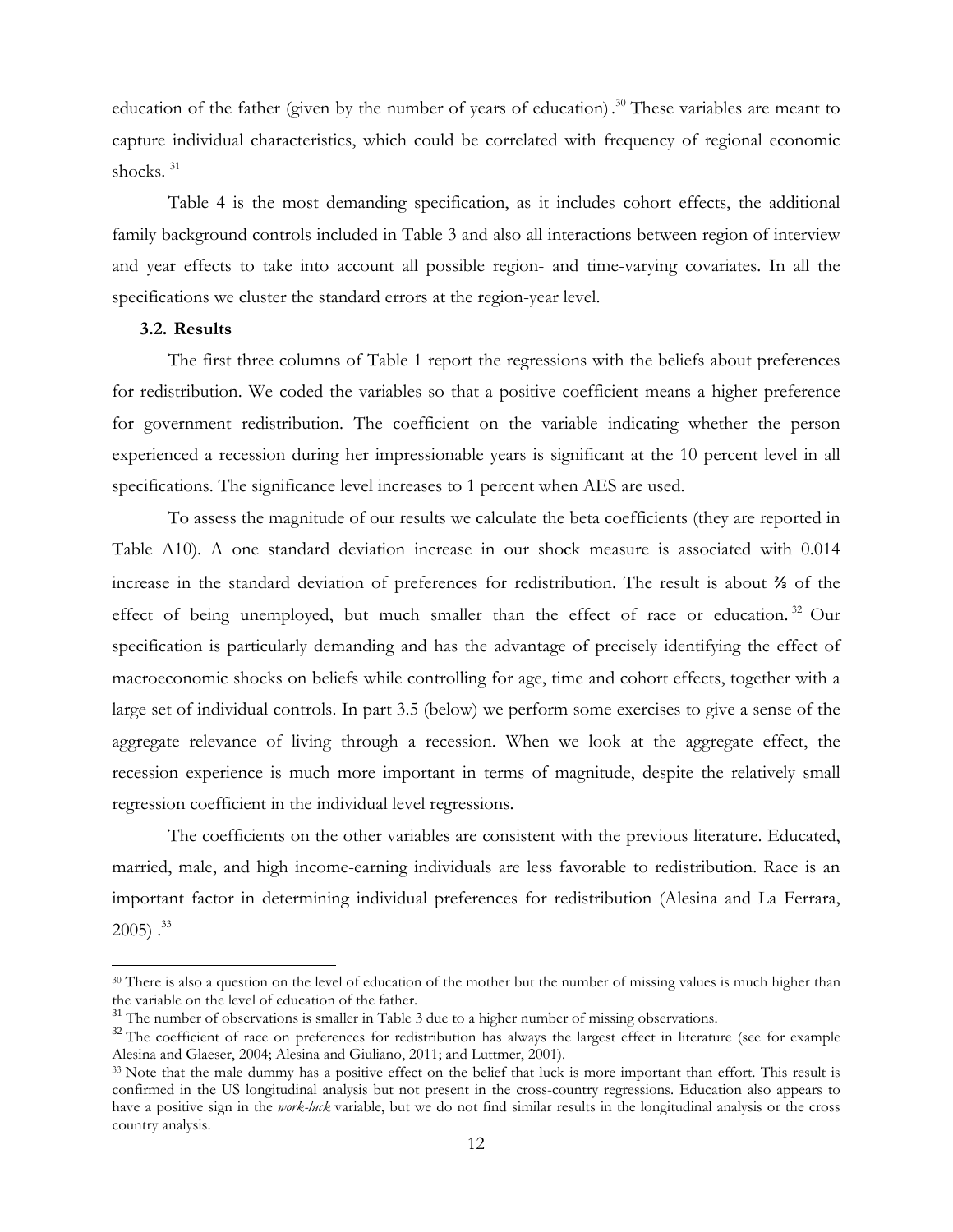education of the father (given by the number of years of education).<sup>30</sup> These variables are meant to capture individual characteristics, which could be correlated with frequency of regional economic shocks.<sup>31</sup>

Table 4 is the most demanding specification, as it includes cohort effects, the additional family background controls included in Table 3 and also all interactions between region of interview and year effects to take into account all possible region- and time-varying covariates. In all the specifications we cluster the standard errors at the region-year level.

#### **3.2. Results**

1

The first three columns of Table 1 report the regressions with the beliefs about preferences for redistribution. We coded the variables so that a positive coefficient means a higher preference for government redistribution. The coefficient on the variable indicating whether the person experienced a recession during her impressionable years is significant at the 10 percent level in all specifications. The significance level increases to 1 percent when AES are used.

To assess the magnitude of our results we calculate the beta coefficients (they are reported in Table A10). A one standard deviation increase in our shock measure is associated with 0.014 increase in the standard deviation of preferences for redistribution. The result is about ⅔ of the effect of being unemployed, but much smaller than the effect of race or education.<sup>32</sup> Our specification is particularly demanding and has the advantage of precisely identifying the effect of macroeconomic shocks on beliefs while controlling for age, time and cohort effects, together with a large set of individual controls. In part 3.5 (below) we perform some exercises to give a sense of the aggregate relevance of living through a recession. When we look at the aggregate effect, the recession experience is much more important in terms of magnitude, despite the relatively small regression coefficient in the individual level regressions.

The coefficients on the other variables are consistent with the previous literature. Educated, married, male, and high income-earning individuals are less favorable to redistribution. Race is an important factor in determining individual preferences for redistribution (Alesina and La Ferrara,  $2005$ )  $.^{33}$ 

<sup>&</sup>lt;sup>30</sup> There is also a question on the level of education of the mother but the number of missing values is much higher than the variable on the level of education of the father.<br><sup>31</sup> The number of observations is smaller in Table 3 due to a higher number of missing observations.

<sup>&</sup>lt;sup>32</sup> The coefficient of race on preferences for redistribution has always the largest effect in literature (see for example Alesina and Glaeser, 2004; Alesina and Giuliano, 2011; and Luttmer, 2001).

<sup>&</sup>lt;sup>33</sup> Note that the male dummy has a positive effect on the belief that luck is more important than effort. This result is confirmed in the US longitudinal analysis but not present in the cross-country regressions. Education also appears to have a positive sign in the *work-luck* variable, but we do not find similar results in the longitudinal analysis or the cross country analysis.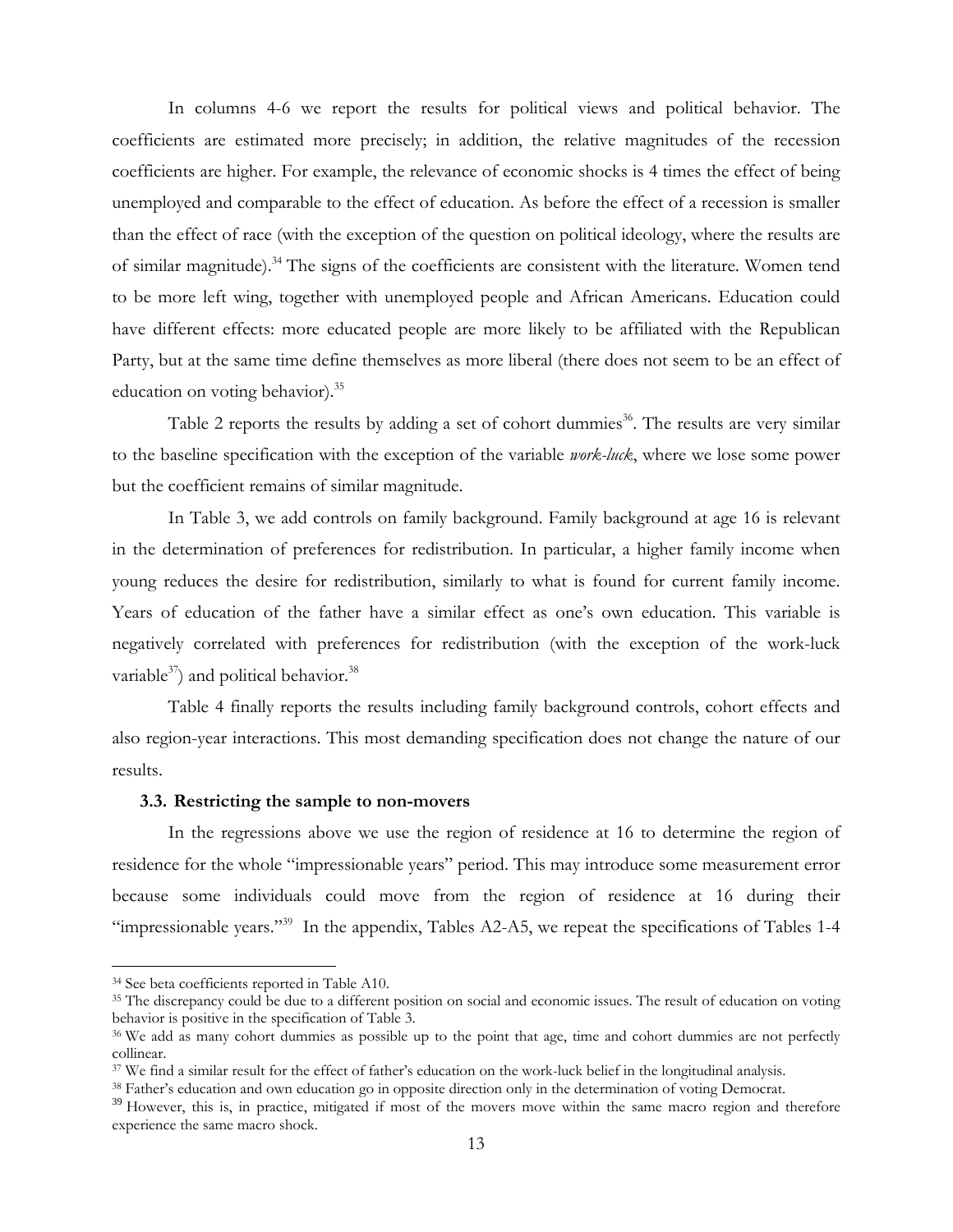In columns 4-6 we report the results for political views and political behavior. The coefficients are estimated more precisely; in addition, the relative magnitudes of the recession coefficients are higher. For example, the relevance of economic shocks is 4 times the effect of being unemployed and comparable to the effect of education. As before the effect of a recession is smaller than the effect of race (with the exception of the question on political ideology, where the results are of similar magnitude).<sup>34</sup> The signs of the coefficients are consistent with the literature. Women tend to be more left wing, together with unemployed people and African Americans. Education could have different effects: more educated people are more likely to be affiliated with the Republican Party, but at the same time define themselves as more liberal (there does not seem to be an effect of education on voting behavior).<sup>35</sup>

Table 2 reports the results by adding a set of cohort dummies<sup>36</sup>. The results are very similar to the baseline specification with the exception of the variable *work-luck*, where we lose some power but the coefficient remains of similar magnitude.

In Table 3, we add controls on family background. Family background at age 16 is relevant in the determination of preferences for redistribution. In particular, a higher family income when young reduces the desire for redistribution, similarly to what is found for current family income. Years of education of the father have a similar effect as one's own education. This variable is negatively correlated with preferences for redistribution (with the exception of the work-luck variable $^{37}$ ) and political behavior.<sup>38</sup>

Table 4 finally reports the results including family background controls, cohort effects and also region-year interactions. This most demanding specification does not change the nature of our results.

#### **3.3. Restricting the sample to non-movers**

In the regressions above we use the region of residence at 16 to determine the region of residence for the whole "impressionable years" period. This may introduce some measurement error because some individuals could move from the region of residence at 16 during their "impressionable years."<sup>39</sup> In the appendix, Tables A2-A5, we repeat the specifications of Tables 1-4

<sup>34</sup> See beta coefficients reported in Table A10.

<sup>&</sup>lt;sup>35</sup> The discrepancy could be due to a different position on social and economic issues. The result of education on voting behavior is positive in the specification of Table 3.

<sup>&</sup>lt;sup>36</sup> We add as many cohort dummies as possible up to the point that age, time and cohort dummies are not perfectly collinear.<br><sup>37</sup> We find a similar result for the effect of father's education on the work-luck belief in the longitudinal analysis.

<sup>38</sup> Father's education and own education go in opposite direction only in the determination of voting Democrat.

 $39$  However, this is, in practice, mitigated if most of the movers move within the same macro region and therefore experience the same macro shock.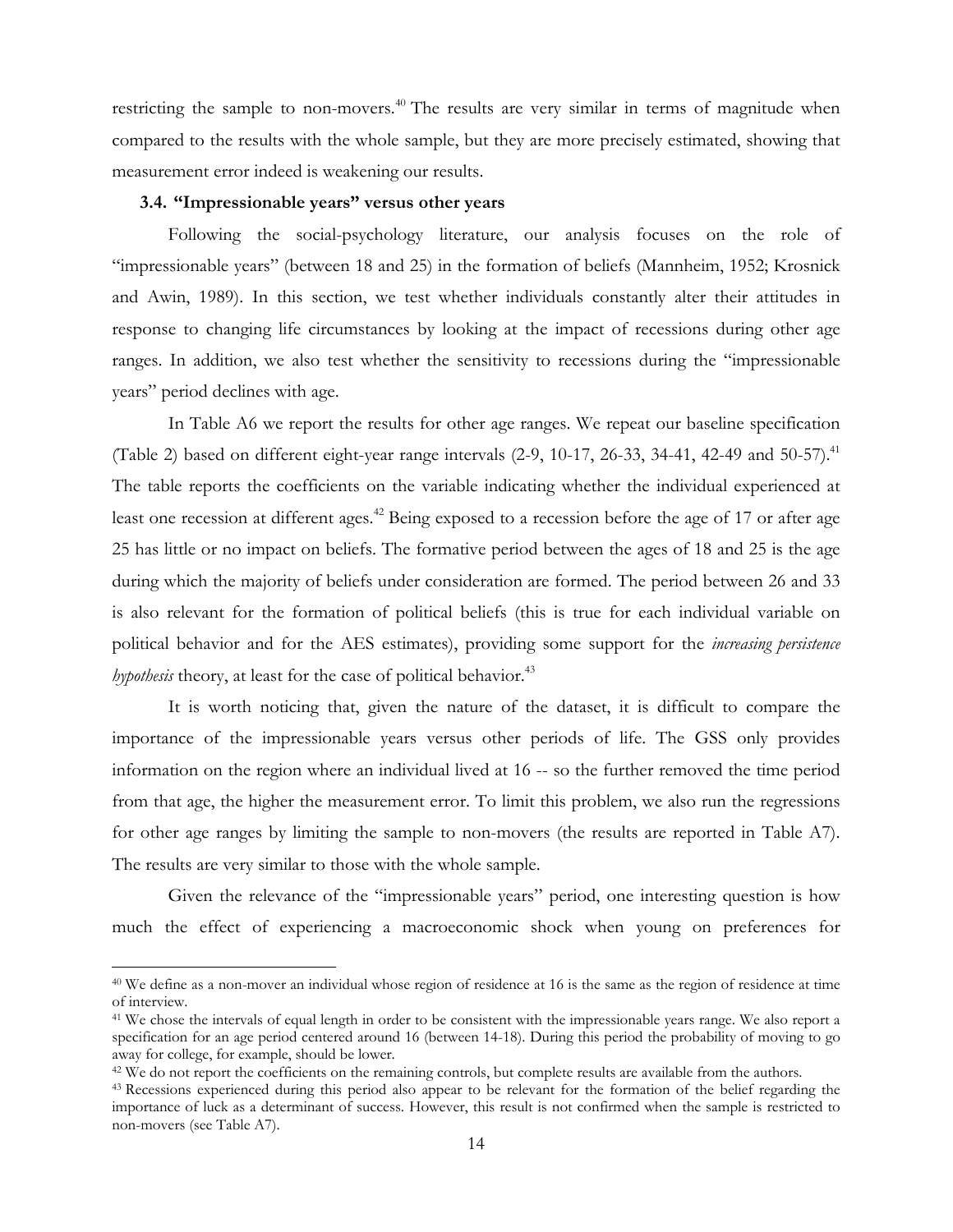restricting the sample to non-movers.<sup>40</sup> The results are very similar in terms of magnitude when compared to the results with the whole sample, but they are more precisely estimated, showing that measurement error indeed is weakening our results.

#### **3.4. "Impressionable years" versus other years**

 $\overline{a}$ 

Following the social-psychology literature, our analysis focuses on the role of "impressionable years" (between 18 and 25) in the formation of beliefs (Mannheim, 1952; Krosnick and Awin, 1989). In this section, we test whether individuals constantly alter their attitudes in response to changing life circumstances by looking at the impact of recessions during other age ranges. In addition, we also test whether the sensitivity to recessions during the "impressionable years" period declines with age.

In Table A6 we report the results for other age ranges. We repeat our baseline specification (Table 2) based on different eight-year range intervals  $(2-9, 10-17, 26-33, 34-41, 42-49, 40-15)$ The table reports the coefficients on the variable indicating whether the individual experienced at least one recession at different ages.<sup>42</sup> Being exposed to a recession before the age of 17 or after age 25 has little or no impact on beliefs. The formative period between the ages of 18 and 25 is the age during which the majority of beliefs under consideration are formed. The period between 26 and 33 is also relevant for the formation of political beliefs (this is true for each individual variable on political behavior and for the AES estimates), providing some support for the *increasing persistence hypothesis* theory, at least for the case of political behavior.<sup>43</sup>

It is worth noticing that, given the nature of the dataset, it is difficult to compare the importance of the impressionable years versus other periods of life. The GSS only provides information on the region where an individual lived at 16 -- so the further removed the time period from that age, the higher the measurement error. To limit this problem, we also run the regressions for other age ranges by limiting the sample to non-movers (the results are reported in Table A7). The results are very similar to those with the whole sample.

Given the relevance of the "impressionable years" period, one interesting question is how much the effect of experiencing a macroeconomic shock when young on preferences for

<sup>40</sup> We define as a non-mover an individual whose region of residence at 16 is the same as the region of residence at time of interview.

<sup>41</sup> We chose the intervals of equal length in order to be consistent with the impressionable years range. We also report a specification for an age period centered around 16 (between 14-18). During this period the probability of moving to go away for college, for example, should be lower.

<sup>&</sup>lt;sup>42</sup> We do not report the coefficients on the remaining controls, but complete results are available from the authors.

<sup>&</sup>lt;sup>43</sup> Recessions experienced during this period also appear to be relevant for the formation of the belief regarding the importance of luck as a determinant of success. However, this result is not confirmed when the sample is restricted to non-movers (see Table A7).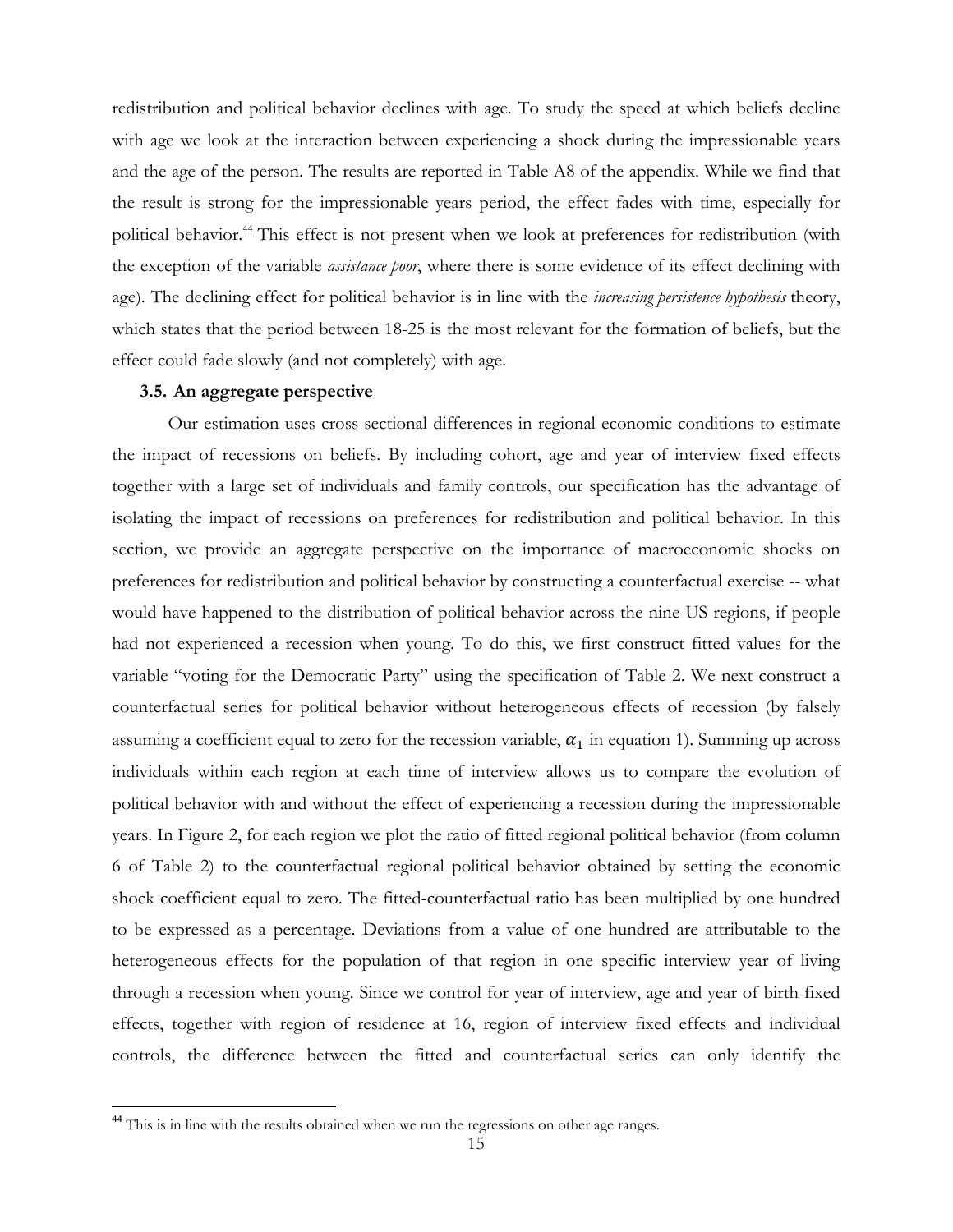redistribution and political behavior declines with age. To study the speed at which beliefs decline with age we look at the interaction between experiencing a shock during the impressionable years and the age of the person. The results are reported in Table A8 of the appendix. While we find that the result is strong for the impressionable years period, the effect fades with time, especially for political behavior.<sup>44</sup> This effect is not present when we look at preferences for redistribution (with the exception of the variable *assistance poor*, where there is some evidence of its effect declining with age). The declining effect for political behavior is in line with the *increasing persistence hypothesis* theory, which states that the period between 18-25 is the most relevant for the formation of beliefs, but the effect could fade slowly (and not completely) with age.

#### **3.5. An aggregate perspective**

Our estimation uses cross-sectional differences in regional economic conditions to estimate the impact of recessions on beliefs. By including cohort, age and year of interview fixed effects together with a large set of individuals and family controls, our specification has the advantage of isolating the impact of recessions on preferences for redistribution and political behavior. In this section, we provide an aggregate perspective on the importance of macroeconomic shocks on preferences for redistribution and political behavior by constructing a counterfactual exercise -- what would have happened to the distribution of political behavior across the nine US regions, if people had not experienced a recession when young. To do this, we first construct fitted values for the variable "voting for the Democratic Party" using the specification of Table 2. We next construct a counterfactual series for political behavior without heterogeneous effects of recession (by falsely assuming a coefficient equal to zero for the recession variable,  $\alpha_1$  in equation 1). Summing up across individuals within each region at each time of interview allows us to compare the evolution of political behavior with and without the effect of experiencing a recession during the impressionable years. In Figure 2, for each region we plot the ratio of fitted regional political behavior (from column 6 of Table 2) to the counterfactual regional political behavior obtained by setting the economic shock coefficient equal to zero. The fitted-counterfactual ratio has been multiplied by one hundred to be expressed as a percentage. Deviations from a value of one hundred are attributable to the heterogeneous effects for the population of that region in one specific interview year of living through a recession when young. Since we control for year of interview, age and year of birth fixed effects, together with region of residence at 16, region of interview fixed effects and individual controls, the difference between the fitted and counterfactual series can only identify the

<sup>&</sup>lt;sup>44</sup> This is in line with the results obtained when we run the regressions on other age ranges.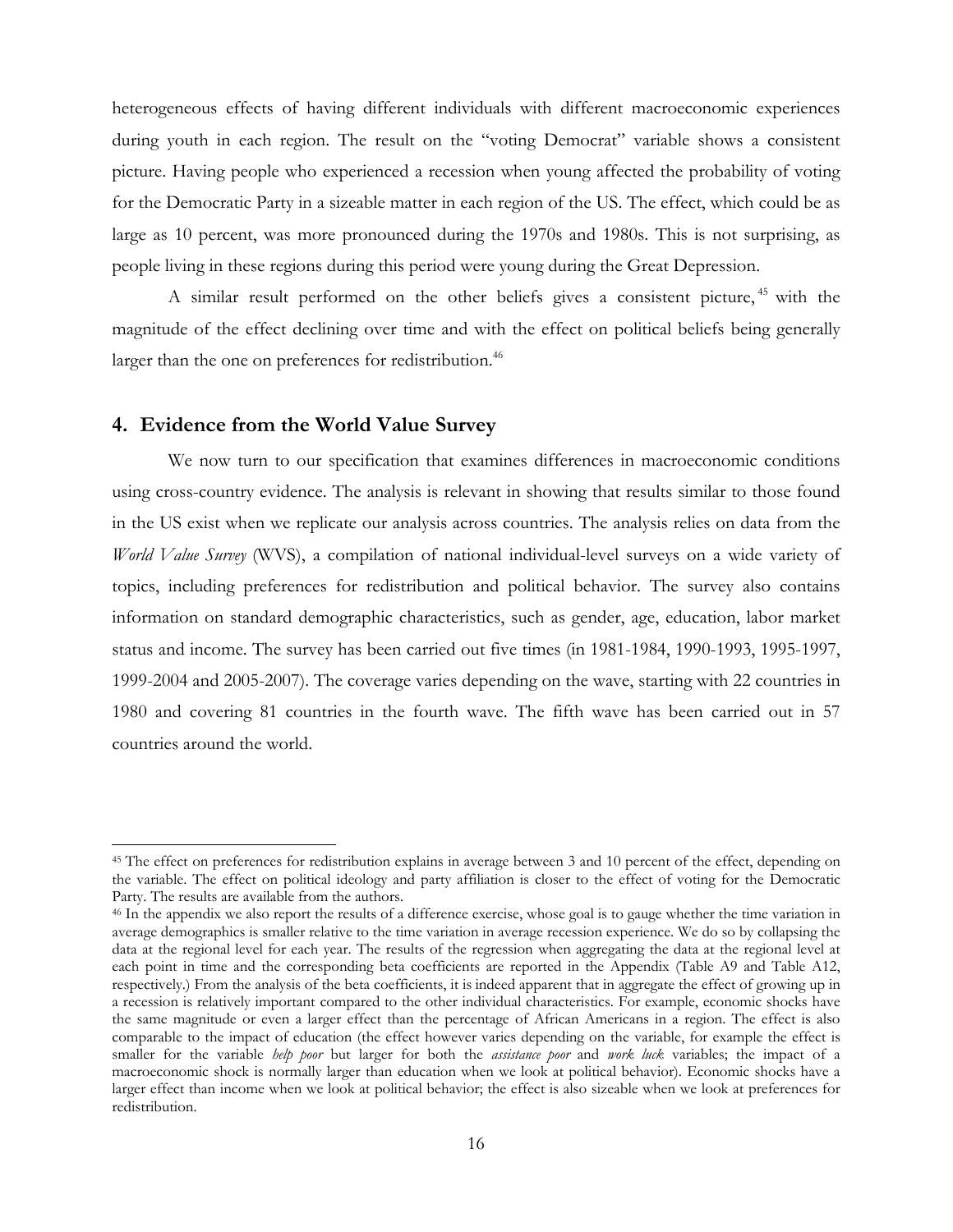heterogeneous effects of having different individuals with different macroeconomic experiences during youth in each region. The result on the "voting Democrat" variable shows a consistent picture. Having people who experienced a recession when young affected the probability of voting for the Democratic Party in a sizeable matter in each region of the US. The effect, which could be as large as 10 percent, was more pronounced during the 1970s and 1980s. This is not surprising, as people living in these regions during this period were young during the Great Depression.

A similar result performed on the other beliefs gives a consistent picture,<sup>45</sup> with the magnitude of the effect declining over time and with the effect on political beliefs being generally larger than the one on preferences for redistribution.<sup>46</sup>

### **4. Evidence from the World Value Survey**

 $\overline{a}$ 

We now turn to our specification that examines differences in macroeconomic conditions using cross-country evidence. The analysis is relevant in showing that results similar to those found in the US exist when we replicate our analysis across countries. The analysis relies on data from the *World Value Survey* (WVS), a compilation of national individual-level surveys on a wide variety of topics, including preferences for redistribution and political behavior. The survey also contains information on standard demographic characteristics, such as gender, age, education, labor market status and income. The survey has been carried out five times (in 1981-1984, 1990-1993, 1995-1997, 1999-2004 and 2005-2007). The coverage varies depending on the wave, starting with 22 countries in 1980 and covering 81 countries in the fourth wave. The fifth wave has been carried out in 57 countries around the world.

<sup>45</sup> The effect on preferences for redistribution explains in average between 3 and 10 percent of the effect, depending on the variable. The effect on political ideology and party affiliation is closer to the effect of voting for the Democratic Party. The results are available from the authors.

<sup>46</sup> In the appendix we also report the results of a difference exercise, whose goal is to gauge whether the time variation in average demographics is smaller relative to the time variation in average recession experience. We do so by collapsing the data at the regional level for each year. The results of the regression when aggregating the data at the regional level at each point in time and the corresponding beta coefficients are reported in the Appendix (Table A9 and Table A12, respectively.) From the analysis of the beta coefficients, it is indeed apparent that in aggregate the effect of growing up in a recession is relatively important compared to the other individual characteristics. For example, economic shocks have the same magnitude or even a larger effect than the percentage of African Americans in a region. The effect is also comparable to the impact of education (the effect however varies depending on the variable, for example the effect is smaller for the variable *help poor* but larger for both the *assistance poor* and *work luck* variables; the impact of a macroeconomic shock is normally larger than education when we look at political behavior). Economic shocks have a larger effect than income when we look at political behavior; the effect is also sizeable when we look at preferences for redistribution.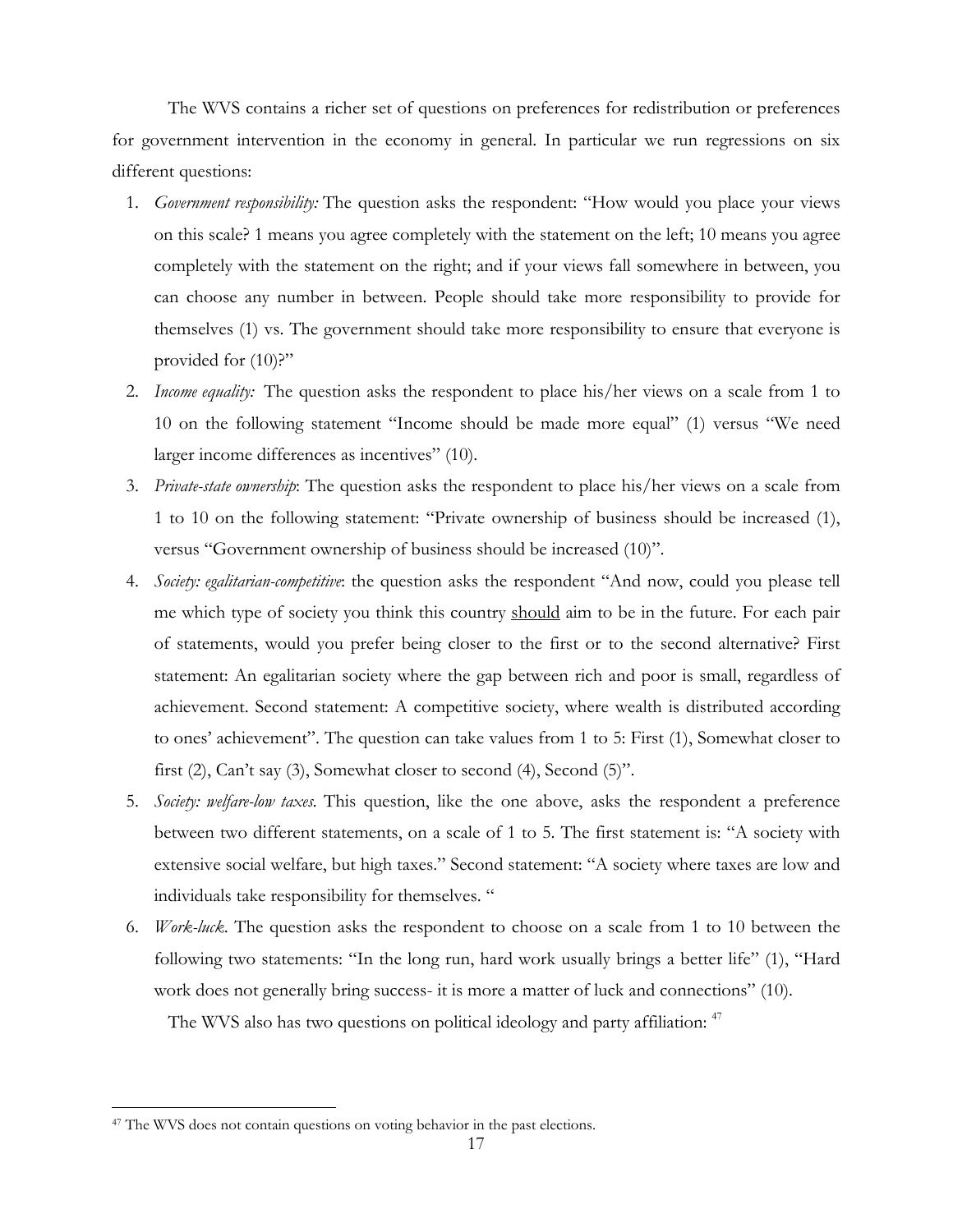The WVS contains a richer set of questions on preferences for redistribution or preferences for government intervention in the economy in general. In particular we run regressions on six different questions:

- 1. *Government responsibility:* The question asks the respondent: "How would you place your views on this scale? 1 means you agree completely with the statement on the left; 10 means you agree completely with the statement on the right; and if your views fall somewhere in between, you can choose any number in between. People should take more responsibility to provide for themselves (1) vs. The government should take more responsibility to ensure that everyone is provided for  $(10)$ ?"
- 2. *Income equality:* The question asks the respondent to place his/her views on a scale from 1 to 10 on the following statement "Income should be made more equal" (1) versus "We need larger income differences as incentives" (10).
- 3. *Private-state ownership*: The question asks the respondent to place his/her views on a scale from 1 to 10 on the following statement: "Private ownership of business should be increased (1), versus "Government ownership of business should be increased (10)".
- 4. *Society: egalitarian-competitive*: the question asks the respondent "And now, could you please tell me which type of society you think this country should aim to be in the future. For each pair of statements, would you prefer being closer to the first or to the second alternative? First statement: An egalitarian society where the gap between rich and poor is small, regardless of achievement. Second statement: A competitive society, where wealth is distributed according to ones' achievement". The question can take values from 1 to 5: First (1), Somewhat closer to first (2), Can't say (3), Somewhat closer to second (4), Second (5)".
- 5. *Society: welfare-low taxes.* This question, like the one above, asks the respondent a preference between two different statements, on a scale of 1 to 5. The first statement is: "A society with extensive social welfare, but high taxes." Second statement: "A society where taxes are low and individuals take responsibility for themselves. "
- 6. *Work-luck*. The question asks the respondent to choose on a scale from 1 to 10 between the following two statements: "In the long run, hard work usually brings a better life" (1), "Hard work does not generally bring success- it is more a matter of luck and connections" (10).

The WVS also has two questions on political ideology and party affiliation: <sup>47</sup>

<sup>&</sup>lt;sup>47</sup> The WVS does not contain questions on voting behavior in the past elections.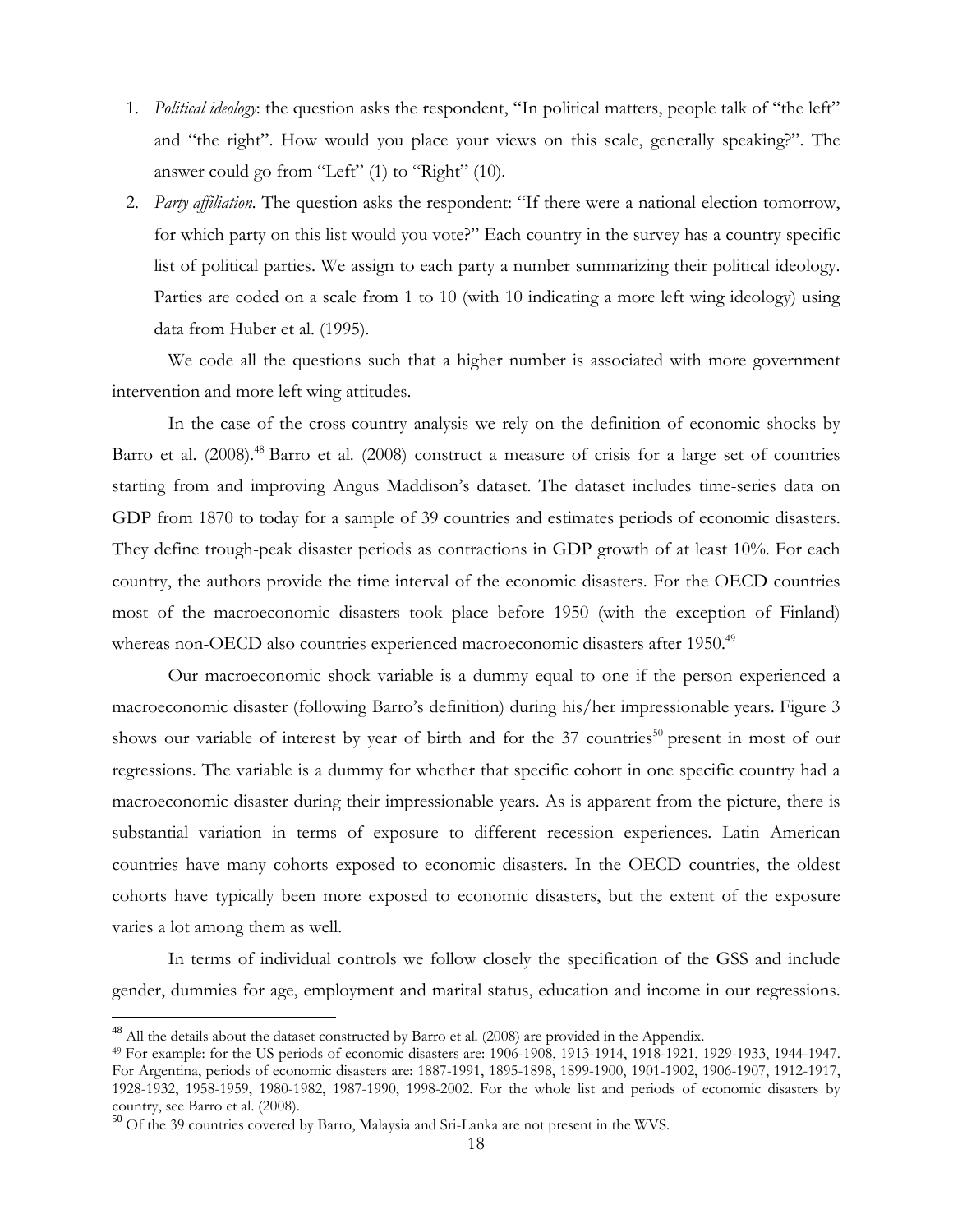- 1. *Political ideology*: the question asks the respondent, "In political matters, people talk of "the left" and "the right". How would you place your views on this scale, generally speaking?". The answer could go from "Left" (1) to "Right" (10).
- 2. *Party affiliation.* The question asks the respondent: "If there were a national election tomorrow, for which party on this list would you vote?" Each country in the survey has a country specific list of political parties. We assign to each party a number summarizing their political ideology. Parties are coded on a scale from 1 to 10 (with 10 indicating a more left wing ideology) using data from Huber et al. (1995).

We code all the questions such that a higher number is associated with more government intervention and more left wing attitudes.

In the case of the cross-country analysis we rely on the definition of economic shocks by Barro et al. (2008).<sup>48</sup> Barro et al. (2008) construct a measure of crisis for a large set of countries starting from and improving Angus Maddison's dataset. The dataset includes time-series data on GDP from 1870 to today for a sample of 39 countries and estimates periods of economic disasters. They define trough-peak disaster periods as contractions in GDP growth of at least 10%. For each country, the authors provide the time interval of the economic disasters. For the OECD countries most of the macroeconomic disasters took place before 1950 (with the exception of Finland) whereas non-OECD also countries experienced macroeconomic disasters after 1950.<sup>49</sup>

Our macroeconomic shock variable is a dummy equal to one if the person experienced a macroeconomic disaster (following Barro's definition) during his/her impressionable years. Figure 3 shows our variable of interest by year of birth and for the  $37$  countries<sup>50</sup> present in most of our regressions. The variable is a dummy for whether that specific cohort in one specific country had a macroeconomic disaster during their impressionable years. As is apparent from the picture, there is substantial variation in terms of exposure to different recession experiences. Latin American countries have many cohorts exposed to economic disasters. In the OECD countries, the oldest cohorts have typically been more exposed to economic disasters, but the extent of the exposure varies a lot among them as well.

In terms of individual controls we follow closely the specification of the GSS and include gender, dummies for age, employment and marital status, education and income in our regressions.

 $^{48}$  All the details about the dataset constructed by Barro et al. (2008) are provided in the Appendix.<br> $^{49}$  For example: for the US periods of economic disasters are: 1906-1908, 1913-1914, 1918-1921, 1929-1933, 1944-For Argentina, periods of economic disasters are: 1887-1991, 1895-1898, 1899-1900, 1901-1902, 1906-1907, 1912-1917, 1928-1932, 1958-1959, 1980-1982, 1987-1990, 1998-2002. For the whole list and periods of economic disasters by country, see Barro et al. (2008).

<sup>50</sup> Of the 39 countries covered by Barro, Malaysia and Sri-Lanka are not present in the WVS.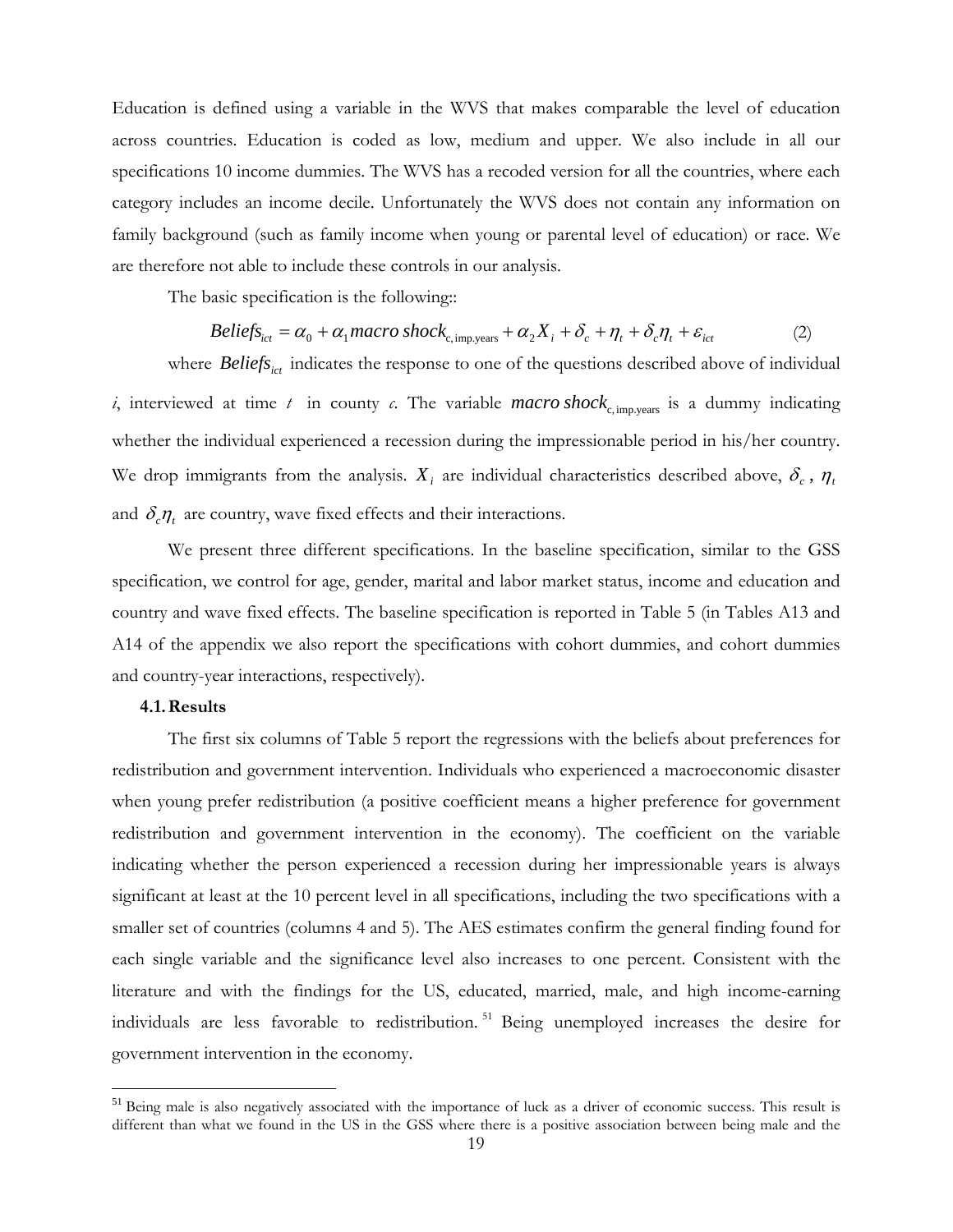Education is defined using a variable in the WVS that makes comparable the level of education across countries. Education is coded as low, medium and upper. We also include in all our specifications 10 income dummies. The WVS has a recoded version for all the countries, where each category includes an income decile. Unfortunately the WVS does not contain any information on family background (such as family income when young or parental level of education) or race. We are therefore not able to include these controls in our analysis.

The basic specification is the following::

$$
Beliefs_{ict} = \alpha_0 + \alpha_1 macro\ shock_{c, imp.years} + \alpha_2 X_i + \delta_c + \eta_t + \delta_c \eta_t + \varepsilon_{ict}
$$
 (2)

where *Beliefs<sub>ict</sub>* indicates the response to one of the questions described above of individual *i*, interviewed at time *t* in county *c*. The variable *macro* shock<sub>c, imp</sub>, years is a dummy indicating whether the individual experienced a recession during the impressionable period in his/her country. We drop immigrants from the analysis.  $X_i$  are individual characteristics described above,  $\delta_c$ ,  $\eta_t$ and  $\delta_c \eta_t$  are country, wave fixed effects and their interactions.

We present three different specifications. In the baseline specification, similar to the GSS specification, we control for age, gender, marital and labor market status, income and education and country and wave fixed effects. The baseline specification is reported in Table 5 (in Tables A13 and A14 of the appendix we also report the specifications with cohort dummies, and cohort dummies and country-year interactions, respectively).

#### **4.1.Results**

 $\overline{a}$ 

The first six columns of Table 5 report the regressions with the beliefs about preferences for redistribution and government intervention. Individuals who experienced a macroeconomic disaster when young prefer redistribution (a positive coefficient means a higher preference for government redistribution and government intervention in the economy). The coefficient on the variable indicating whether the person experienced a recession during her impressionable years is always significant at least at the 10 percent level in all specifications, including the two specifications with a smaller set of countries (columns 4 and 5). The AES estimates confirm the general finding found for each single variable and the significance level also increases to one percent. Consistent with the literature and with the findings for the US, educated, married, male, and high income-earning individuals are less favorable to redistribution. 51 Being unemployed increases the desire for government intervention in the economy.

<sup>&</sup>lt;sup>51</sup> Being male is also negatively associated with the importance of luck as a driver of economic success. This result is different than what we found in the US in the GSS where there is a positive association between being male and the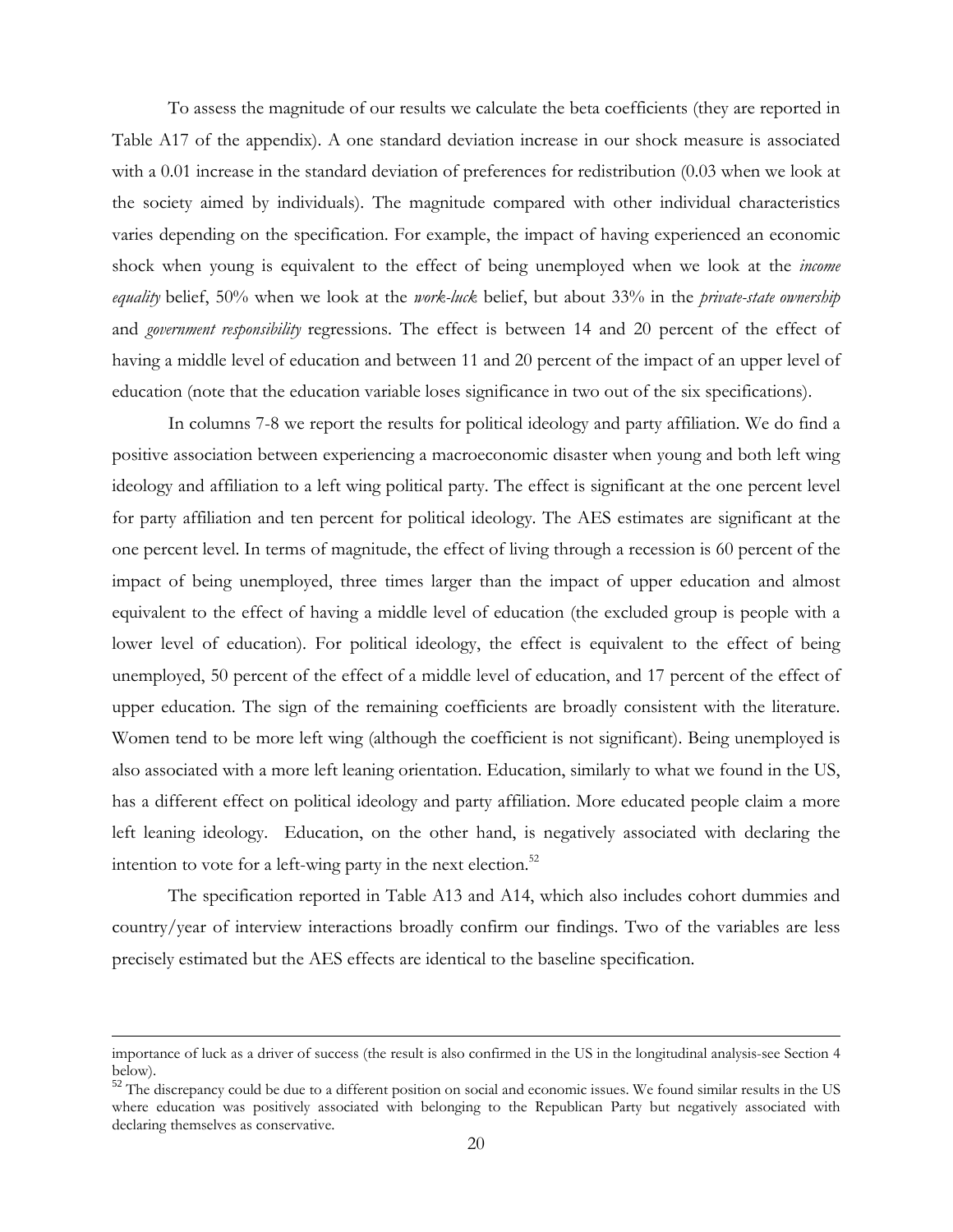To assess the magnitude of our results we calculate the beta coefficients (they are reported in Table A17 of the appendix). A one standard deviation increase in our shock measure is associated with a 0.01 increase in the standard deviation of preferences for redistribution (0.03 when we look at the society aimed by individuals). The magnitude compared with other individual characteristics varies depending on the specification. For example, the impact of having experienced an economic shock when young is equivalent to the effect of being unemployed when we look at the *income equality* belief, 50% when we look at the *work-luck* belief, but about 33% in the *private-state ownership* and *government responsibility* regressions. The effect is between 14 and 20 percent of the effect of having a middle level of education and between 11 and 20 percent of the impact of an upper level of education (note that the education variable loses significance in two out of the six specifications).

In columns 7-8 we report the results for political ideology and party affiliation. We do find a positive association between experiencing a macroeconomic disaster when young and both left wing ideology and affiliation to a left wing political party. The effect is significant at the one percent level for party affiliation and ten percent for political ideology. The AES estimates are significant at the one percent level. In terms of magnitude, the effect of living through a recession is 60 percent of the impact of being unemployed, three times larger than the impact of upper education and almost equivalent to the effect of having a middle level of education (the excluded group is people with a lower level of education). For political ideology, the effect is equivalent to the effect of being unemployed, 50 percent of the effect of a middle level of education, and 17 percent of the effect of upper education. The sign of the remaining coefficients are broadly consistent with the literature. Women tend to be more left wing (although the coefficient is not significant). Being unemployed is also associated with a more left leaning orientation. Education, similarly to what we found in the US, has a different effect on political ideology and party affiliation. More educated people claim a more left leaning ideology. Education, on the other hand, is negatively associated with declaring the intention to vote for a left-wing party in the next election.<sup>52</sup>

 The specification reported in Table A13 and A14, which also includes cohort dummies and country/year of interview interactions broadly confirm our findings. Two of the variables are less precisely estimated but the AES effects are identical to the baseline specification.

importance of luck as a driver of success (the result is also confirmed in the US in the longitudinal analysis-see Section 4 below).

 $52$  The discrepancy could be due to a different position on social and economic issues. We found similar results in the US where education was positively associated with belonging to the Republican Party but negatively associated with declaring themselves as conservative.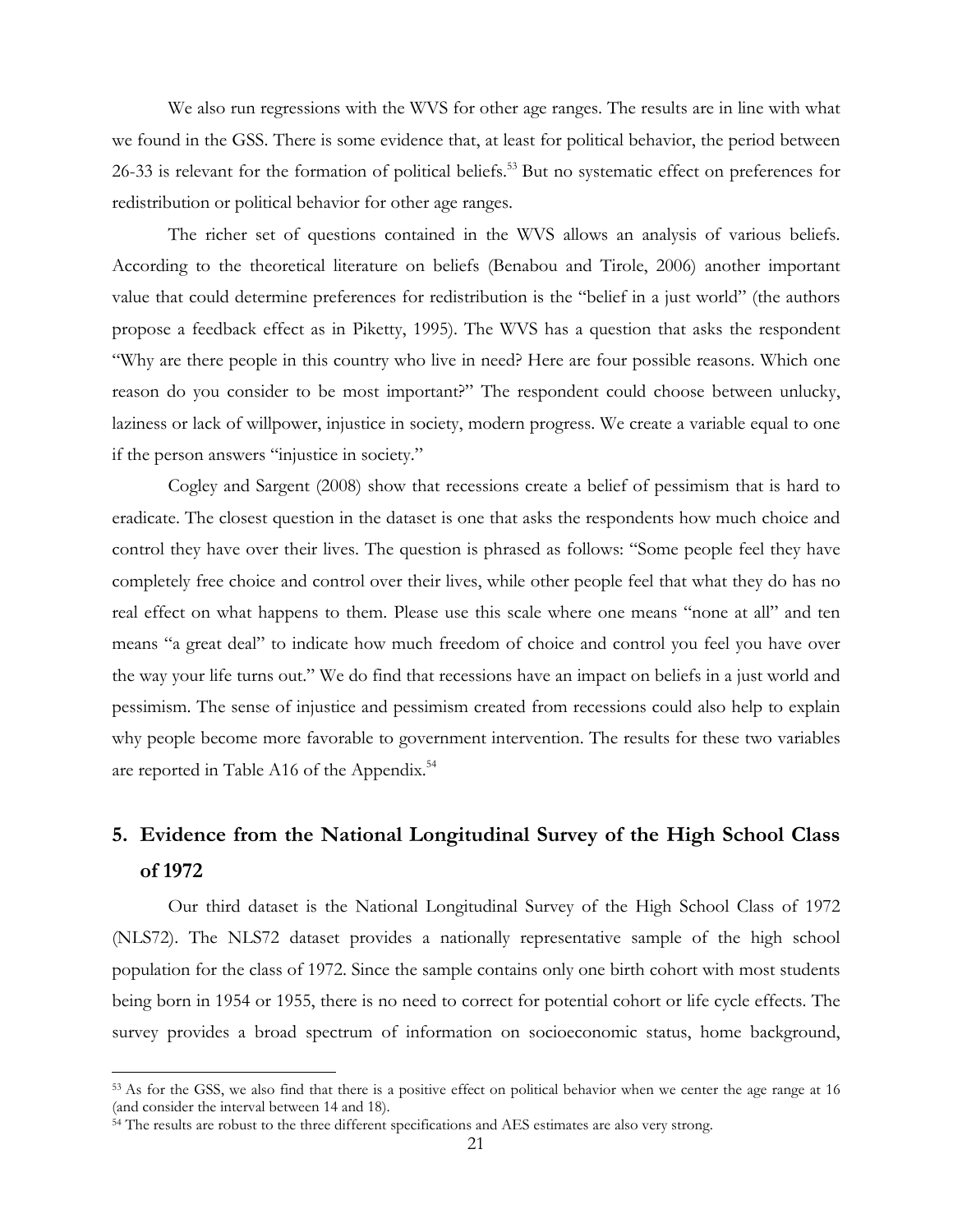We also run regressions with the WVS for other age ranges. The results are in line with what we found in the GSS. There is some evidence that, at least for political behavior, the period between 26-33 is relevant for the formation of political beliefs.<sup>53</sup> But no systematic effect on preferences for redistribution or political behavior for other age ranges.

The richer set of questions contained in the WVS allows an analysis of various beliefs. According to the theoretical literature on beliefs (Benabou and Tirole, 2006) another important value that could determine preferences for redistribution is the "belief in a just world" (the authors propose a feedback effect as in Piketty, 1995). The WVS has a question that asks the respondent "Why are there people in this country who live in need? Here are four possible reasons. Which one reason do you consider to be most important?" The respondent could choose between unlucky, laziness or lack of willpower, injustice in society, modern progress. We create a variable equal to one if the person answers "injustice in society."

Cogley and Sargent (2008) show that recessions create a belief of pessimism that is hard to eradicate. The closest question in the dataset is one that asks the respondents how much choice and control they have over their lives. The question is phrased as follows: "Some people feel they have completely free choice and control over their lives, while other people feel that what they do has no real effect on what happens to them. Please use this scale where one means "none at all" and ten means "a great deal" to indicate how much freedom of choice and control you feel you have over the way your life turns out." We do find that recessions have an impact on beliefs in a just world and pessimism. The sense of injustice and pessimism created from recessions could also help to explain why people become more favorable to government intervention. The results for these two variables are reported in Table A16 of the Appendix.<sup>54</sup>

# **5. Evidence from the National Longitudinal Survey of the High School Class of 1972**

Our third dataset is the National Longitudinal Survey of the High School Class of 1972 (NLS72). The NLS72 dataset provides a nationally representative sample of the high school population for the class of 1972. Since the sample contains only one birth cohort with most students being born in 1954 or 1955, there is no need to correct for potential cohort or life cycle effects. The survey provides a broad spectrum of information on socioeconomic status, home background,

<sup>&</sup>lt;sup>53</sup> As for the GSS, we also find that there is a positive effect on political behavior when we center the age range at 16 (and consider the interval between 14 and 18).

<sup>&</sup>lt;sup>54</sup> The results are robust to the three different specifications and AES estimates are also very strong.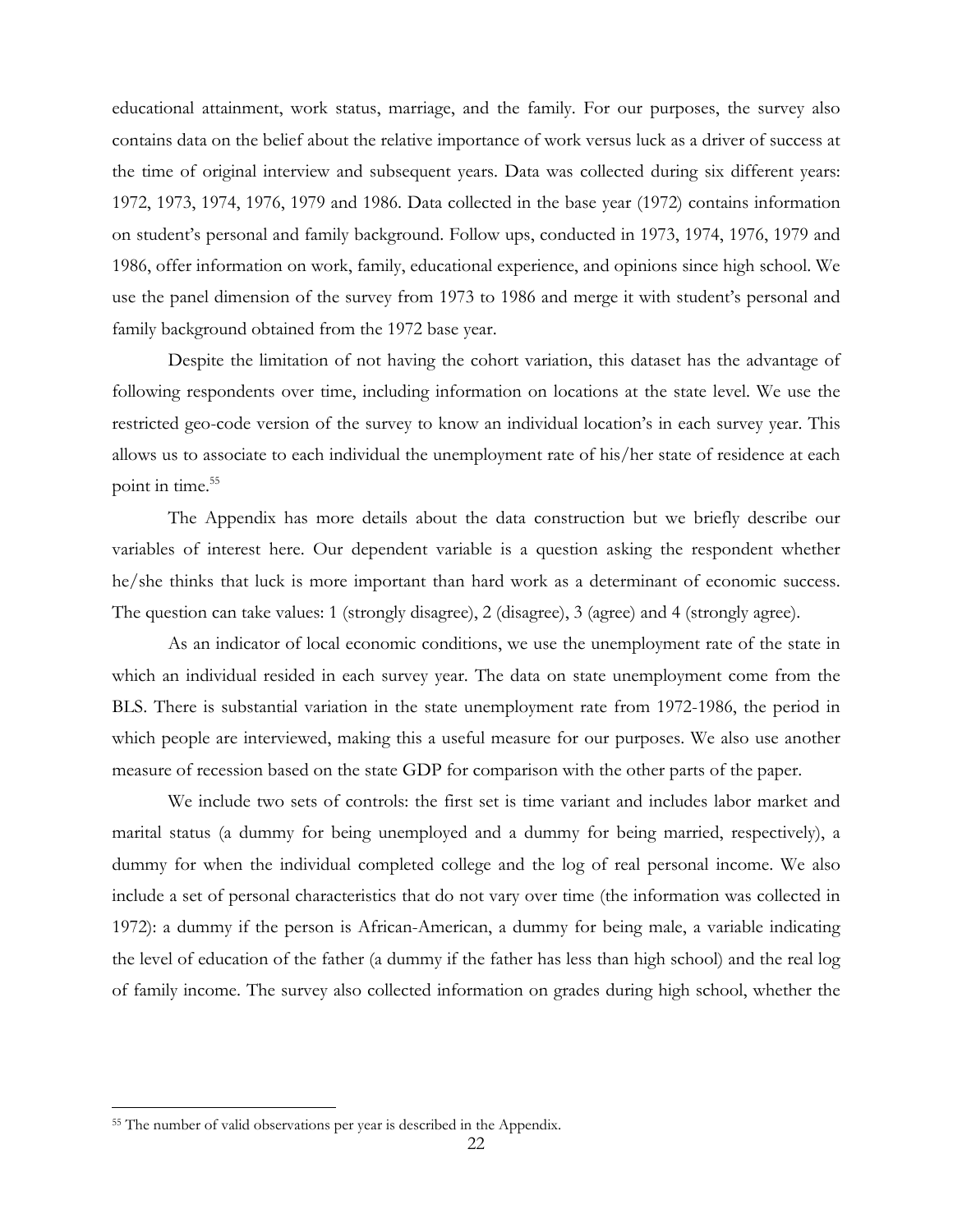educational attainment, work status, marriage, and the family. For our purposes, the survey also contains data on the belief about the relative importance of work versus luck as a driver of success at the time of original interview and subsequent years. Data was collected during six different years: 1972, 1973, 1974, 1976, 1979 and 1986. Data collected in the base year (1972) contains information on student's personal and family background. Follow ups, conducted in 1973, 1974, 1976, 1979 and 1986, offer information on work, family, educational experience, and opinions since high school. We use the panel dimension of the survey from 1973 to 1986 and merge it with student's personal and family background obtained from the 1972 base year.

Despite the limitation of not having the cohort variation, this dataset has the advantage of following respondents over time, including information on locations at the state level. We use the restricted geo-code version of the survey to know an individual location's in each survey year. This allows us to associate to each individual the unemployment rate of his/her state of residence at each point in time.<sup>55</sup>

The Appendix has more details about the data construction but we briefly describe our variables of interest here. Our dependent variable is a question asking the respondent whether he/she thinks that luck is more important than hard work as a determinant of economic success. The question can take values: 1 (strongly disagree), 2 (disagree), 3 (agree) and 4 (strongly agree).

As an indicator of local economic conditions, we use the unemployment rate of the state in which an individual resided in each survey year. The data on state unemployment come from the BLS. There is substantial variation in the state unemployment rate from 1972-1986, the period in which people are interviewed, making this a useful measure for our purposes. We also use another measure of recession based on the state GDP for comparison with the other parts of the paper.

We include two sets of controls: the first set is time variant and includes labor market and marital status (a dummy for being unemployed and a dummy for being married, respectively), a dummy for when the individual completed college and the log of real personal income. We also include a set of personal characteristics that do not vary over time (the information was collected in 1972): a dummy if the person is African-American, a dummy for being male, a variable indicating the level of education of the father (a dummy if the father has less than high school) and the real log of family income. The survey also collected information on grades during high school, whether the

<u>.</u>

<sup>&</sup>lt;sup>55</sup> The number of valid observations per year is described in the Appendix.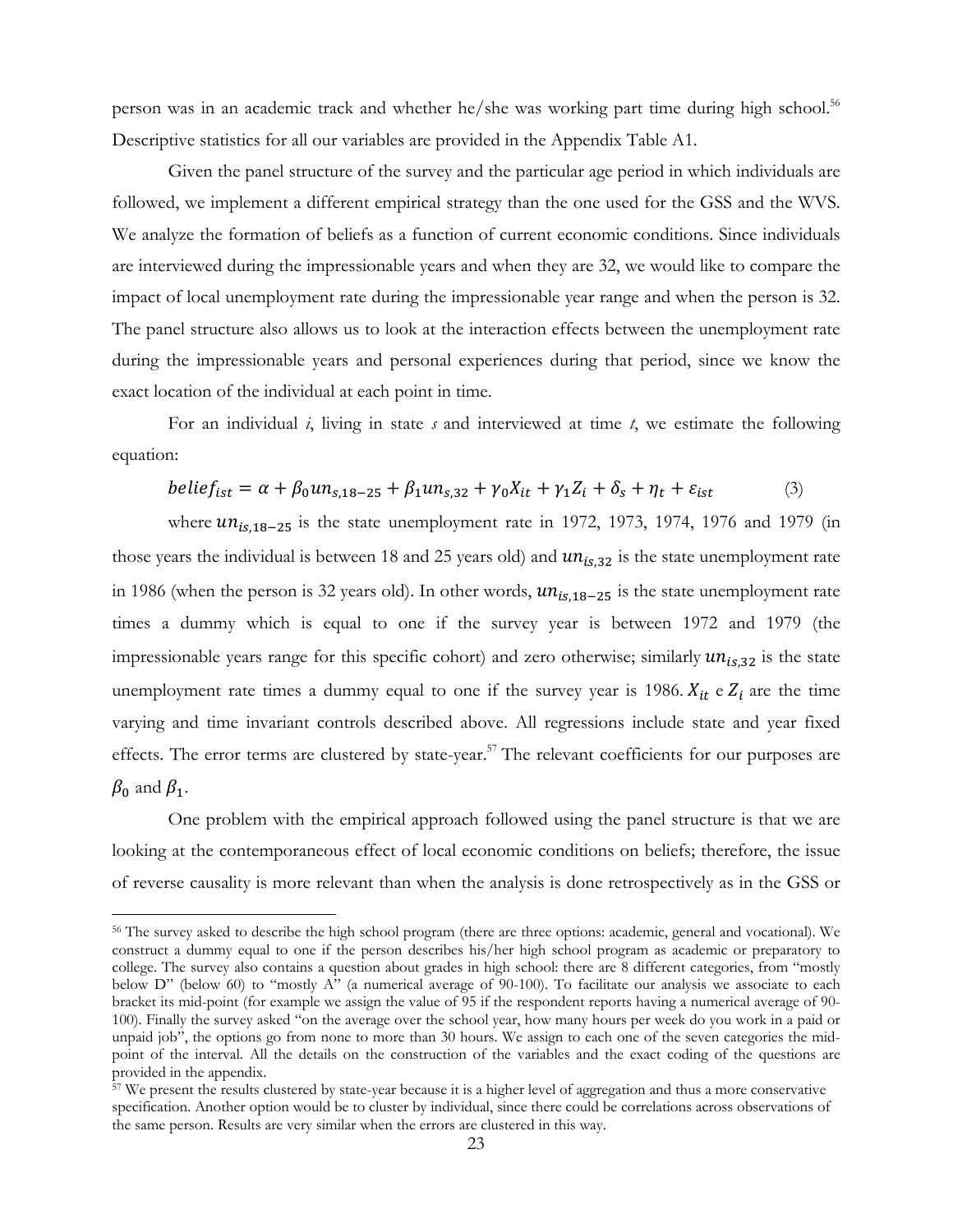person was in an academic track and whether he/she was working part time during high school.<sup>56</sup> Descriptive statistics for all our variables are provided in the Appendix Table A1.

Given the panel structure of the survey and the particular age period in which individuals are followed, we implement a different empirical strategy than the one used for the GSS and the WVS. We analyze the formation of beliefs as a function of current economic conditions. Since individuals are interviewed during the impressionable years and when they are 32, we would like to compare the impact of local unemployment rate during the impressionable year range and when the person is 32. The panel structure also allows us to look at the interaction effects between the unemployment rate during the impressionable years and personal experiences during that period, since we know the exact location of the individual at each point in time.

For an individual *i*, living in state *s* and interviewed at time *t*, we estimate the following equation:

$$
belief_{ist} = \alpha + \beta_0 u n_{s,18-25} + \beta_1 u n_{s,32} + \gamma_0 X_{it} + \gamma_1 Z_i + \delta_s + \eta_t + \varepsilon_{ist}
$$
 (3)

where  $u n_{is,18-25}$  is the state unemployment rate in 1972, 1973, 1974, 1976 and 1979 (in those years the individual is between 18 and 25 years old) and  $un_{is,32}$  is the state unemployment rate in 1986 (when the person is 32 years old). In other words,  $un_{is,18-25}$  is the state unemployment rate times a dummy which is equal to one if the survey year is between 1972 and 1979 (the impressionable years range for this specific cohort) and zero otherwise; similarly  $un_{is,32}$  is the state unemployment rate times a dummy equal to one if the survey year is 1986.  $X_{it}$  e  $Z_i$  are the time varying and time invariant controls described above. All regressions include state and year fixed effects. The error terms are clustered by state-year.<sup>57</sup> The relevant coefficients for our purposes are  $\beta_0$  and  $\beta_1$ .

One problem with the empirical approach followed using the panel structure is that we are looking at the contemporaneous effect of local economic conditions on beliefs; therefore, the issue of reverse causality is more relevant than when the analysis is done retrospectively as in the GSS or

<sup>56</sup> The survey asked to describe the high school program (there are three options: academic, general and vocational). We construct a dummy equal to one if the person describes his/her high school program as academic or preparatory to college. The survey also contains a question about grades in high school: there are 8 different categories, from "mostly below D" (below 60) to "mostly A" (a numerical average of 90-100). To facilitate our analysis we associate to each bracket its mid-point (for example we assign the value of 95 if the respondent reports having a numerical average of 90- 100). Finally the survey asked "on the average over the school year, how many hours per week do you work in a paid or unpaid job", the options go from none to more than 30 hours. We assign to each one of the seven categories the midpoint of the interval. All the details on the construction of the variables and the exact coding of the questions are provided in the appendix.

 $\frac{57}{2}$  We present the results clustered by state-year because it is a higher level of aggregation and thus a more conservative specification. Another option would be to cluster by individual, since there could be correlations across observations of the same person. Results are very similar when the errors are clustered in this way.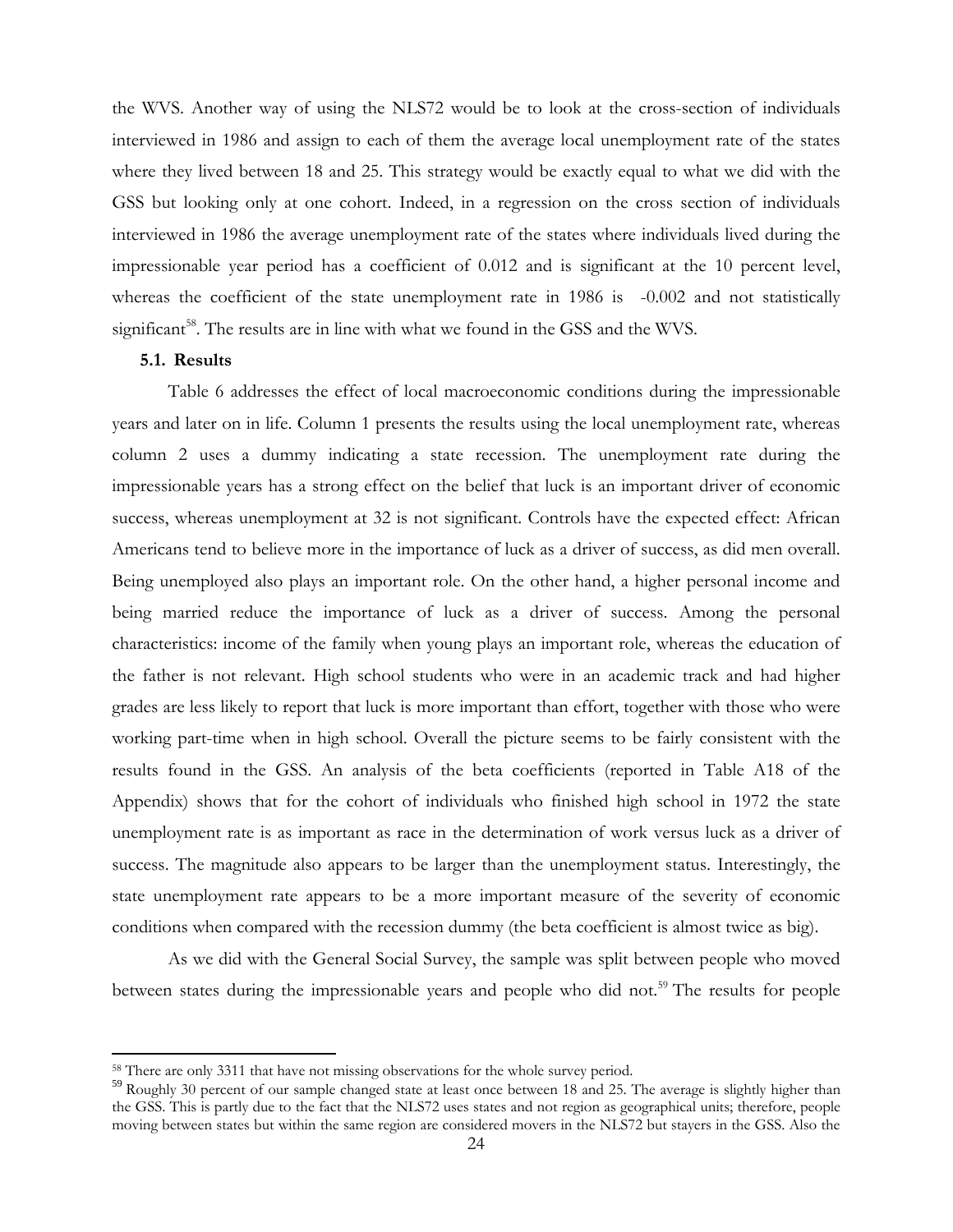the WVS. Another way of using the NLS72 would be to look at the cross-section of individuals interviewed in 1986 and assign to each of them the average local unemployment rate of the states where they lived between 18 and 25. This strategy would be exactly equal to what we did with the GSS but looking only at one cohort. Indeed, in a regression on the cross section of individuals interviewed in 1986 the average unemployment rate of the states where individuals lived during the impressionable year period has a coefficient of 0.012 and is significant at the 10 percent level, whereas the coefficient of the state unemployment rate in 1986 is -0.002 and not statistically significant<sup>58</sup>. The results are in line with what we found in the GSS and the WVS.

### **5.1. Results**

<u>.</u>

Table 6 addresses the effect of local macroeconomic conditions during the impressionable years and later on in life. Column 1 presents the results using the local unemployment rate, whereas column 2 uses a dummy indicating a state recession. The unemployment rate during the impressionable years has a strong effect on the belief that luck is an important driver of economic success, whereas unemployment at 32 is not significant. Controls have the expected effect: African Americans tend to believe more in the importance of luck as a driver of success, as did men overall. Being unemployed also plays an important role. On the other hand, a higher personal income and being married reduce the importance of luck as a driver of success. Among the personal characteristics: income of the family when young plays an important role, whereas the education of the father is not relevant. High school students who were in an academic track and had higher grades are less likely to report that luck is more important than effort, together with those who were working part-time when in high school. Overall the picture seems to be fairly consistent with the results found in the GSS. An analysis of the beta coefficients (reported in Table A18 of the Appendix) shows that for the cohort of individuals who finished high school in 1972 the state unemployment rate is as important as race in the determination of work versus luck as a driver of success. The magnitude also appears to be larger than the unemployment status. Interestingly, the state unemployment rate appears to be a more important measure of the severity of economic conditions when compared with the recession dummy (the beta coefficient is almost twice as big).

As we did with the General Social Survey, the sample was split between people who moved between states during the impressionable years and people who did not.<sup>59</sup> The results for people

<sup>58</sup> There are only 3311 that have not missing observations for the whole survey period.

<sup>&</sup>lt;sup>59</sup> Roughly 30 percent of our sample changed state at least once between 18 and 25. The average is slightly higher than the GSS. This is partly due to the fact that the NLS72 uses states and not region as geographical units; therefore, people moving between states but within the same region are considered movers in the NLS72 but stayers in the GSS. Also the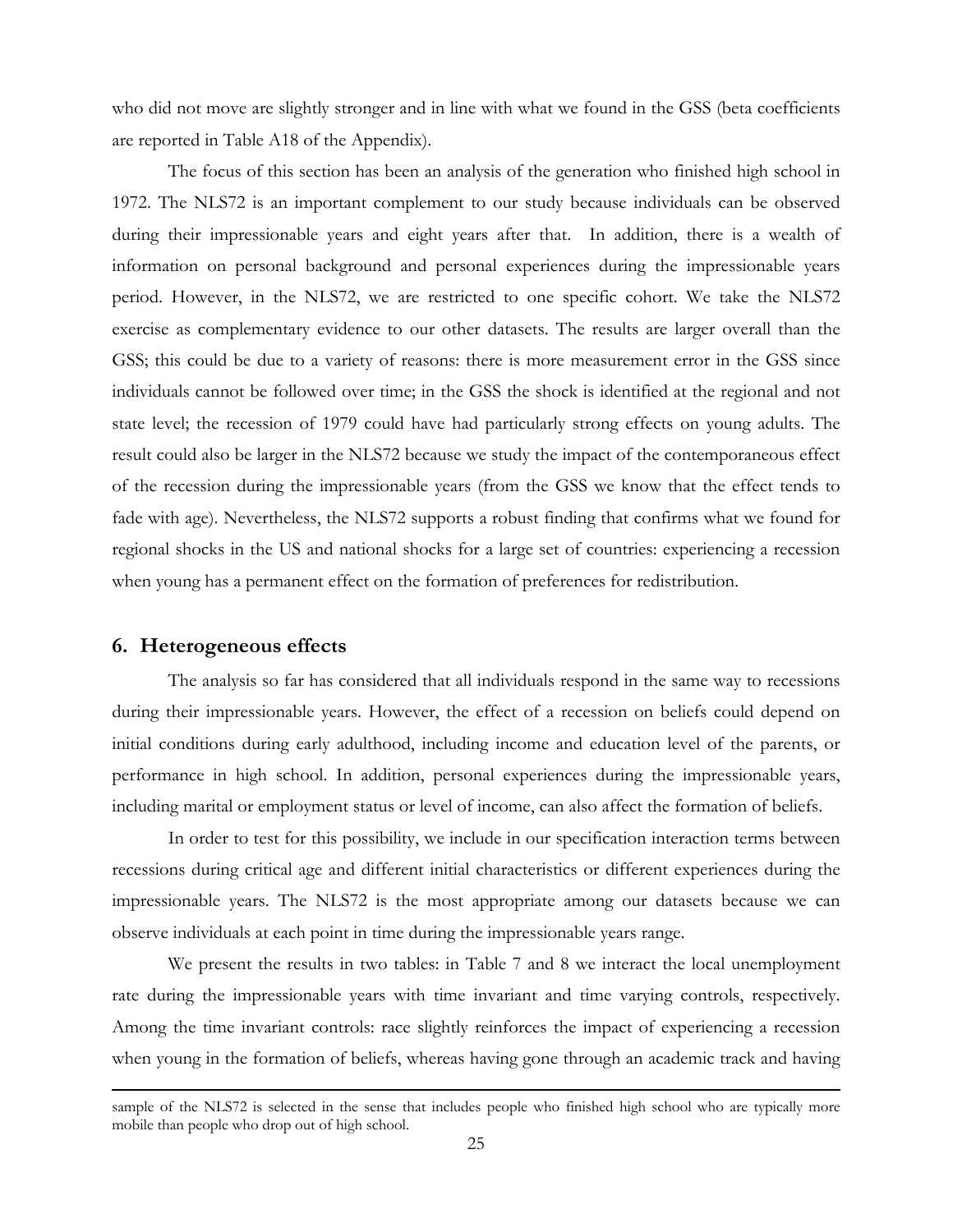who did not move are slightly stronger and in line with what we found in the GSS (beta coefficients are reported in Table A18 of the Appendix).

The focus of this section has been an analysis of the generation who finished high school in 1972. The NLS72 is an important complement to our study because individuals can be observed during their impressionable years and eight years after that. In addition, there is a wealth of information on personal background and personal experiences during the impressionable years period. However, in the NLS72, we are restricted to one specific cohort. We take the NLS72 exercise as complementary evidence to our other datasets. The results are larger overall than the GSS; this could be due to a variety of reasons: there is more measurement error in the GSS since individuals cannot be followed over time; in the GSS the shock is identified at the regional and not state level; the recession of 1979 could have had particularly strong effects on young adults. The result could also be larger in the NLS72 because we study the impact of the contemporaneous effect of the recession during the impressionable years (from the GSS we know that the effect tends to fade with age). Nevertheless, the NLS72 supports a robust finding that confirms what we found for regional shocks in the US and national shocks for a large set of countries: experiencing a recession when young has a permanent effect on the formation of preferences for redistribution.

# **6. Heterogeneous effects**

<u>.</u>

The analysis so far has considered that all individuals respond in the same way to recessions during their impressionable years. However, the effect of a recession on beliefs could depend on initial conditions during early adulthood, including income and education level of the parents, or performance in high school. In addition, personal experiences during the impressionable years, including marital or employment status or level of income, can also affect the formation of beliefs.

In order to test for this possibility, we include in our specification interaction terms between recessions during critical age and different initial characteristics or different experiences during the impressionable years. The NLS72 is the most appropriate among our datasets because we can observe individuals at each point in time during the impressionable years range.

We present the results in two tables: in Table 7 and 8 we interact the local unemployment rate during the impressionable years with time invariant and time varying controls, respectively. Among the time invariant controls: race slightly reinforces the impact of experiencing a recession when young in the formation of beliefs, whereas having gone through an academic track and having

sample of the NLS72 is selected in the sense that includes people who finished high school who are typically more mobile than people who drop out of high school.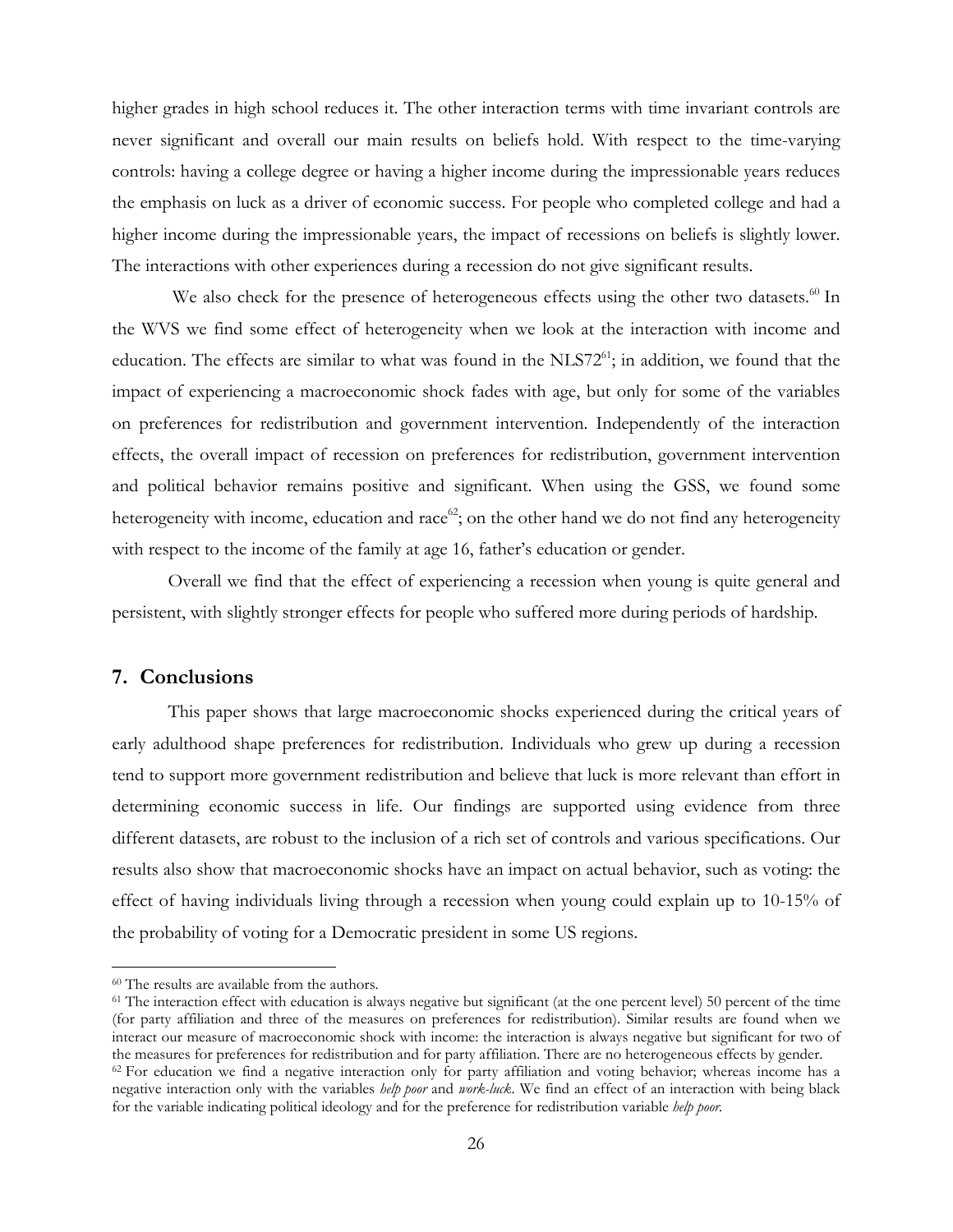higher grades in high school reduces it. The other interaction terms with time invariant controls are never significant and overall our main results on beliefs hold. With respect to the time-varying controls: having a college degree or having a higher income during the impressionable years reduces the emphasis on luck as a driver of economic success. For people who completed college and had a higher income during the impressionable years, the impact of recessions on beliefs is slightly lower. The interactions with other experiences during a recession do not give significant results.

We also check for the presence of heterogeneous effects using the other two datasets.<sup>60</sup> In the WVS we find some effect of heterogeneity when we look at the interaction with income and education. The effects are similar to what was found in the  $NLS72<sup>61</sup>$ ; in addition, we found that the impact of experiencing a macroeconomic shock fades with age, but only for some of the variables on preferences for redistribution and government intervention. Independently of the interaction effects, the overall impact of recession on preferences for redistribution, government intervention and political behavior remains positive and significant. When using the GSS, we found some heterogeneity with income, education and race<sup>62</sup>; on the other hand we do not find any heterogeneity with respect to the income of the family at age 16, father's education or gender.

Overall we find that the effect of experiencing a recession when young is quite general and persistent, with slightly stronger effects for people who suffered more during periods of hardship.

# **7. Conclusions**

 $\overline{a}$ 

This paper shows that large macroeconomic shocks experienced during the critical years of early adulthood shape preferences for redistribution. Individuals who grew up during a recession tend to support more government redistribution and believe that luck is more relevant than effort in determining economic success in life. Our findings are supported using evidence from three different datasets, are robust to the inclusion of a rich set of controls and various specifications. Our results also show that macroeconomic shocks have an impact on actual behavior, such as voting: the effect of having individuals living through a recession when young could explain up to 10-15% of the probability of voting for a Democratic president in some US regions.

<sup>60</sup> The results are available from the authors.

<sup>61</sup> The interaction effect with education is always negative but significant (at the one percent level) 50 percent of the time (for party affiliation and three of the measures on preferences for redistribution). Similar results are found when we interact our measure of macroeconomic shock with income: the interaction is always negative but significant for two of the measures for preferences for redistribution and for party affiliation. There are no heterogeneous effects by gender.<br><sup>62</sup> For education we find a negative interaction only for party affiliation and voting behavior; whe negative interaction only with the variables *help poor* and *work-luck*. We find an effect of an interaction with being black for the variable indicating political ideology and for the preference for redistribution variable *help poor.*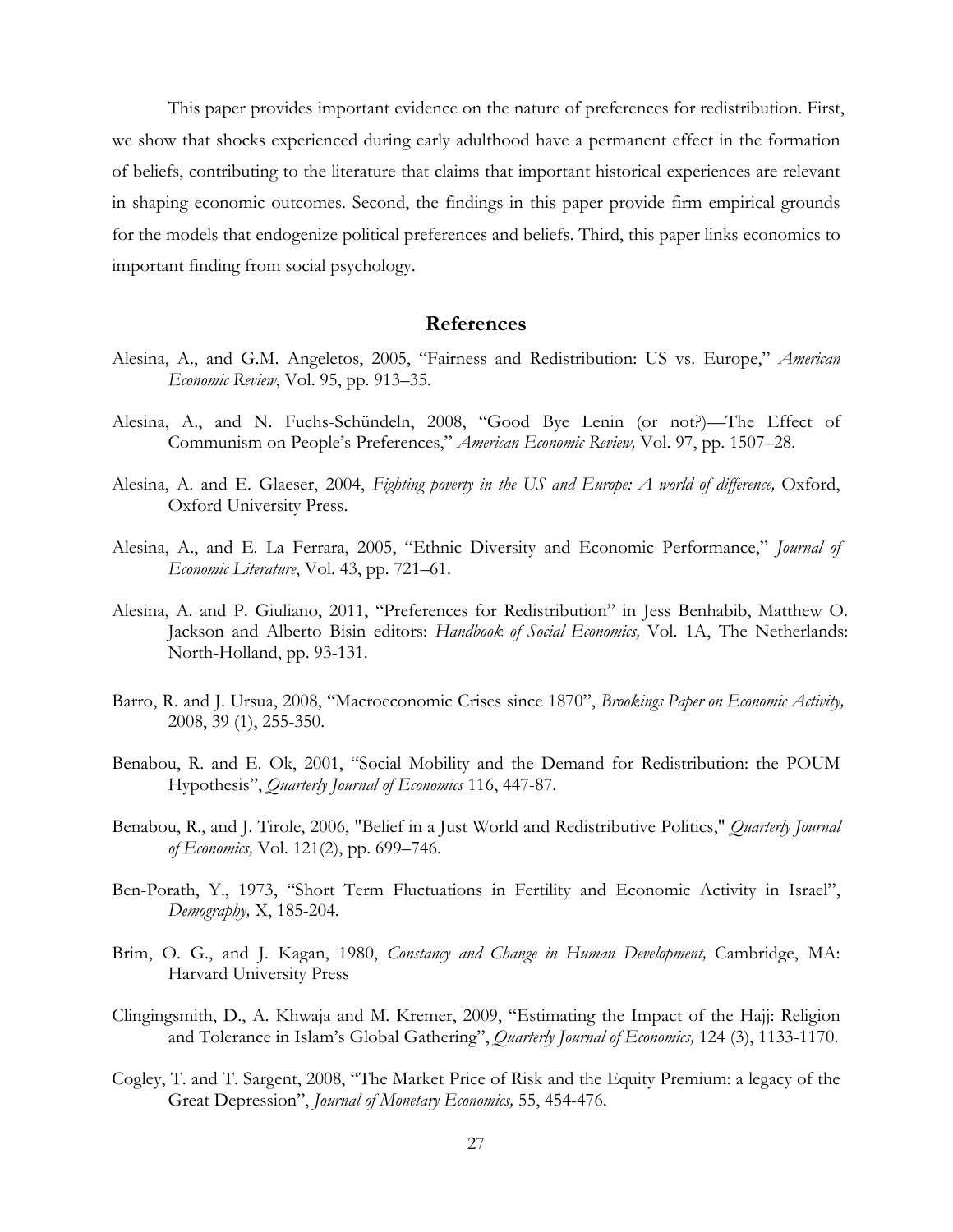This paper provides important evidence on the nature of preferences for redistribution. First, we show that shocks experienced during early adulthood have a permanent effect in the formation of beliefs, contributing to the literature that claims that important historical experiences are relevant in shaping economic outcomes. Second, the findings in this paper provide firm empirical grounds for the models that endogenize political preferences and beliefs. Third, this paper links economics to important finding from social psychology.

# **References**

- Alesina, A., and G.M. Angeletos, 2005, "Fairness and Redistribution: US vs. Europe," *American Economic Review*, Vol. 95, pp. 913–35.
- Alesina, A., and N. Fuchs-Schündeln, 2008, "Good Bye Lenin (or not?)—The Effect of Communism on People's Preferences," *American Economic Review,* Vol. 97, pp. 1507–28.
- Alesina, A. and E. Glaeser, 2004, *Fighting poverty in the US and Europe: A world of difference,* Oxford, Oxford University Press.
- Alesina, A., and E. La Ferrara, 2005, "Ethnic Diversity and Economic Performance," *Journal of Economic Literature*, Vol. 43, pp. 721–61.
- Alesina, A. and P. Giuliano, 2011, "Preferences for Redistribution" in Jess Benhabib, Matthew O. Jackson and Alberto Bisin editors: *Handbook of Social Economics,* Vol. 1A, The Netherlands: North-Holland, pp. 93-131.
- Barro, R. and J. Ursua, 2008, "Macroeconomic Crises since 1870", *Brookings Paper on Economic Activity,*  2008, 39 (1), 255-350.
- Benabou, R. and E. Ok, 2001, "Social Mobility and the Demand for Redistribution: the POUM Hypothesis", *Quarterly Journal of Economics* 116, 447-87.
- Benabou, R., and J. Tirole, 2006, "Belief in a Just World and Redistributive Politics," *Quarterly Journal of Economics,* Vol. 121(2), pp. 699–746.
- Ben-Porath, Y., 1973, "Short Term Fluctuations in Fertility and Economic Activity in Israel", *Demography,* X, 185-204.
- Brim, O. G., and J. Kagan, 1980, *Constancy and Change in Human Development,* Cambridge, MA: Harvard University Press
- Clingingsmith, D., A. Khwaja and M. Kremer, 2009, "Estimating the Impact of the Hajj: Religion and Tolerance in Islam's Global Gathering", *Quarterly Journal of Economics,* 124 (3), 1133-1170.
- Cogley, T. and T. Sargent, 2008, "The Market Price of Risk and the Equity Premium: a legacy of the Great Depression", *Journal of Monetary Economics,* 55, 454-476.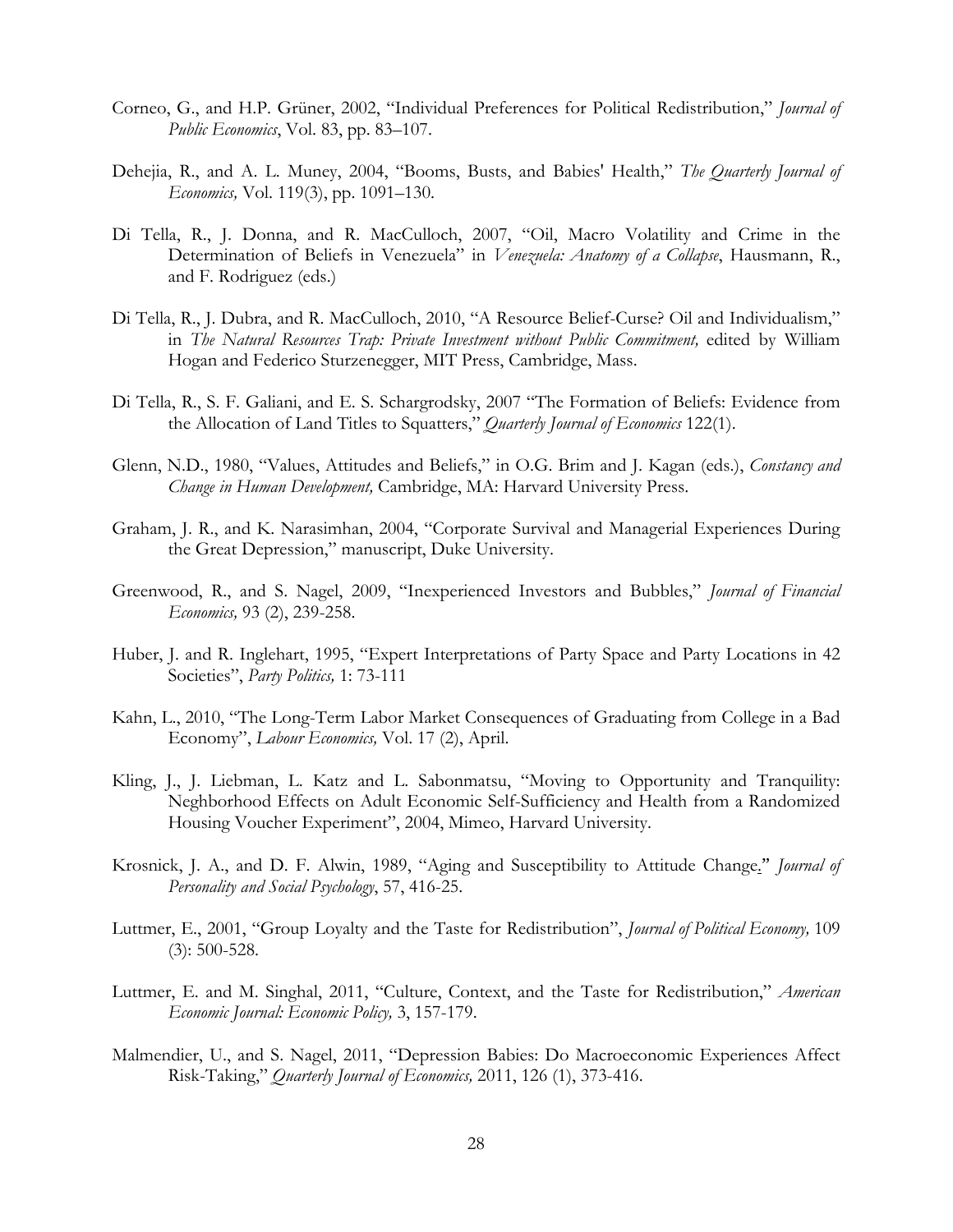- Corneo, G., and H.P. Grüner, 2002, "Individual Preferences for Political Redistribution," *Journal of Public Economics*, Vol. 83, pp. 83–107.
- Dehejia, R., and A. L. Muney, 2004, "Booms, Busts, and Babies' Health," *The Quarterly Journal of Economics,* Vol. 119(3), pp. 1091–130.
- Di Tella, R., J. Donna, and R. MacCulloch, 2007, "Oil, Macro Volatility and Crime in the Determination of Beliefs in Venezuela" in *Venezuela: Anatomy of a Collapse*, Hausmann, R., and F. Rodriguez (eds.)
- Di Tella, R., J. Dubra, and R. MacCulloch, 2010, "A Resource Belief-Curse? Oil and Individualism," in *The Natural Resources Trap: Private Investment without Public Commitment*, edited by William Hogan and Federico Sturzenegger, MIT Press, Cambridge, Mass.
- Di Tella, R., S. F. Galiani, and E. S. Schargrodsky, 2007 "The Formation of Beliefs: Evidence from the Allocation of Land Titles to Squatters," *Quarterly Journal of Economics* 122(1).
- Glenn, N.D., 1980, "Values, Attitudes and Beliefs," in O.G. Brim and J. Kagan (eds.), *Constancy and Change in Human Development,* Cambridge, MA: Harvard University Press.
- Graham, J. R., and K. Narasimhan, 2004, "Corporate Survival and Managerial Experiences During the Great Depression," manuscript, Duke University.
- Greenwood, R., and S. Nagel, 2009, "Inexperienced Investors and Bubbles," *Journal of Financial Economics,* 93 (2), 239-258.
- Huber, J. and R. Inglehart, 1995, "Expert Interpretations of Party Space and Party Locations in 42 Societies", *Party Politics,* 1: 73-111
- Kahn, L., 2010, "The Long-Term Labor Market Consequences of Graduating from College in a Bad Economy", *Labour Economics,* Vol. 17 (2), April.
- Kling, J., J. Liebman, L. Katz and L. Sabonmatsu, "Moving to Opportunity and Tranquility: Neghborhood Effects on Adult Economic Self-Sufficiency and Health from a Randomized Housing Voucher Experiment", 2004, Mimeo, Harvard University.
- Krosnick, J. A., and D. F. Alwin, 1989, "Aging and Susceptibility to Attitude Change." *Journal of Personality and Social Psychology*, 57, 416-25.
- Luttmer, E., 2001, "Group Loyalty and the Taste for Redistribution", *Journal of Political Economy,* 109 (3): 500-528.
- Luttmer, E. and M. Singhal, 2011, "Culture, Context, and the Taste for Redistribution," *American Economic Journal: Economic Policy,* 3, 157-179.
- Malmendier, U., and S. Nagel, 2011, "Depression Babies: Do Macroeconomic Experiences Affect Risk-Taking," *Quarterly Journal of Economics,* 2011, 126 (1), 373-416.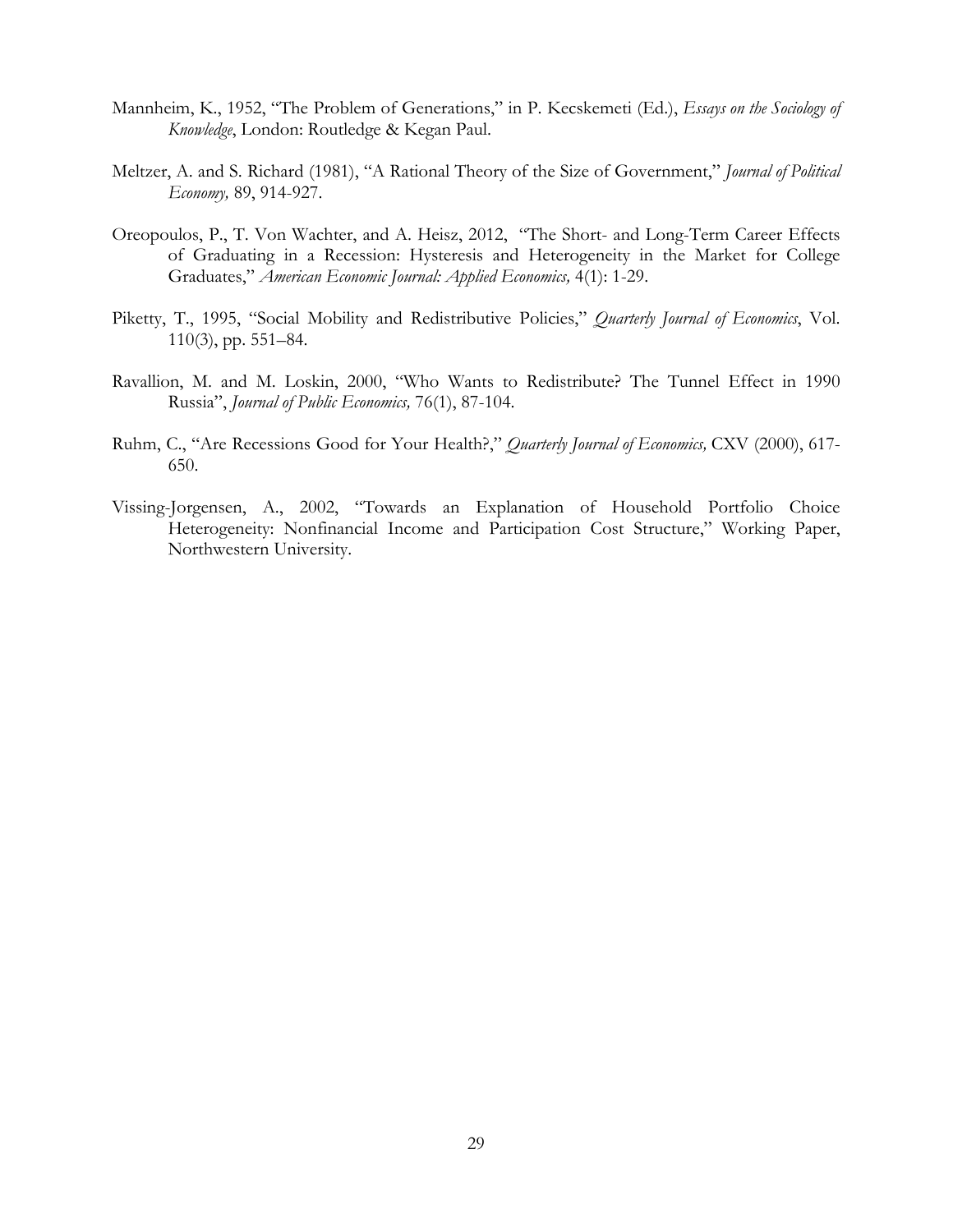- Mannheim, K., 1952, "The Problem of Generations," in P. Kecskemeti (Ed.), *Essays on the Sociology of Knowledge*, London: Routledge & Kegan Paul.
- Meltzer, A. and S. Richard (1981), "A Rational Theory of the Size of Government," *Journal of Political Economy,* 89, 914-927.
- Oreopoulos, P., T. Von Wachter, and A. Heisz, 2012, "The Short- and Long-Term Career Effects of Graduating in a Recession: Hysteresis and Heterogeneity in the Market for College Graduates," *American Economic Journal: Applied Economics,* 4(1): 1-29.
- Piketty, T., 1995, "Social Mobility and Redistributive Policies," *Quarterly Journal of Economics*, Vol. 110(3), pp. 551–84.
- Ravallion, M. and M. Loskin, 2000, "Who Wants to Redistribute? The Tunnel Effect in 1990 Russia", *Journal of Public Economics,* 76(1), 87-104.
- Ruhm, C., "Are Recessions Good for Your Health?," *Quarterly Journal of Economics,* CXV (2000), 617- 650.
- Vissing-Jorgensen, A., 2002, "Towards an Explanation of Household Portfolio Choice Heterogeneity: Nonfinancial Income and Participation Cost Structure," Working Paper, Northwestern University.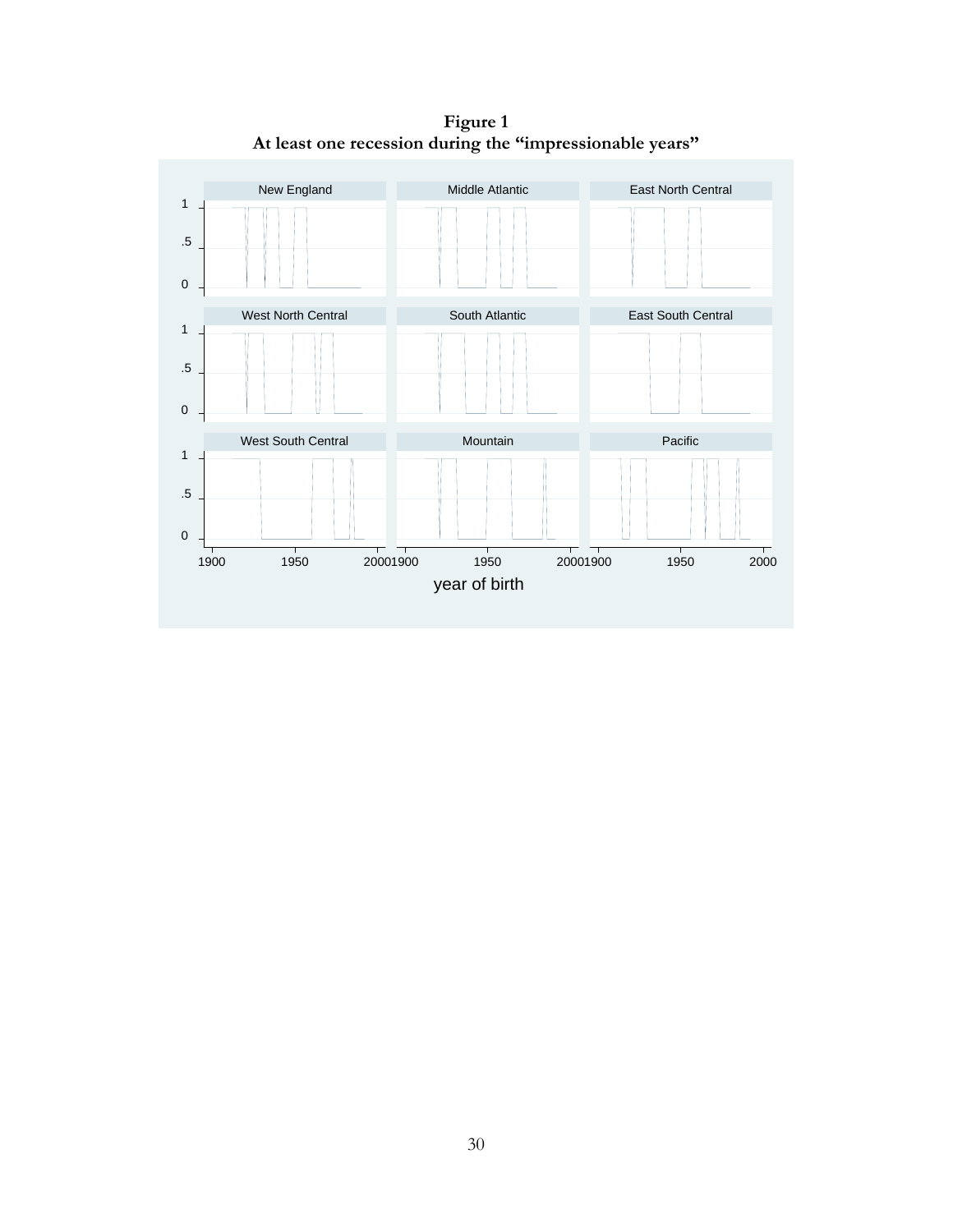**Figure 1 At least one recession during the "impressionable years"** 

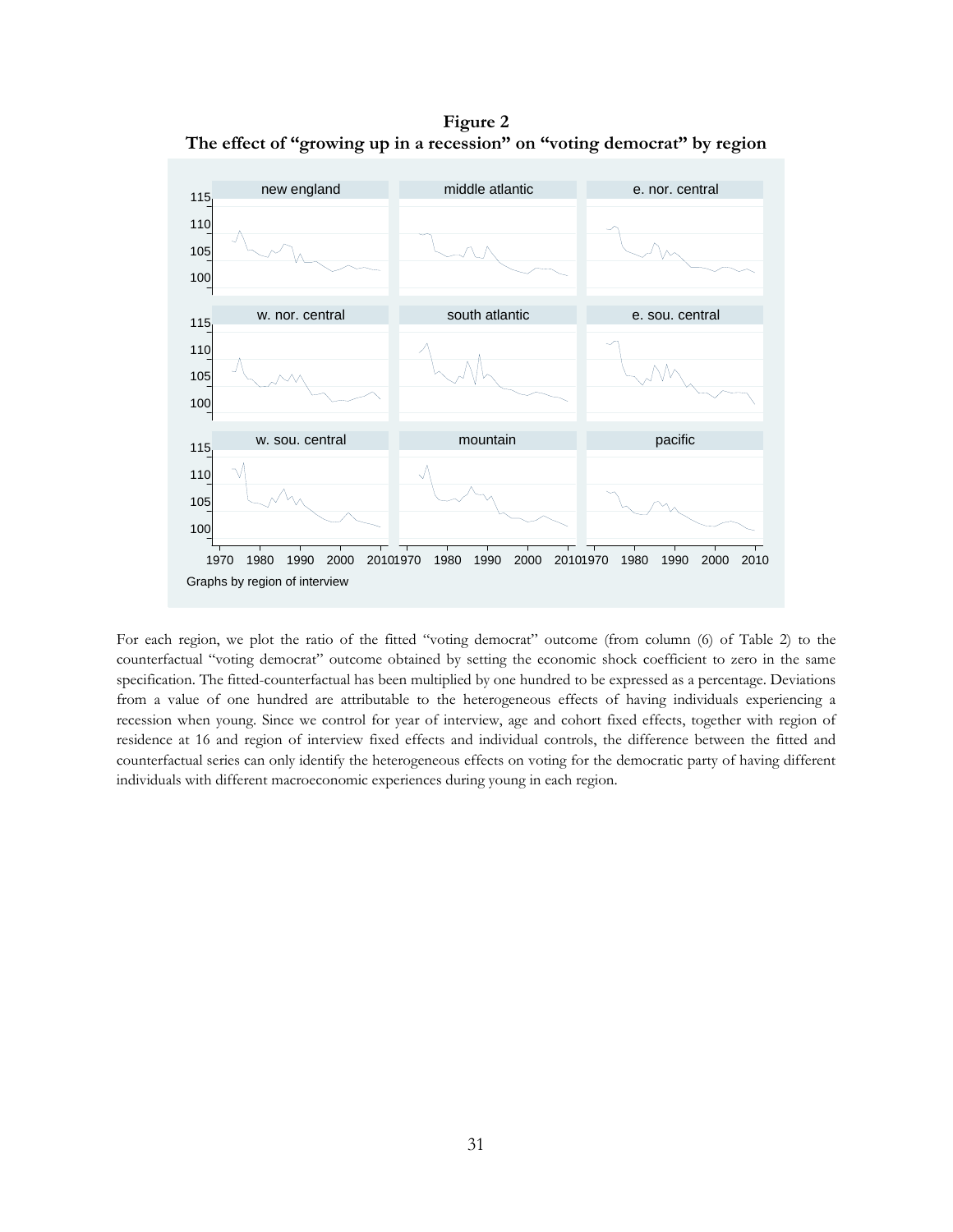**Figure 2 The effect of "growing up in a recession" on "voting democrat" by region** 



For each region, we plot the ratio of the fitted "voting democrat" outcome (from column (6) of Table 2) to the counterfactual "voting democrat" outcome obtained by setting the economic shock coefficient to zero in the same specification. The fitted-counterfactual has been multiplied by one hundred to be expressed as a percentage. Deviations from a value of one hundred are attributable to the heterogeneous effects of having individuals experiencing a recession when young. Since we control for year of interview, age and cohort fixed effects, together with region of residence at 16 and region of interview fixed effects and individual controls, the difference between the fitted and counterfactual series can only identify the heterogeneous effects on voting for the democratic party of having different individuals with different macroeconomic experiences during young in each region.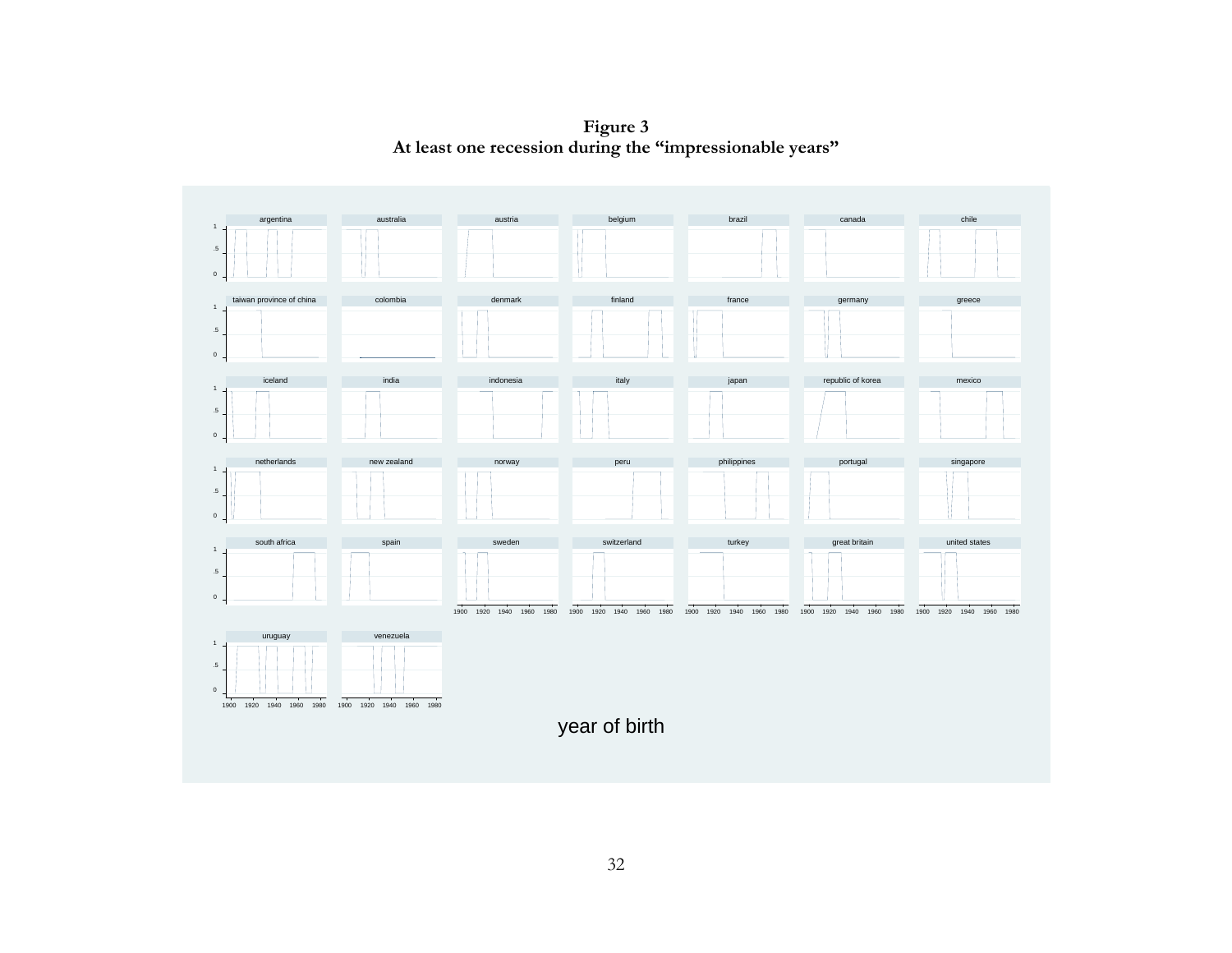**Figure 3 At least one recession during the "impressionable years"** 

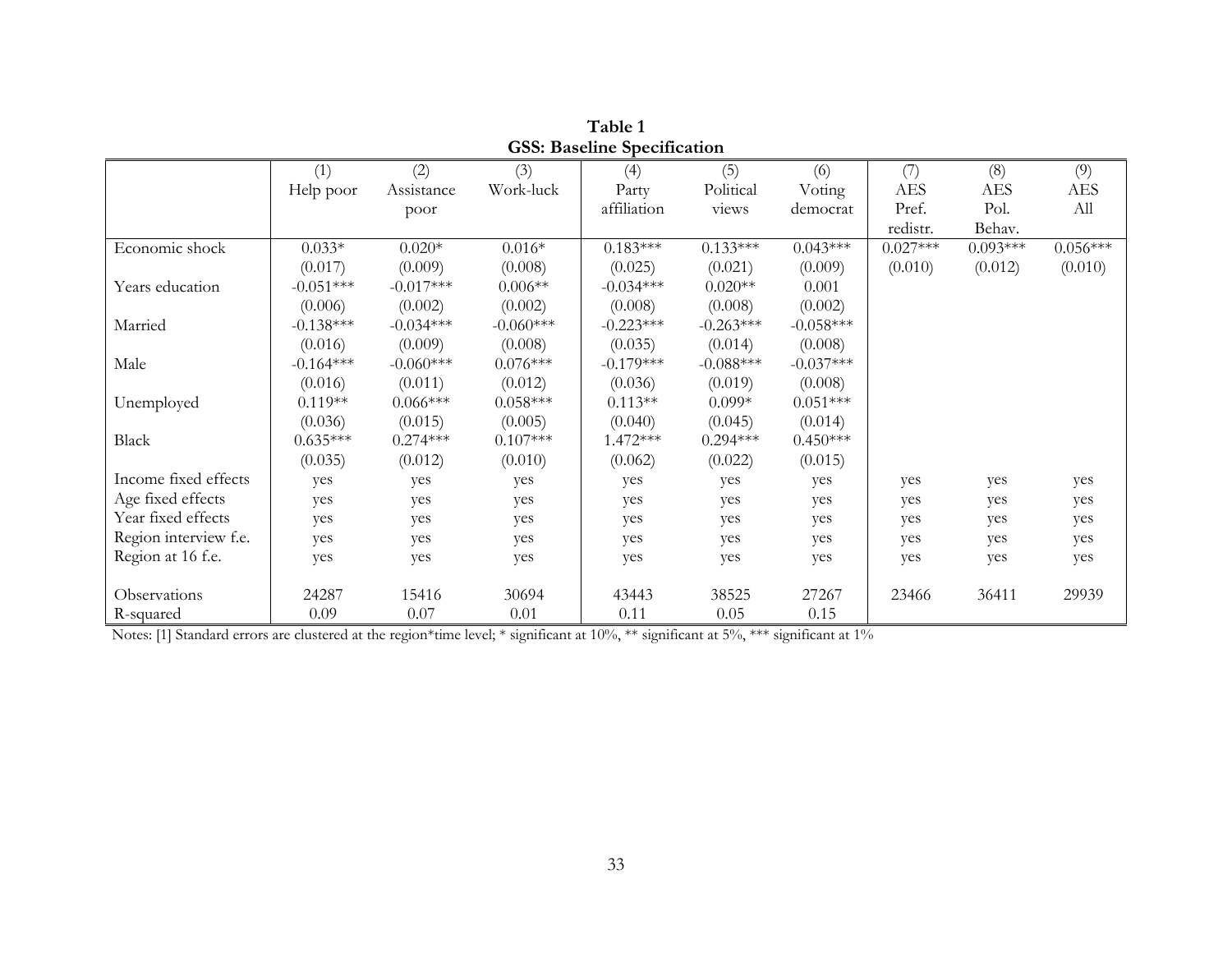|                       |             |             |             | OSS. Daschille Specification |             |             |            |            |            |
|-----------------------|-------------|-------------|-------------|------------------------------|-------------|-------------|------------|------------|------------|
|                       | (1)         | (2)         | (3)         | (4)                          | (5)         | (6)         | (7)        | (8)        | (9)        |
|                       | Help poor   | Assistance  | Work-luck   | Party                        | Political   | Voting      | <b>AES</b> | <b>AES</b> | AES        |
|                       |             | poor        |             | affiliation                  | views       | democrat    | Pref.      | Pol.       | All        |
|                       |             |             |             |                              |             |             | redistr.   | Behav.     |            |
| Economic shock        | $0.033*$    | $0.020*$    | $0.016*$    | $0.183***$                   | $0.133***$  | $0.043***$  | $0.027***$ | $0.093***$ | $0.056***$ |
|                       | (0.017)     | (0.009)     | (0.008)     | (0.025)                      | (0.021)     | (0.009)     | (0.010)    | (0.012)    | (0.010)    |
| Years education       | $-0.051***$ | $-0.017***$ | $0.006**$   | $-0.034***$                  | $0.020**$   | 0.001       |            |            |            |
|                       | (0.006)     | (0.002)     | (0.002)     | (0.008)                      | (0.008)     | (0.002)     |            |            |            |
| Married               | $-0.138***$ | $-0.034***$ | $-0.060***$ | $-0.223***$                  | $-0.263***$ | $-0.058***$ |            |            |            |
|                       | (0.016)     | (0.009)     | (0.008)     | (0.035)                      | (0.014)     | (0.008)     |            |            |            |
| Male                  | $-0.164***$ | $-0.060***$ | $0.076***$  | $-0.179***$                  | $-0.088***$ | $-0.037***$ |            |            |            |
|                       | (0.016)     | (0.011)     | (0.012)     | (0.036)                      | (0.019)     | (0.008)     |            |            |            |
| Unemployed            | $0.119**$   | $0.066***$  | $0.058***$  | $0.113**$                    | $0.099*$    | $0.051***$  |            |            |            |
|                       | (0.036)     | (0.015)     | (0.005)     | (0.040)                      | (0.045)     | (0.014)     |            |            |            |
| Black                 | $0.635***$  | $0.274***$  | $0.107***$  | $1.472***$                   | $0.294***$  | $0.450***$  |            |            |            |
|                       | (0.035)     | (0.012)     | (0.010)     | (0.062)                      | (0.022)     | (0.015)     |            |            |            |
| Income fixed effects  | yes         | yes         | yes         | yes                          | yes         | yes         | yes        | yes        | yes        |
| Age fixed effects     | yes         | yes         | yes         | yes                          | yes         | yes         | yes        | yes        | yes        |
| Year fixed effects    | yes         | yes         | yes         | yes                          | yes         | yes         | yes        | yes        | yes        |
| Region interview f.e. | yes         | yes         | yes         | yes                          | yes         | yes         | yes        | yes        | yes        |
| Region at 16 f.e.     | yes         | yes         | yes         | yes                          | yes         | yes         | yes        | yes        | yes        |
|                       |             |             |             |                              |             |             |            |            |            |
| Observations          | 24287       | 15416       | 30694       | 43443                        | 38525       | 27267       | 23466      | 36411      | 29939      |
| R-squared             | 0.09        | 0.07        | 0.01        | 0.11                         | 0.05        | 0.15        |            |            |            |

**Table 1 GSS: Baseline Specification**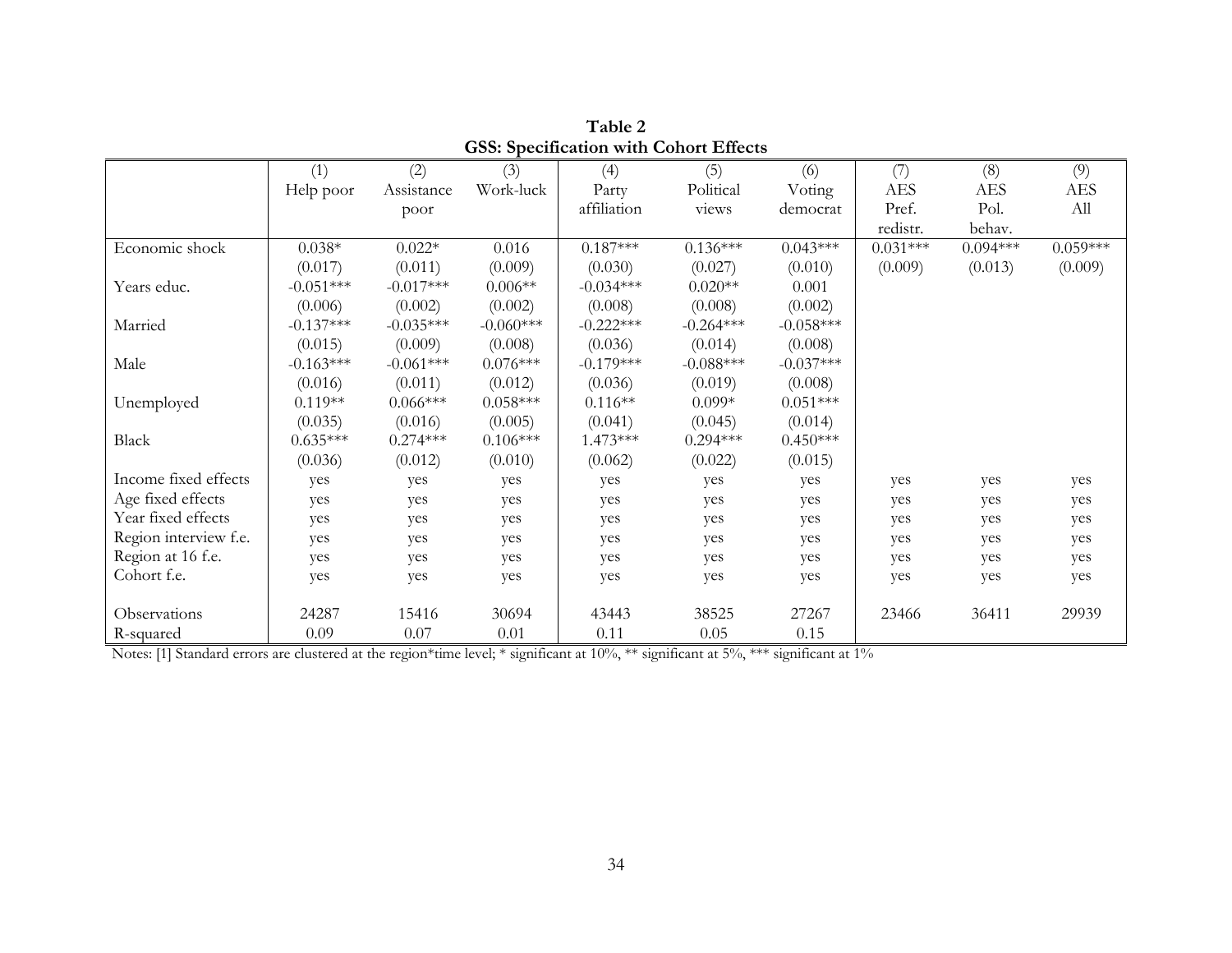|                       |             |             | ---- <i>-</i> ------- |             |             |             |            |            |            |
|-----------------------|-------------|-------------|-----------------------|-------------|-------------|-------------|------------|------------|------------|
|                       | (1)         | (2)         | (3)                   | (4)         | (5)         | (6)         | (7)        | (8)        | (9)        |
|                       | Help poor   | Assistance  | Work-luck             | Party       | Political   | Voting      | <b>AES</b> | <b>AES</b> | <b>AES</b> |
|                       |             | poor        |                       | affiliation | views       | democrat    | Pref.      | Pol.       | All        |
|                       |             |             |                       |             |             |             | redistr.   | behav.     |            |
| Economic shock        | $0.038*$    | $0.022*$    | 0.016                 | $0.187***$  | $0.136***$  | $0.043***$  | $0.031***$ | $0.094***$ | $0.059***$ |
|                       | (0.017)     | (0.011)     | (0.009)               | (0.030)     | (0.027)     | (0.010)     | (0.009)    | (0.013)    | (0.009)    |
| Years educ.           | $-0.051***$ | $-0.017***$ | $0.006**$             | $-0.034***$ | $0.020**$   | 0.001       |            |            |            |
|                       | (0.006)     | (0.002)     | (0.002)               | (0.008)     | (0.008)     | (0.002)     |            |            |            |
| Married               | $-0.137***$ | $-0.035***$ | $-0.060***$           | $-0.222***$ | $-0.264***$ | $-0.058***$ |            |            |            |
|                       | (0.015)     | (0.009)     | (0.008)               | (0.036)     | (0.014)     | (0.008)     |            |            |            |
| Male                  | $-0.163***$ | $-0.061***$ | $0.076***$            | $-0.179***$ | $-0.088***$ | $-0.037***$ |            |            |            |
|                       | (0.016)     | (0.011)     | (0.012)               | (0.036)     | (0.019)     | (0.008)     |            |            |            |
| Unemployed            | $0.119**$   | $0.066***$  | $0.058***$            | $0.116**$   | $0.099*$    | $0.051***$  |            |            |            |
|                       | (0.035)     | (0.016)     | (0.005)               | (0.041)     | (0.045)     | (0.014)     |            |            |            |
| Black                 | $0.635***$  | $0.274***$  | $0.106***$            | $1.473***$  | $0.294***$  | $0.450***$  |            |            |            |
|                       | (0.036)     | (0.012)     | (0.010)               | (0.062)     | (0.022)     | (0.015)     |            |            |            |
| Income fixed effects  | yes         | yes         | yes                   | yes         | yes         | yes         | yes        | yes        | yes        |
| Age fixed effects     | yes         | yes         | yes                   | yes         | yes         | yes         | yes        | yes        | yes        |
| Year fixed effects    | yes         | yes         | yes                   | yes         | yes         | yes         | yes        | yes        | yes        |
| Region interview f.e. | yes         | yes         | yes                   | yes         | yes         | yes         | yes        | yes        | yes        |
| Region at 16 f.e.     | yes         | yes         | yes                   | yes         | yes         | yes         | yes        | yes        | yes        |
| Cohort f.e.           | yes         | yes         | yes                   | yes         | yes         | yes         | yes        | yes        | yes        |
|                       |             |             |                       |             |             |             |            |            |            |
| Observations          | 24287       | 15416       | 30694                 | 43443       | 38525       | 27267       | 23466      | 36411      | 29939      |
| R-squared             | 0.09        | 0.07        | $0.01\,$              | 0.11        | 0.05        | 0.15        |            |            |            |

**Table 2 GSS: Specification with Cohort Effects**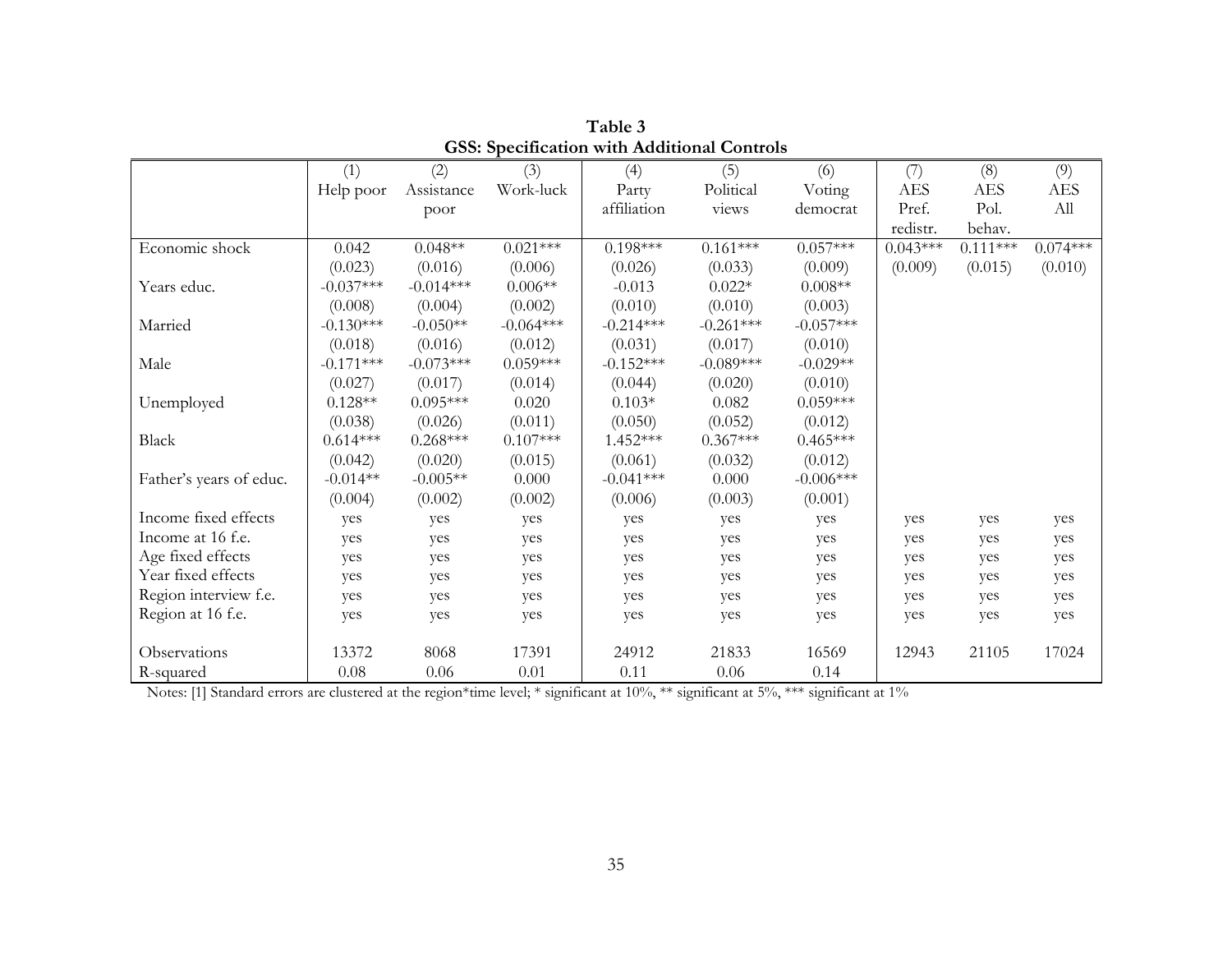|                         | (1)         | (2)         | (3)         | (4)         | (5)         | (6)         | (7)        | (8)        | (9)        |
|-------------------------|-------------|-------------|-------------|-------------|-------------|-------------|------------|------------|------------|
|                         | Help poor   | Assistance  | Work-luck   | Party       | Political   | Voting      | <b>AES</b> | <b>AES</b> | <b>AES</b> |
|                         |             | poor        |             | affiliation | views       | democrat    | Pref.      | Pol.       | All        |
|                         |             |             |             |             |             |             | redistr.   | behav.     |            |
| Economic shock          | 0.042       | $0.048**$   | $0.021***$  | $0.198***$  | $0.161***$  | $0.057***$  | $0.043***$ | $0.111***$ | $0.074***$ |
|                         | (0.023)     | (0.016)     | (0.006)     | (0.026)     | (0.033)     | (0.009)     | (0.009)    | (0.015)    | (0.010)    |
| Years educ.             | $-0.037***$ | $-0.014***$ | $0.006**$   | $-0.013$    | $0.022*$    | $0.008**$   |            |            |            |
|                         | (0.008)     | (0.004)     | (0.002)     | (0.010)     | (0.010)     | (0.003)     |            |            |            |
| Married                 | $-0.130***$ | $-0.050**$  | $-0.064***$ | $-0.214***$ | $-0.261***$ | $-0.057***$ |            |            |            |
|                         | (0.018)     | (0.016)     | (0.012)     | (0.031)     | (0.017)     | (0.010)     |            |            |            |
| Male                    | $-0.171***$ | $-0.073***$ | $0.059***$  | $-0.152***$ | $-0.089***$ | $-0.029**$  |            |            |            |
|                         | (0.027)     | (0.017)     | (0.014)     | (0.044)     | (0.020)     | (0.010)     |            |            |            |
| Unemployed              | $0.128**$   | $0.095***$  | 0.020       | $0.103*$    | 0.082       | $0.059***$  |            |            |            |
|                         | (0.038)     | (0.026)     | (0.011)     | (0.050)     | (0.052)     | (0.012)     |            |            |            |
| Black                   | $0.614***$  | $0.268***$  | $0.107***$  | $1.452***$  | $0.367***$  | $0.465***$  |            |            |            |
|                         | (0.042)     | (0.020)     | (0.015)     | (0.061)     | (0.032)     | (0.012)     |            |            |            |
| Father's years of educ. | $-0.014**$  | $-0.005**$  | $0.000\,$   | $-0.041***$ | 0.000       | $-0.006***$ |            |            |            |
|                         | (0.004)     | (0.002)     | (0.002)     | (0.006)     | (0.003)     | (0.001)     |            |            |            |
| Income fixed effects    | yes         | yes         | yes         | yes         | yes         | yes         | yes        | yes        | yes        |
| Income at 16 f.e.       | yes         | yes         | yes         | yes         | yes         | yes         | yes        | yes        | yes        |
| Age fixed effects       | yes         | yes         | yes         | yes         | yes         | yes         | yes        | yes        | yes        |
| Year fixed effects      | yes         | yes         | yes         | yes         | yes         | yes         | yes        | yes        | yes        |
| Region interview f.e.   | yes         | yes         | yes         | yes         | yes         | yes         | yes        | yes        | yes        |
| Region at 16 f.e.       | yes         | yes         | yes         | yes         | yes         | yes         | yes        | yes        | yes        |
|                         |             |             |             |             |             |             |            |            |            |
| Observations            | 13372       | 8068        | 17391       | 24912       | 21833       | 16569       | 12943      | 21105      | 17024      |
| R-squared               | 0.08        | 0.06        | 0.01        | 0.11        | 0.06        | 0.14        |            |            |            |

**Table 3 GSS: Specification with Additional Controls**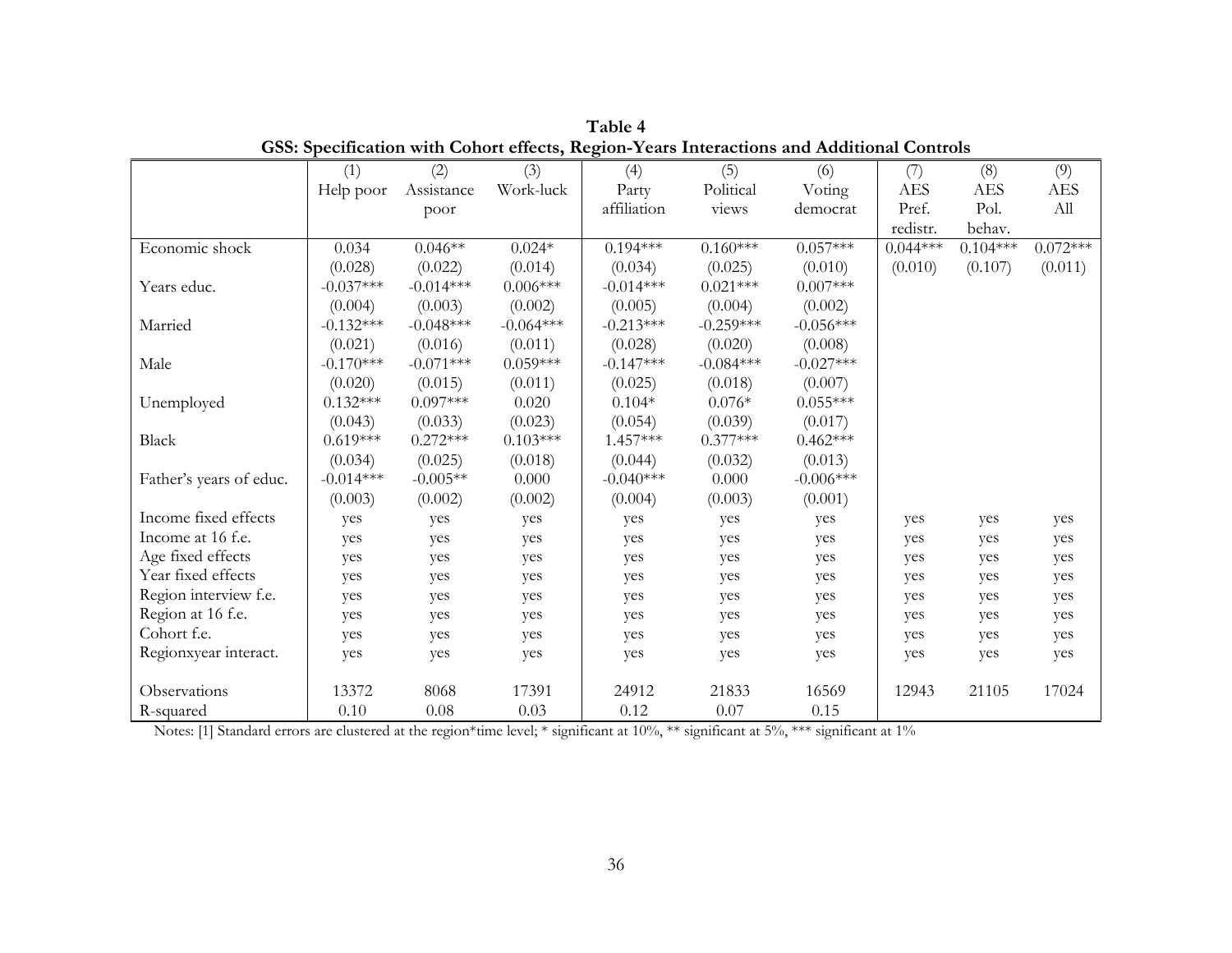|                         | (1)         | (2)         | (3)         | (4)         | (5)         | (6)         | (7)        | (8)        | (9)        |
|-------------------------|-------------|-------------|-------------|-------------|-------------|-------------|------------|------------|------------|
|                         | Help poor   | Assistance  | Work-luck   | Party       | Political   | Voting      | <b>AES</b> | <b>AES</b> | <b>AES</b> |
|                         |             | poor        |             | affiliation | views       | democrat    | Pref.      | Pol.       | All        |
|                         |             |             |             |             |             |             | redistr.   | behav.     |            |
| Economic shock          | 0.034       | $0.046**$   | $0.024*$    | $0.194***$  | $0.160***$  | $0.057***$  | $0.044***$ | $0.104***$ | $0.072***$ |
|                         | (0.028)     | (0.022)     | (0.014)     | (0.034)     | (0.025)     | (0.010)     | (0.010)    | (0.107)    | (0.011)    |
| Years educ.             | $-0.037***$ | $-0.014***$ | $0.006***$  | $-0.014***$ | $0.021***$  | $0.007***$  |            |            |            |
|                         | (0.004)     | (0.003)     | (0.002)     | (0.005)     | (0.004)     | (0.002)     |            |            |            |
| Married                 | $-0.132***$ | $-0.048***$ | $-0.064***$ | $-0.213***$ | $-0.259***$ | $-0.056***$ |            |            |            |
|                         | (0.021)     | (0.016)     | (0.011)     | (0.028)     | (0.020)     | (0.008)     |            |            |            |
| Male                    | $-0.170***$ | $-0.071***$ | $0.059***$  | $-0.147***$ | $-0.084***$ | $-0.027***$ |            |            |            |
|                         | (0.020)     | (0.015)     | (0.011)     | (0.025)     | (0.018)     | (0.007)     |            |            |            |
| Unemployed              | $0.132***$  | $0.097***$  | 0.020       | $0.104*$    | $0.076*$    | $0.055***$  |            |            |            |
|                         | (0.043)     | (0.033)     | (0.023)     | (0.054)     | (0.039)     | (0.017)     |            |            |            |
| Black                   | $0.619***$  | $0.272***$  | $0.103***$  | $1.457***$  | $0.377***$  | $0.462***$  |            |            |            |
|                         | (0.034)     | (0.025)     | (0.018)     | (0.044)     | (0.032)     | (0.013)     |            |            |            |
| Father's years of educ. | $-0.014***$ | $-0.005**$  | 0.000       | $-0.040***$ | 0.000       | $-0.006***$ |            |            |            |
|                         | (0.003)     | (0.002)     | (0.002)     | (0.004)     | (0.003)     | (0.001)     |            |            |            |
| Income fixed effects    | yes         | yes         | yes         | yes         | yes         | yes         | yes        | yes        | yes        |
| Income at 16 f.e.       | yes         | yes         | yes         | yes         | yes         | yes         | yes        | yes        | yes        |
| Age fixed effects       | yes         | yes         | yes         | yes         | yes         | yes         | yes        | yes        | yes        |
| Year fixed effects      | yes         | yes         | yes         | yes         | yes         | yes         | yes        | yes        | yes        |
| Region interview f.e.   | yes         | yes         | yes         | yes         | yes         | yes         | yes        | yes        | yes        |
| Region at 16 f.e.       | yes         | yes         | yes         | yes         | yes         | yes         | yes        | yes        | yes        |
| Cohort f.e.             | yes         | yes         | yes         | yes         | yes         | yes         | yes        | yes        | yes        |
| Regionxyear interact.   | yes         | yes         | yes         | yes         | yes         | yes         | yes        | yes        | yes        |
|                         |             |             |             |             |             |             |            |            |            |
| Observations            | 13372       | 8068        | 17391       | 24912       | 21833       | 16569       | 12943      | 21105      | 17024      |
| R-squared               | 0.10        | 0.08        | 0.03        | 0.12        | 0.07        | 0.15        |            |            |            |

**Table 4 GSS: Specification with Cohort effects, Region-Years Interactions and Additional Controls**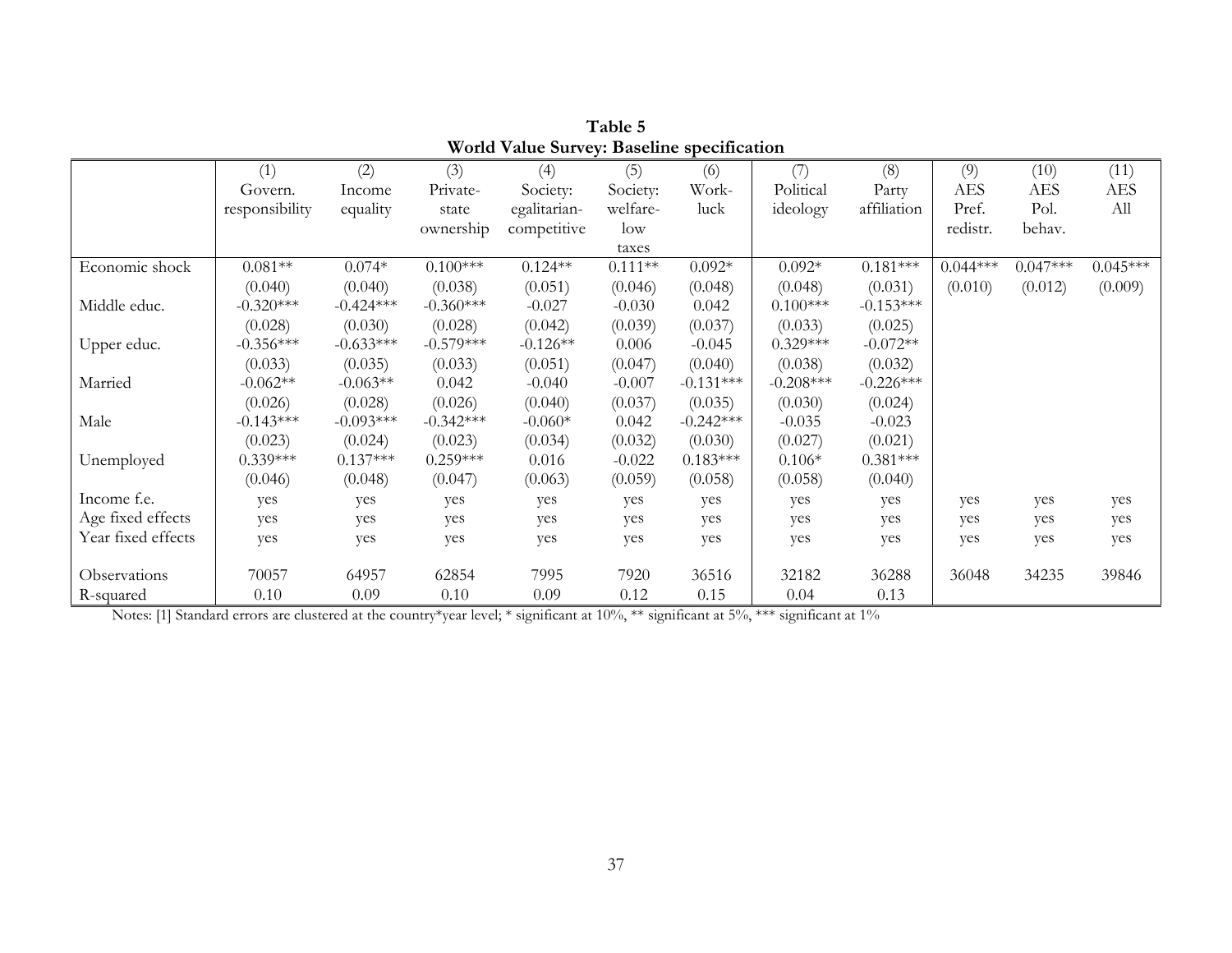|                    | (1)            | (2)         | (3)         | (4)          | (5)       | (6)         | (7)         | (8)         | (9)        | (10)       | (11)       |
|--------------------|----------------|-------------|-------------|--------------|-----------|-------------|-------------|-------------|------------|------------|------------|
|                    | Govern.        | Income      | Private-    | Society:     | Society:  | Work-       | Political   | Party       | <b>AES</b> | <b>AES</b> | <b>AES</b> |
|                    | responsibility | equality    | state       | egalitarian- | welfare-  | luck        | ideology    | affiliation | Pref.      | Pol.       | All        |
|                    |                |             | ownership   | competitive  | $\log$    |             |             |             | redistr.   | behav.     |            |
|                    |                |             |             |              | taxes     |             |             |             |            |            |            |
| Economic shock     | $0.081**$      | $0.074*$    | $0.100***$  | $0.124**$    | $0.111**$ | $0.092*$    | $0.092*$    | $0.181***$  | $0.044***$ | $0.047***$ | $0.045***$ |
|                    | (0.040)        | (0.040)     | (0.038)     | (0.051)      | (0.046)   | (0.048)     | (0.048)     | (0.031)     | (0.010)    | (0.012)    | (0.009)    |
| Middle educ.       | $-0.320***$    | $-0.424***$ | $-0.360***$ | $-0.027$     | $-0.030$  | 0.042       | $0.100***$  | $-0.153***$ |            |            |            |
|                    | (0.028)        | (0.030)     | (0.028)     | (0.042)      | (0.039)   | (0.037)     | (0.033)     | (0.025)     |            |            |            |
| Upper educ.        | $-0.356***$    | $-0.633***$ | $-0.579***$ | $-0.126**$   | 0.006     | $-0.045$    | $0.329***$  | $-0.072**$  |            |            |            |
|                    | (0.033)        | (0.035)     | (0.033)     | (0.051)      | (0.047)   | (0.040)     | (0.038)     | (0.032)     |            |            |            |
| Married            | $-0.062**$     | $-0.063**$  | 0.042       | $-0.040$     | $-0.007$  | $-0.131***$ | $-0.208***$ | $-0.226***$ |            |            |            |
|                    | (0.026)        | (0.028)     | (0.026)     | (0.040)      | (0.037)   | (0.035)     | (0.030)     | (0.024)     |            |            |            |
| Male               | $-0.143***$    | $-0.093***$ | $-0.342***$ | $-0.060*$    | 0.042     | $-0.242***$ | $-0.035$    | $-0.023$    |            |            |            |
|                    | (0.023)        | (0.024)     | (0.023)     | (0.034)      | (0.032)   | (0.030)     | (0.027)     | (0.021)     |            |            |            |
| Unemployed         | $0.339***$     | $0.137***$  | $0.259***$  | 0.016        | $-0.022$  | $0.183***$  | $0.106*$    | $0.381***$  |            |            |            |
|                    | (0.046)        | (0.048)     | (0.047)     | (0.063)      | (0.059)   | (0.058)     | (0.058)     | (0.040)     |            |            |            |
| Income f.e.        | yes            | yes         | yes         | yes          | yes       | yes         | yes         | yes         | yes        | yes        | yes        |
| Age fixed effects  | yes            | yes         | yes         | yes          | yes       | yes         | yes         | yes         | yes        | yes        | yes        |
| Year fixed effects | yes            | yes         | yes         | yes          | yes       | yes         | yes         | yes         | yes        | yes        | yes        |
|                    |                |             |             |              |           |             |             |             |            |            |            |
| Observations       | 70057          | 64957       | 62854       | 7995         | 7920      | 36516       | 32182       | 36288       | 36048      | 34235      | 39846      |
| R-squared          | 0.10           | 0.09        | 0.10        | 0.09         | 0.12      | 0.15        | 0.04        | 0.13        |            |            |            |

**Table 5 World Value Survey: Baseline specification**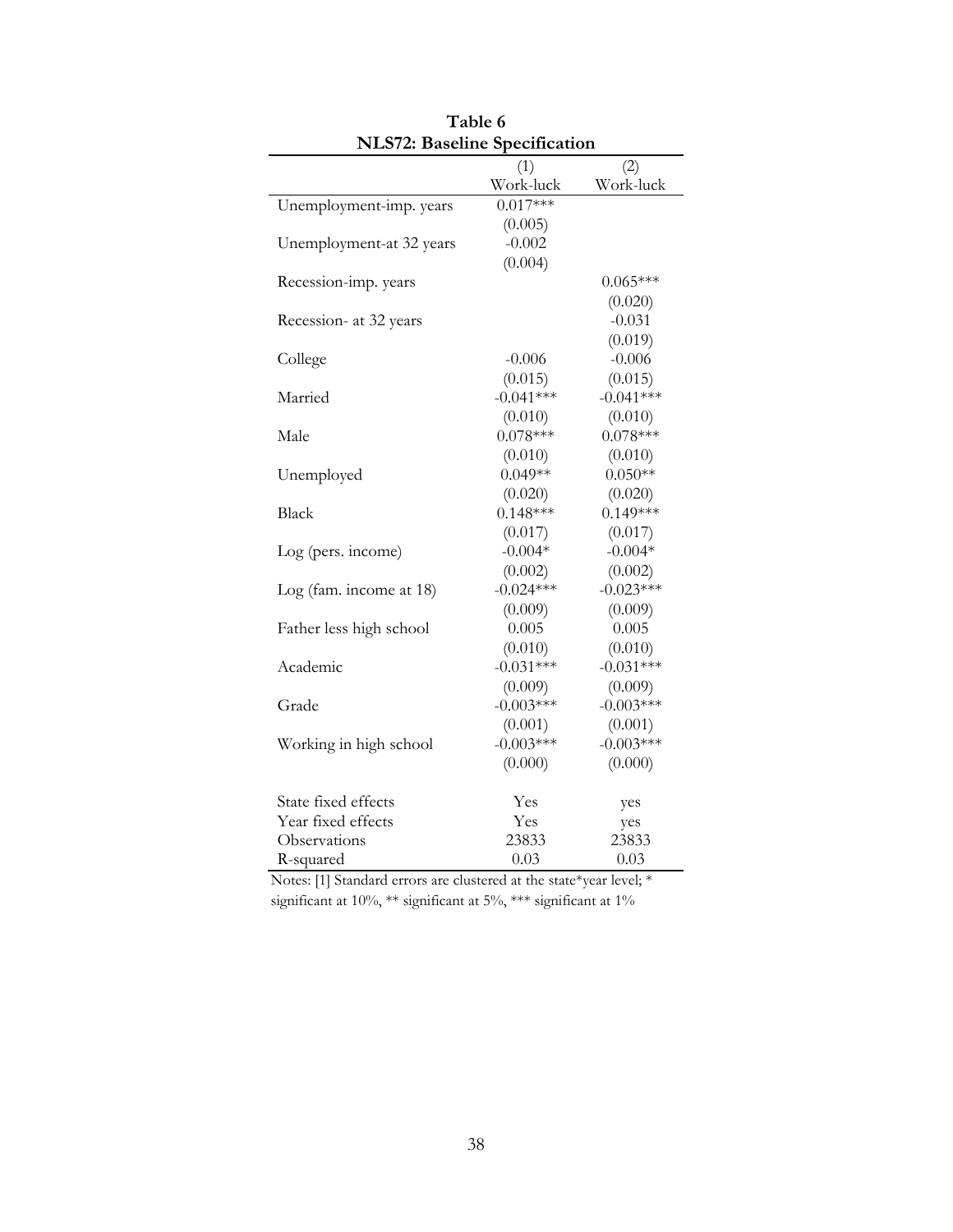| <b>NLS/2: Baseline Specification</b> |             |              |
|--------------------------------------|-------------|--------------|
|                                      | (1)         | (2)          |
|                                      | Work-luck   | Work-luck    |
| Unemployment-imp. years              | $0.017***$  |              |
|                                      | (0.005)     |              |
| Unemployment-at 32 years             | $-0.002$    |              |
|                                      | (0.004)     |              |
| Recession-imp. years                 |             | $0.065***$   |
|                                      |             | (0.020)      |
| Recession- at 32 years               |             | $-0.031$     |
|                                      |             | (0.019)      |
| College                              | $-0.006$    | $-0.006$     |
|                                      | (0.015)     | (0.015)      |
| Married                              | $-0.041***$ | $-0.041***$  |
|                                      | (0.010)     | (0.010)      |
| Male                                 | $0.078***$  | $0.078***$   |
|                                      | (0.010)     | (0.010)      |
| Unemployed                           | $0.049**$   | $0.050**$    |
|                                      | (0.020)     | (0.020)      |
| Black                                | $0.148***$  | $0.149***$   |
|                                      | (0.017)     | (0.017)      |
| Log (pers. income)                   | $-0.004*$   | $-0.004*$    |
|                                      | (0.002)     | (0.002)      |
| Log (fam. income at $18$ )           | $-0.024***$ | $-0.023***$  |
|                                      | (0.009)     | (0.009)      |
| Father less high school              | 0.005       | 0.005        |
|                                      | (0.010)     | (0.010)      |
| Academic                             | $-0.031***$ | $-0.031***$  |
|                                      | (0.009)     | (0.009)      |
| Grade                                | $-0.003***$ | $-0.003***$  |
|                                      | (0.001)     | (0.001)      |
| Working in high school               | $-0.003***$ | $-0.003***$  |
|                                      | (0.000)     | (0.000)      |
| State fixed effects                  | Yes         |              |
| Year fixed effects                   | Yes         | yes          |
| Observations                         | 23833       | yes<br>23833 |
| R-squared                            | 0.03        | 0.03         |
|                                      |             |              |

**Table 6 NLS72: Baseline Specification**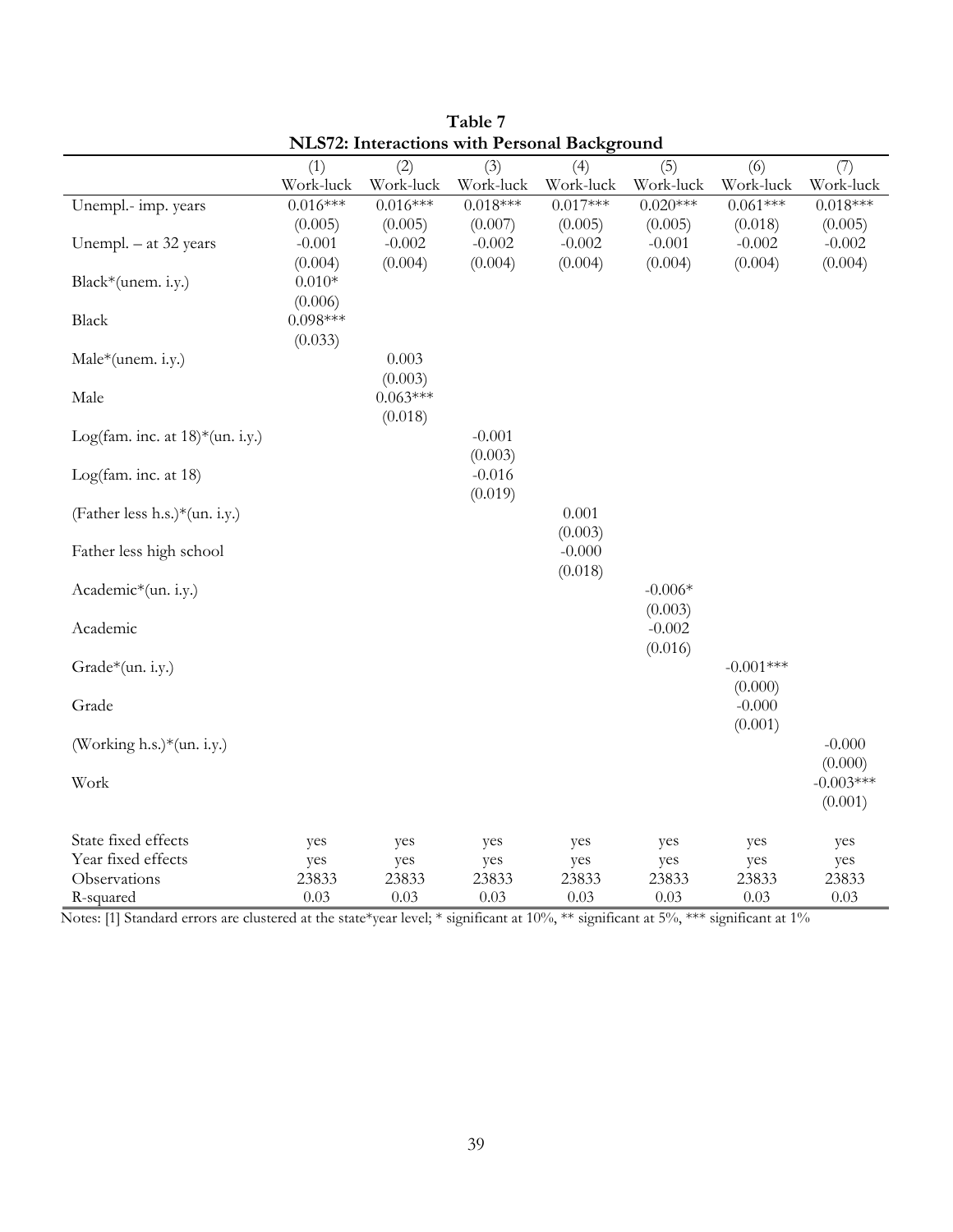|                                    |            |            | <u>ULUVIIMI</u> | $P^{\mu\nu}$ |                     |             |             |
|------------------------------------|------------|------------|-----------------|--------------|---------------------|-------------|-------------|
|                                    | (1)        | (2)        | (3)             | (4)          | (5)                 | (6)         | (7)         |
|                                    | Work-luck  | Work-luck  | Work-luck       | Work-luck    | Work-luck           | Work-luck   | Work-luck   |
| Unempl.- imp. years                | $0.016***$ | $0.016***$ | $0.018***$      | $0.017***$   | $0.020***$          | $0.061***$  | $0.018***$  |
|                                    | (0.005)    | (0.005)    | (0.007)         | (0.005)      | (0.005)             | (0.018)     | (0.005)     |
| Unempl. $-$ at 32 years            | $-0.001$   | $-0.002$   | $-0.002$        | $-0.002$     | $-0.001$            | $-0.002$    | $-0.002$    |
|                                    | (0.004)    | (0.004)    | (0.004)         | (0.004)      | (0.004)             | (0.004)     | (0.004)     |
| Black*(unem. i.y.)                 | $0.010*$   |            |                 |              |                     |             |             |
|                                    | (0.006)    |            |                 |              |                     |             |             |
| Black                              | $0.098***$ |            |                 |              |                     |             |             |
|                                    | (0.033)    |            |                 |              |                     |             |             |
| Male*(unem. i.y.)                  |            | 0.003      |                 |              |                     |             |             |
|                                    |            | (0.003)    |                 |              |                     |             |             |
| Male                               |            | $0.063***$ |                 |              |                     |             |             |
|                                    |            | (0.018)    |                 |              |                     |             |             |
| Log(fam. inc. at $18$ )*(un. i.y.) |            |            | $-0.001$        |              |                     |             |             |
|                                    |            |            | (0.003)         |              |                     |             |             |
| Log(fam. inc. at 18)               |            |            | $-0.016$        |              |                     |             |             |
|                                    |            |            | (0.019)         |              |                     |             |             |
| (Father less h.s.)*(un. i.y.)      |            |            |                 | 0.001        |                     |             |             |
|                                    |            |            |                 | (0.003)      |                     |             |             |
| Father less high school            |            |            |                 | $-0.000$     |                     |             |             |
|                                    |            |            |                 | (0.018)      |                     |             |             |
| Academic*(un. i.y.)                |            |            |                 |              | $-0.006*$           |             |             |
|                                    |            |            |                 |              | (0.003)<br>$-0.002$ |             |             |
| Academic                           |            |            |                 |              | (0.016)             |             |             |
| Grade*(un. i.y.)                   |            |            |                 |              |                     | $-0.001***$ |             |
|                                    |            |            |                 |              |                     | (0.000)     |             |
| Grade                              |            |            |                 |              |                     | $-0.000$    |             |
|                                    |            |            |                 |              |                     | (0.001)     |             |
| (Working h.s.)*(un. i.y.)          |            |            |                 |              |                     |             | $-0.000$    |
|                                    |            |            |                 |              |                     |             | (0.000)     |
| Work                               |            |            |                 |              |                     |             | $-0.003***$ |
|                                    |            |            |                 |              |                     |             | (0.001)     |
|                                    |            |            |                 |              |                     |             |             |
| State fixed effects                | yes        | yes        | yes             | yes          | yes                 | yes         | yes         |
| Year fixed effects                 | yes        | yes        | yes             | yes          | yes                 | yes         | yes         |
| Observations                       | 23833      | 23833      | 23833           | 23833        | 23833               | 23833       | 23833       |
| R-squared                          | 0.03       | 0.03       | 0.03            | 0.03         | 0.03                | 0.03        | 0.03        |

**Table 7 NLS72: Interactions with Personal Background**